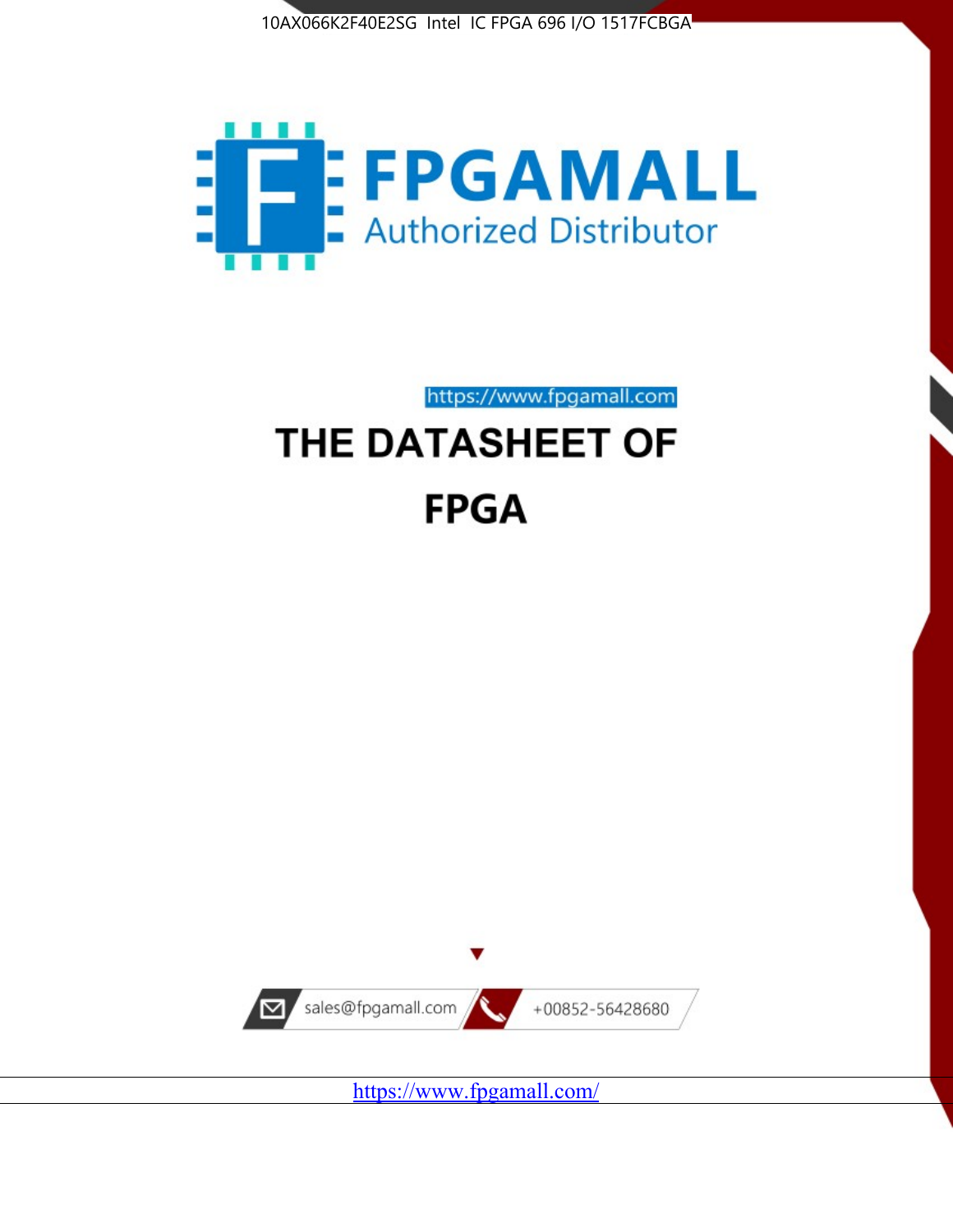



https://www.fpgamall.com

# THE DATASHEET OF **FPGA**



<https://www.fpgamall.com/>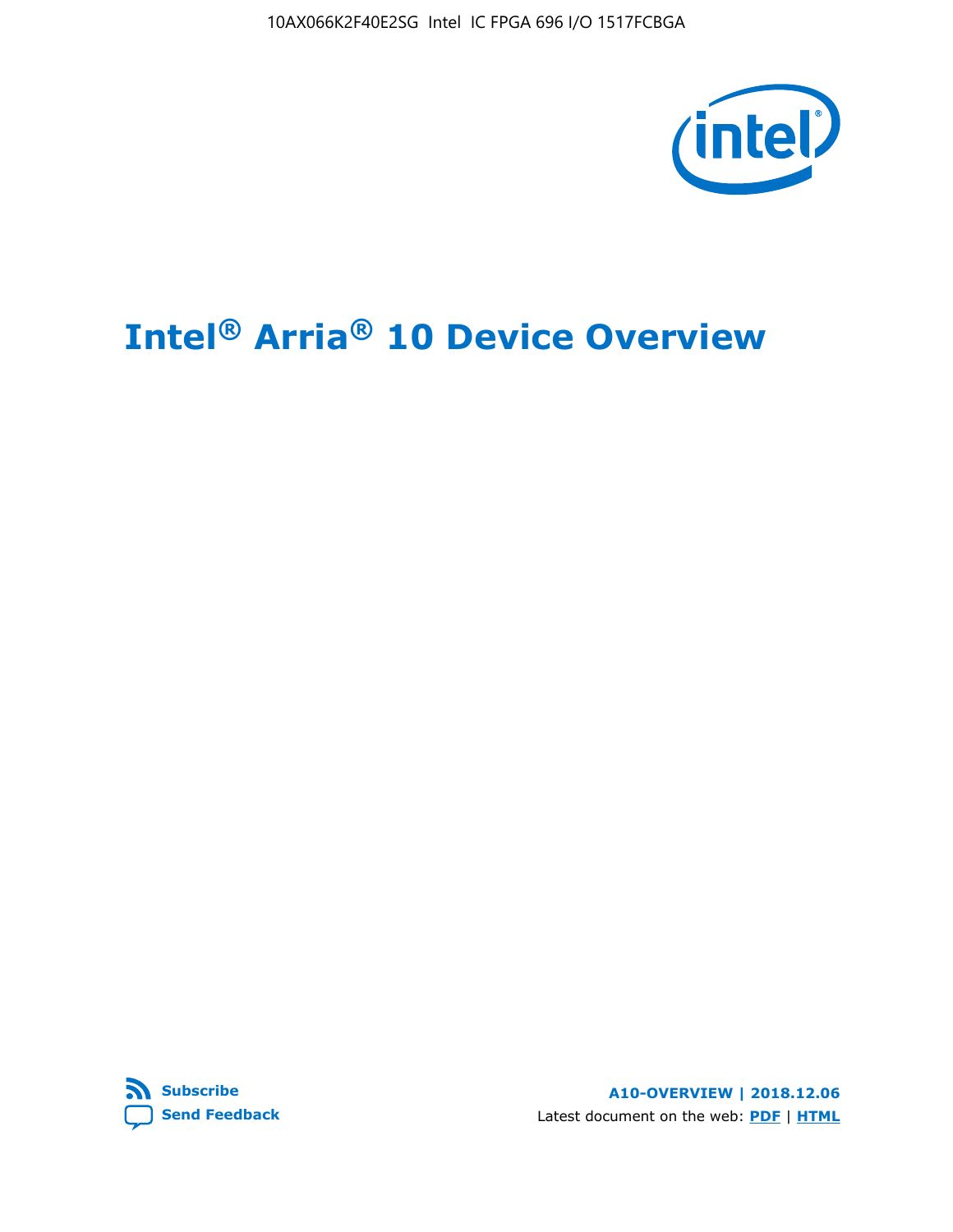10AX066K2F40E2SG Intel IC FPGA 696 I/O 1517FCBGA



# **Intel® Arria® 10 Device Overview**



**A10-OVERVIEW | 2018.12.06** Latest document on the web: **[PDF](https://www.intel.com/content/dam/www/programmable/us/en/pdfs/literature/hb/arria-10/a10_overview.pdf)** | **[HTML](https://www.intel.com/content/www/us/en/programmable/documentation/sam1403480274650.html)**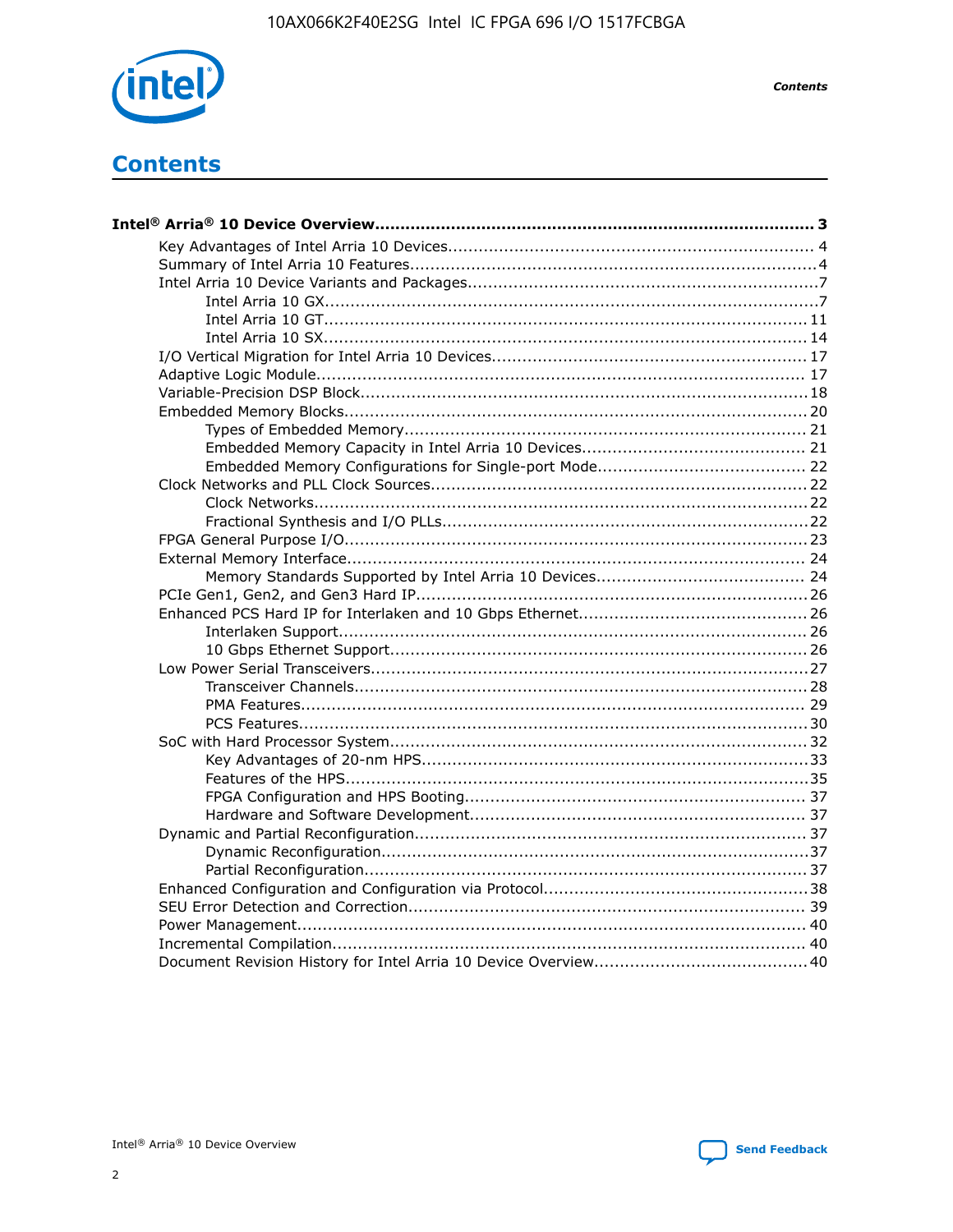

**Contents** 

# **Contents**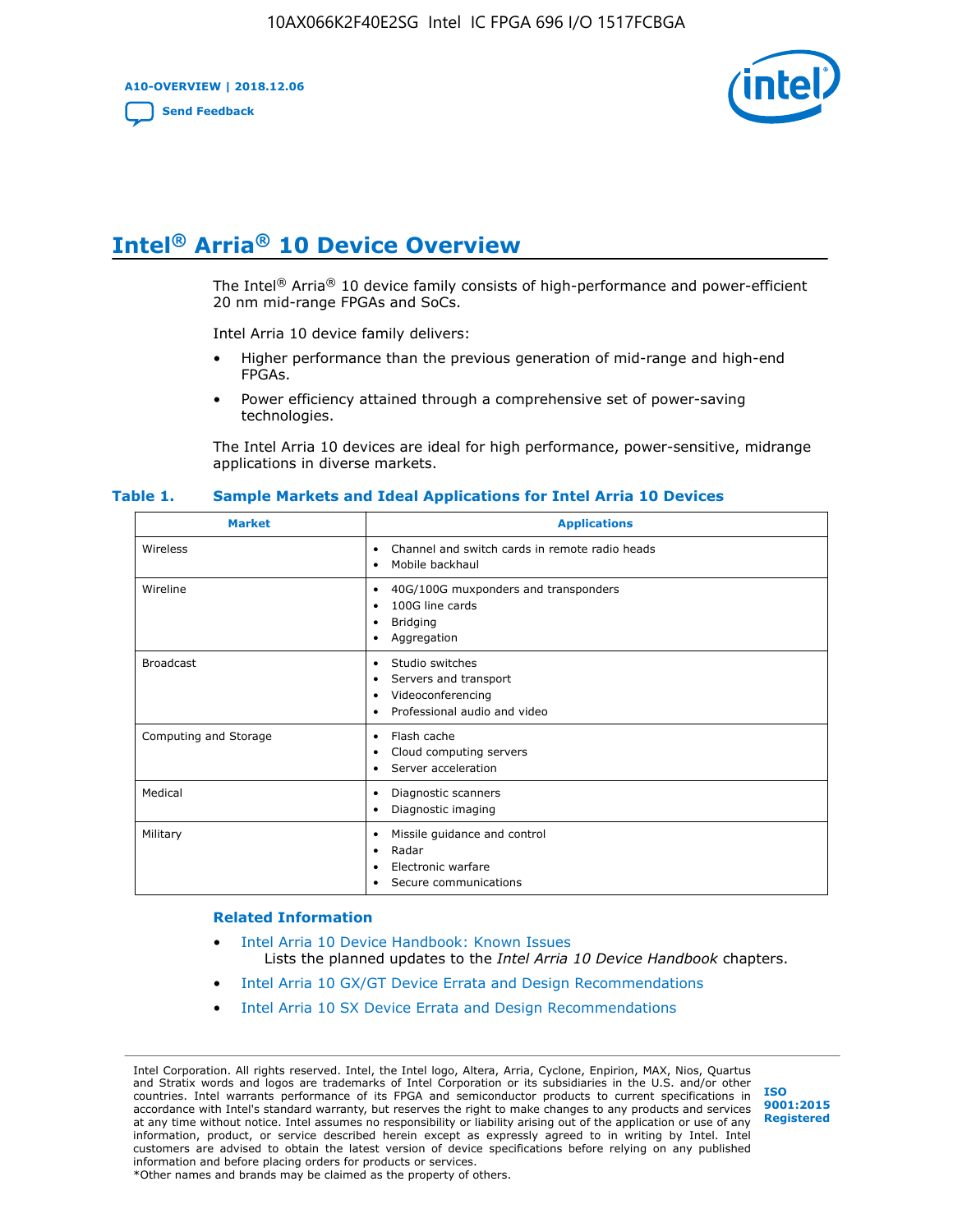**A10-OVERVIEW | 2018.12.06**

**[Send Feedback](mailto:FPGAtechdocfeedback@intel.com?subject=Feedback%20on%20Intel%20Arria%2010%20Device%20Overview%20(A10-OVERVIEW%202018.12.06)&body=We%20appreciate%20your%20feedback.%20In%20your%20comments,%20also%20specify%20the%20page%20number%20or%20paragraph.%20Thank%20you.)**



# **Intel® Arria® 10 Device Overview**

The Intel<sup>®</sup> Arria<sup>®</sup> 10 device family consists of high-performance and power-efficient 20 nm mid-range FPGAs and SoCs.

Intel Arria 10 device family delivers:

- Higher performance than the previous generation of mid-range and high-end FPGAs.
- Power efficiency attained through a comprehensive set of power-saving technologies.

The Intel Arria 10 devices are ideal for high performance, power-sensitive, midrange applications in diverse markets.

| <b>Market</b>         | <b>Applications</b>                                                                                               |
|-----------------------|-------------------------------------------------------------------------------------------------------------------|
| Wireless              | Channel and switch cards in remote radio heads<br>٠<br>Mobile backhaul<br>٠                                       |
| Wireline              | 40G/100G muxponders and transponders<br>٠<br>100G line cards<br>٠<br><b>Bridging</b><br>٠<br>Aggregation<br>٠     |
| <b>Broadcast</b>      | Studio switches<br>٠<br>Servers and transport<br>٠<br>Videoconferencing<br>٠<br>Professional audio and video<br>٠ |
| Computing and Storage | Flash cache<br>٠<br>Cloud computing servers<br>٠<br>Server acceleration<br>٠                                      |
| Medical               | Diagnostic scanners<br>٠<br>Diagnostic imaging<br>٠                                                               |
| Military              | Missile guidance and control<br>٠<br>Radar<br>٠<br>Electronic warfare<br>٠<br>Secure communications<br>٠          |

#### **Table 1. Sample Markets and Ideal Applications for Intel Arria 10 Devices**

#### **Related Information**

- [Intel Arria 10 Device Handbook: Known Issues](http://www.altera.com/support/kdb/solutions/rd07302013_646.html) Lists the planned updates to the *Intel Arria 10 Device Handbook* chapters.
- [Intel Arria 10 GX/GT Device Errata and Design Recommendations](https://www.intel.com/content/www/us/en/programmable/documentation/agz1493851706374.html#yqz1494433888646)
- [Intel Arria 10 SX Device Errata and Design Recommendations](https://www.intel.com/content/www/us/en/programmable/documentation/cru1462832385668.html#cru1462832558642)

Intel Corporation. All rights reserved. Intel, the Intel logo, Altera, Arria, Cyclone, Enpirion, MAX, Nios, Quartus and Stratix words and logos are trademarks of Intel Corporation or its subsidiaries in the U.S. and/or other countries. Intel warrants performance of its FPGA and semiconductor products to current specifications in accordance with Intel's standard warranty, but reserves the right to make changes to any products and services at any time without notice. Intel assumes no responsibility or liability arising out of the application or use of any information, product, or service described herein except as expressly agreed to in writing by Intel. Intel customers are advised to obtain the latest version of device specifications before relying on any published information and before placing orders for products or services. \*Other names and brands may be claimed as the property of others.

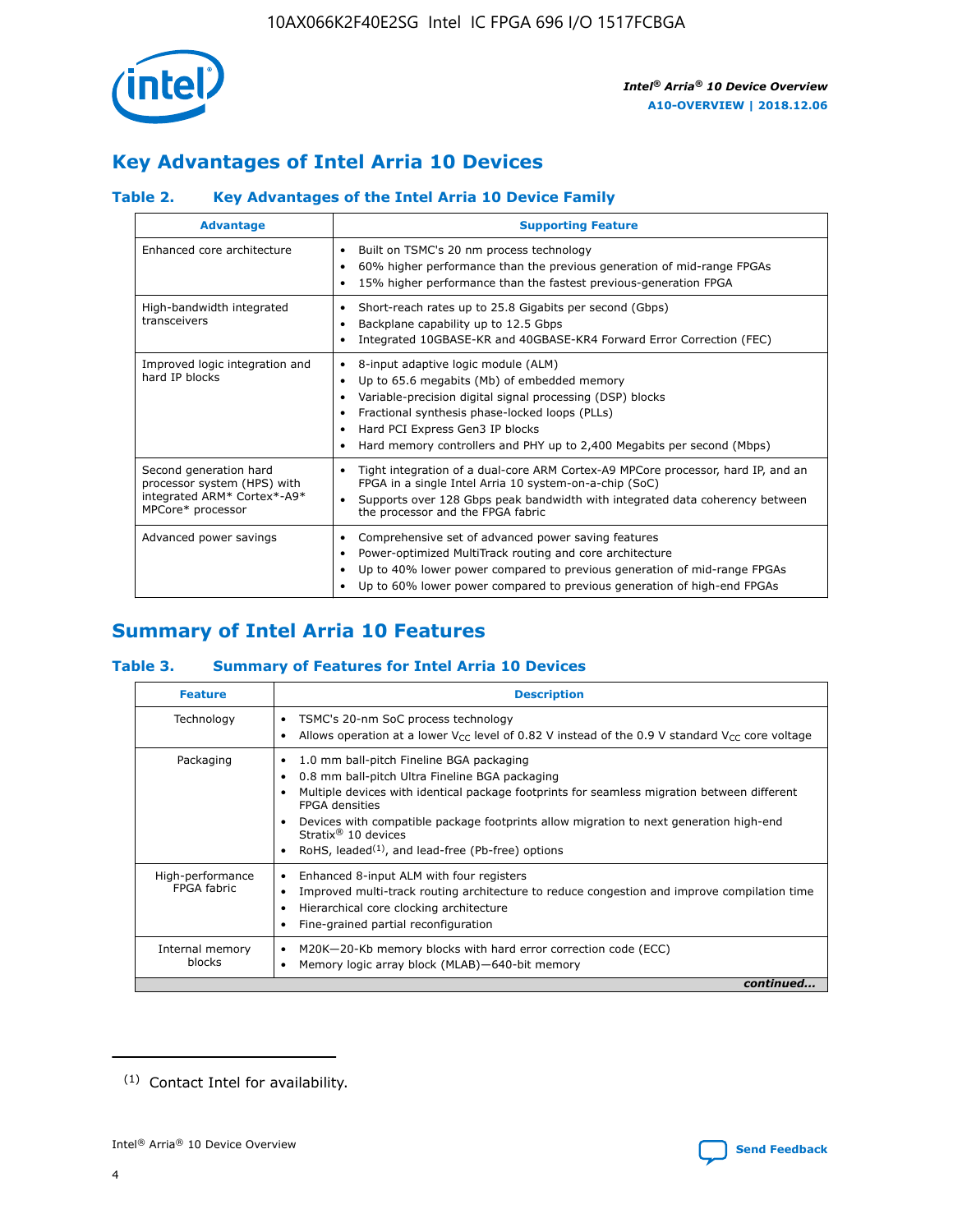

## **Key Advantages of Intel Arria 10 Devices**

## **Table 2. Key Advantages of the Intel Arria 10 Device Family**

| <b>Advantage</b>                                                                                          | <b>Supporting Feature</b>                                                                                                                                                                                                                                                                                                |  |  |  |  |  |  |
|-----------------------------------------------------------------------------------------------------------|--------------------------------------------------------------------------------------------------------------------------------------------------------------------------------------------------------------------------------------------------------------------------------------------------------------------------|--|--|--|--|--|--|
| Enhanced core architecture                                                                                | Built on TSMC's 20 nm process technology<br>٠<br>60% higher performance than the previous generation of mid-range FPGAs<br>٠<br>15% higher performance than the fastest previous-generation FPGA<br>٠                                                                                                                    |  |  |  |  |  |  |
| High-bandwidth integrated<br>transceivers                                                                 | Short-reach rates up to 25.8 Gigabits per second (Gbps)<br>٠<br>Backplane capability up to 12.5 Gbps<br>٠<br>Integrated 10GBASE-KR and 40GBASE-KR4 Forward Error Correction (FEC)<br>٠                                                                                                                                   |  |  |  |  |  |  |
| Improved logic integration and<br>hard IP blocks                                                          | 8-input adaptive logic module (ALM)<br>٠<br>Up to 65.6 megabits (Mb) of embedded memory<br>٠<br>Variable-precision digital signal processing (DSP) blocks<br>Fractional synthesis phase-locked loops (PLLs)<br>Hard PCI Express Gen3 IP blocks<br>Hard memory controllers and PHY up to 2,400 Megabits per second (Mbps) |  |  |  |  |  |  |
| Second generation hard<br>processor system (HPS) with<br>integrated ARM* Cortex*-A9*<br>MPCore* processor | Tight integration of a dual-core ARM Cortex-A9 MPCore processor, hard IP, and an<br>٠<br>FPGA in a single Intel Arria 10 system-on-a-chip (SoC)<br>Supports over 128 Gbps peak bandwidth with integrated data coherency between<br>$\bullet$<br>the processor and the FPGA fabric                                        |  |  |  |  |  |  |
| Advanced power savings                                                                                    | Comprehensive set of advanced power saving features<br>٠<br>Power-optimized MultiTrack routing and core architecture<br>٠<br>Up to 40% lower power compared to previous generation of mid-range FPGAs<br>٠<br>Up to 60% lower power compared to previous generation of high-end FPGAs                                    |  |  |  |  |  |  |

## **Summary of Intel Arria 10 Features**

## **Table 3. Summary of Features for Intel Arria 10 Devices**

| <b>Feature</b>                  | <b>Description</b>                                                                                                                                                                                                                                                                                                                                                                                           |
|---------------------------------|--------------------------------------------------------------------------------------------------------------------------------------------------------------------------------------------------------------------------------------------------------------------------------------------------------------------------------------------------------------------------------------------------------------|
| Technology                      | TSMC's 20-nm SoC process technology<br>Allows operation at a lower $V_{\text{CC}}$ level of 0.82 V instead of the 0.9 V standard $V_{\text{CC}}$ core voltage                                                                                                                                                                                                                                                |
| Packaging                       | 1.0 mm ball-pitch Fineline BGA packaging<br>٠<br>0.8 mm ball-pitch Ultra Fineline BGA packaging<br>Multiple devices with identical package footprints for seamless migration between different<br><b>FPGA</b> densities<br>Devices with compatible package footprints allow migration to next generation high-end<br>Stratix <sup>®</sup> 10 devices<br>RoHS, leaded $(1)$ , and lead-free (Pb-free) options |
| High-performance<br>FPGA fabric | Enhanced 8-input ALM with four registers<br>Improved multi-track routing architecture to reduce congestion and improve compilation time<br>Hierarchical core clocking architecture<br>Fine-grained partial reconfiguration                                                                                                                                                                                   |
| Internal memory<br>blocks       | M20K-20-Kb memory blocks with hard error correction code (ECC)<br>Memory logic array block (MLAB)-640-bit memory                                                                                                                                                                                                                                                                                             |
|                                 | continued                                                                                                                                                                                                                                                                                                                                                                                                    |



<sup>(1)</sup> Contact Intel for availability.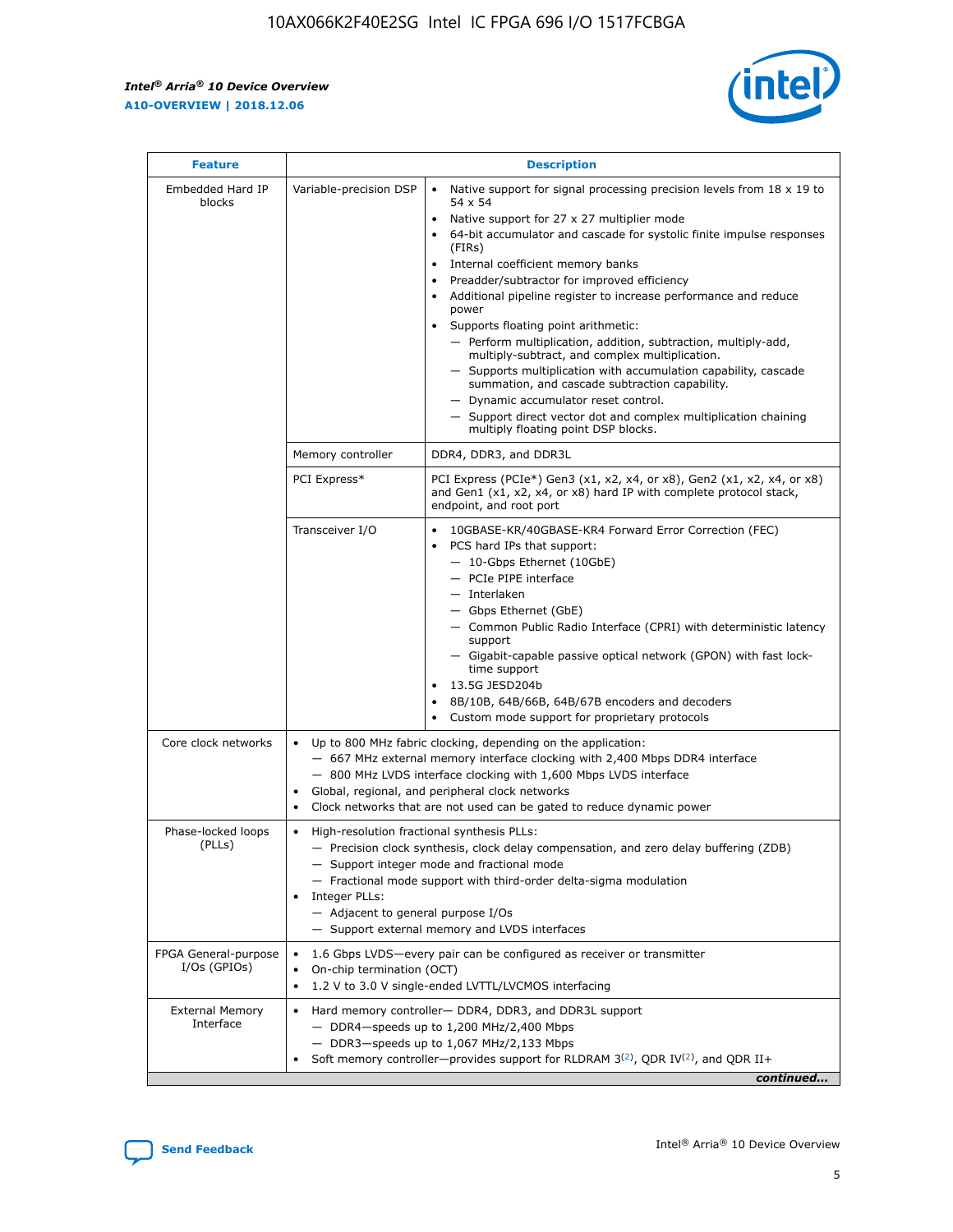r



| <b>Feature</b>                         |                                                                                                        | <b>Description</b>                                                                                                                                                                                                                                                                                                                                                                                                                                                                                                                                                                                                                                                                                                                                                                                                                                               |  |  |  |  |  |  |
|----------------------------------------|--------------------------------------------------------------------------------------------------------|------------------------------------------------------------------------------------------------------------------------------------------------------------------------------------------------------------------------------------------------------------------------------------------------------------------------------------------------------------------------------------------------------------------------------------------------------------------------------------------------------------------------------------------------------------------------------------------------------------------------------------------------------------------------------------------------------------------------------------------------------------------------------------------------------------------------------------------------------------------|--|--|--|--|--|--|
| Embedded Hard IP<br>blocks             | Variable-precision DSP                                                                                 | Native support for signal processing precision levels from $18 \times 19$ to<br>$\bullet$<br>54 x 54<br>Native support for 27 x 27 multiplier mode<br>$\bullet$<br>64-bit accumulator and cascade for systolic finite impulse responses<br>(FIRs)<br>Internal coefficient memory banks<br>$\bullet$<br>Preadder/subtractor for improved efficiency<br>Additional pipeline register to increase performance and reduce<br>power<br>Supports floating point arithmetic:<br>- Perform multiplication, addition, subtraction, multiply-add,<br>multiply-subtract, and complex multiplication.<br>- Supports multiplication with accumulation capability, cascade<br>summation, and cascade subtraction capability.<br>- Dynamic accumulator reset control.<br>- Support direct vector dot and complex multiplication chaining<br>multiply floating point DSP blocks. |  |  |  |  |  |  |
|                                        | Memory controller                                                                                      | DDR4, DDR3, and DDR3L                                                                                                                                                                                                                                                                                                                                                                                                                                                                                                                                                                                                                                                                                                                                                                                                                                            |  |  |  |  |  |  |
|                                        | PCI Express*                                                                                           | PCI Express (PCIe*) Gen3 (x1, x2, x4, or x8), Gen2 (x1, x2, x4, or x8)<br>and Gen1 (x1, x2, x4, or x8) hard IP with complete protocol stack,<br>endpoint, and root port                                                                                                                                                                                                                                                                                                                                                                                                                                                                                                                                                                                                                                                                                          |  |  |  |  |  |  |
|                                        | Transceiver I/O                                                                                        | $\bullet$<br>10GBASE-KR/40GBASE-KR4 Forward Error Correction (FEC)<br>PCS hard IPs that support:<br>$\bullet$<br>- 10-Gbps Ethernet (10GbE)<br>- PCIe PIPE interface<br>- Interlaken<br>- Gbps Ethernet (GbE)<br>- Common Public Radio Interface (CPRI) with deterministic latency<br>support<br>- Gigabit-capable passive optical network (GPON) with fast lock-<br>time support<br>13.5G JESD204b<br>$\bullet$<br>8B/10B, 64B/66B, 64B/67B encoders and decoders<br>Custom mode support for proprietary protocols                                                                                                                                                                                                                                                                                                                                              |  |  |  |  |  |  |
| Core clock networks                    | ٠<br>٠                                                                                                 | Up to 800 MHz fabric clocking, depending on the application:<br>- 667 MHz external memory interface clocking with 2,400 Mbps DDR4 interface<br>- 800 MHz LVDS interface clocking with 1,600 Mbps LVDS interface<br>Global, regional, and peripheral clock networks<br>Clock networks that are not used can be gated to reduce dynamic power                                                                                                                                                                                                                                                                                                                                                                                                                                                                                                                      |  |  |  |  |  |  |
| Phase-locked loops<br>(PLLs)           | High-resolution fractional synthesis PLLs:<br>٠<br>Integer PLLs:<br>- Adjacent to general purpose I/Os | - Precision clock synthesis, clock delay compensation, and zero delay buffering (ZDB)<br>- Support integer mode and fractional mode<br>- Fractional mode support with third-order delta-sigma modulation<br>- Support external memory and LVDS interfaces                                                                                                                                                                                                                                                                                                                                                                                                                                                                                                                                                                                                        |  |  |  |  |  |  |
| FPGA General-purpose<br>$I/Os$ (GPIOs) | On-chip termination (OCT)                                                                              | 1.6 Gbps LVDS-every pair can be configured as receiver or transmitter<br>1.2 V to 3.0 V single-ended LVTTL/LVCMOS interfacing                                                                                                                                                                                                                                                                                                                                                                                                                                                                                                                                                                                                                                                                                                                                    |  |  |  |  |  |  |
| <b>External Memory</b><br>Interface    |                                                                                                        | Hard memory controller- DDR4, DDR3, and DDR3L support<br>$-$ DDR4 $-$ speeds up to 1,200 MHz/2,400 Mbps<br>- DDR3-speeds up to 1,067 MHz/2,133 Mbps<br>Soft memory controller—provides support for RLDRAM $3^{(2)}$ , QDR IV $^{(2)}$ , and QDR II+<br>continued                                                                                                                                                                                                                                                                                                                                                                                                                                                                                                                                                                                                 |  |  |  |  |  |  |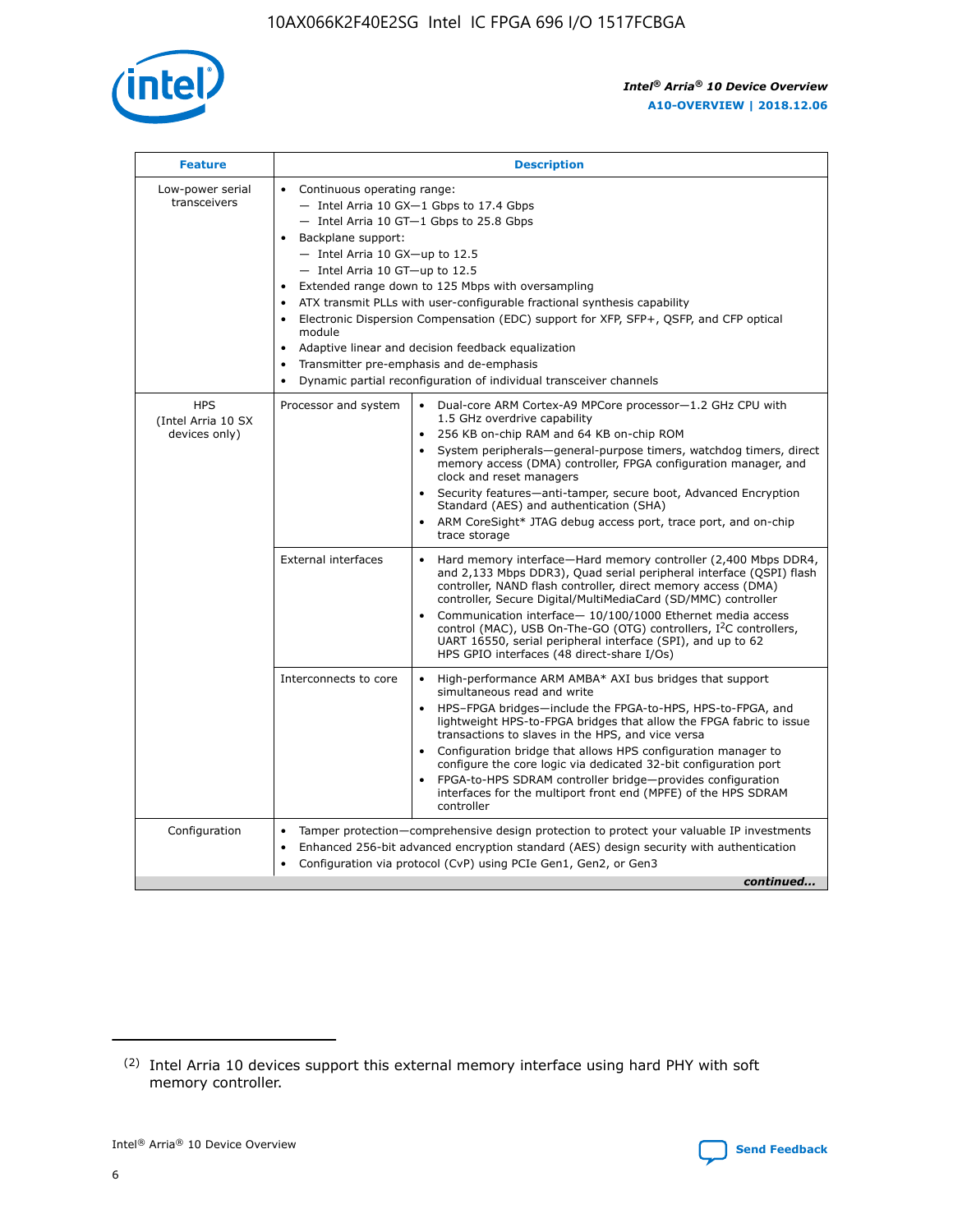

| <b>Feature</b>                                    | <b>Description</b>                                                                                                                                                                                                                                                                                                                                                                                                                                                                                                                                                                                                                         |
|---------------------------------------------------|--------------------------------------------------------------------------------------------------------------------------------------------------------------------------------------------------------------------------------------------------------------------------------------------------------------------------------------------------------------------------------------------------------------------------------------------------------------------------------------------------------------------------------------------------------------------------------------------------------------------------------------------|
| Low-power serial<br>transceivers                  | • Continuous operating range:<br>- Intel Arria 10 GX-1 Gbps to 17.4 Gbps<br>- Intel Arria 10 GT-1 Gbps to 25.8 Gbps<br>Backplane support:<br>$-$ Intel Arria 10 GX-up to 12.5<br>- Intel Arria 10 GT-up to 12.5<br>Extended range down to 125 Mbps with oversampling<br>ATX transmit PLLs with user-configurable fractional synthesis capability<br>Electronic Dispersion Compensation (EDC) support for XFP, SFP+, QSFP, and CFP optical<br>module<br>• Adaptive linear and decision feedback equalization<br>Transmitter pre-emphasis and de-emphasis<br>$\bullet$<br>Dynamic partial reconfiguration of individual transceiver channels |
| <b>HPS</b><br>(Intel Arria 10 SX<br>devices only) | Dual-core ARM Cortex-A9 MPCore processor-1.2 GHz CPU with<br>Processor and system<br>$\bullet$<br>1.5 GHz overdrive capability<br>256 KB on-chip RAM and 64 KB on-chip ROM<br>System peripherals-general-purpose timers, watchdog timers, direct<br>memory access (DMA) controller, FPGA configuration manager, and<br>clock and reset managers<br>Security features-anti-tamper, secure boot, Advanced Encryption<br>$\bullet$<br>Standard (AES) and authentication (SHA)<br>ARM CoreSight* JTAG debug access port, trace port, and on-chip<br>trace storage                                                                              |
|                                                   | <b>External interfaces</b><br>Hard memory interface-Hard memory controller (2,400 Mbps DDR4,<br>$\bullet$<br>and 2,133 Mbps DDR3), Quad serial peripheral interface (QSPI) flash<br>controller, NAND flash controller, direct memory access (DMA)<br>controller, Secure Digital/MultiMediaCard (SD/MMC) controller<br>Communication interface-10/100/1000 Ethernet media access<br>$\bullet$<br>control (MAC), USB On-The-GO (OTG) controllers, I <sup>2</sup> C controllers,<br>UART 16550, serial peripheral interface (SPI), and up to 62<br>HPS GPIO interfaces (48 direct-share I/Os)                                                 |
|                                                   | High-performance ARM AMBA* AXI bus bridges that support<br>Interconnects to core<br>$\bullet$<br>simultaneous read and write<br>HPS-FPGA bridges-include the FPGA-to-HPS, HPS-to-FPGA, and<br>$\bullet$<br>lightweight HPS-to-FPGA bridges that allow the FPGA fabric to issue<br>transactions to slaves in the HPS, and vice versa<br>Configuration bridge that allows HPS configuration manager to<br>configure the core logic via dedicated 32-bit configuration port<br>FPGA-to-HPS SDRAM controller bridge-provides configuration<br>interfaces for the multiport front end (MPFE) of the HPS SDRAM<br>controller                     |
| Configuration                                     | Tamper protection—comprehensive design protection to protect your valuable IP investments<br>Enhanced 256-bit advanced encryption standard (AES) design security with authentication<br>٠<br>Configuration via protocol (CvP) using PCIe Gen1, Gen2, or Gen3<br>continued                                                                                                                                                                                                                                                                                                                                                                  |

<sup>(2)</sup> Intel Arria 10 devices support this external memory interface using hard PHY with soft memory controller.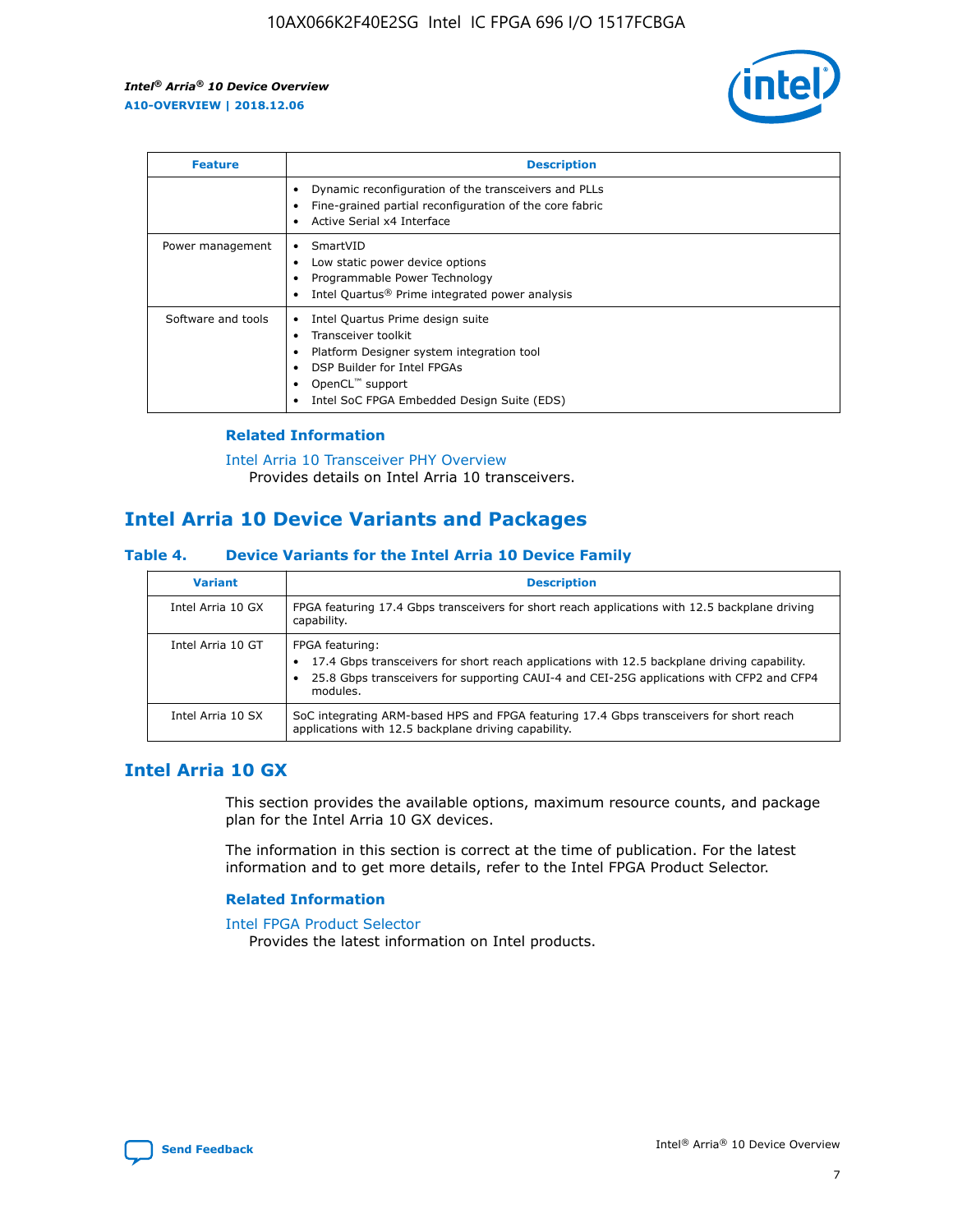

| <b>Feature</b>     | <b>Description</b>                                                                                                                                                                                               |
|--------------------|------------------------------------------------------------------------------------------------------------------------------------------------------------------------------------------------------------------|
|                    | Dynamic reconfiguration of the transceivers and PLLs<br>Fine-grained partial reconfiguration of the core fabric<br>Active Serial x4 Interface<br>$\bullet$                                                       |
| Power management   | SmartVID<br>$\bullet$<br>Low static power device options<br>Programmable Power Technology<br>Intel Quartus <sup>®</sup> Prime integrated power analysis                                                          |
| Software and tools | Intel Quartus Prime design suite<br>Transceiver toolkit<br>Platform Designer system integration tool<br>DSP Builder for Intel FPGAs<br>OpenCL <sup>™</sup> support<br>Intel SoC FPGA Embedded Design Suite (EDS) |

## **Related Information**

[Intel Arria 10 Transceiver PHY Overview](https://www.intel.com/content/www/us/en/programmable/documentation/nik1398707230472.html#nik1398706768037) Provides details on Intel Arria 10 transceivers.

## **Intel Arria 10 Device Variants and Packages**

#### **Table 4. Device Variants for the Intel Arria 10 Device Family**

| <b>Variant</b>    | <b>Description</b>                                                                                                                                                                                                     |
|-------------------|------------------------------------------------------------------------------------------------------------------------------------------------------------------------------------------------------------------------|
| Intel Arria 10 GX | FPGA featuring 17.4 Gbps transceivers for short reach applications with 12.5 backplane driving<br>capability.                                                                                                          |
| Intel Arria 10 GT | FPGA featuring:<br>17.4 Gbps transceivers for short reach applications with 12.5 backplane driving capability.<br>25.8 Gbps transceivers for supporting CAUI-4 and CEI-25G applications with CFP2 and CFP4<br>modules. |
| Intel Arria 10 SX | SoC integrating ARM-based HPS and FPGA featuring 17.4 Gbps transceivers for short reach<br>applications with 12.5 backplane driving capability.                                                                        |

## **Intel Arria 10 GX**

This section provides the available options, maximum resource counts, and package plan for the Intel Arria 10 GX devices.

The information in this section is correct at the time of publication. For the latest information and to get more details, refer to the Intel FPGA Product Selector.

#### **Related Information**

#### [Intel FPGA Product Selector](http://www.altera.com/products/selector/psg-selector.html) Provides the latest information on Intel products.

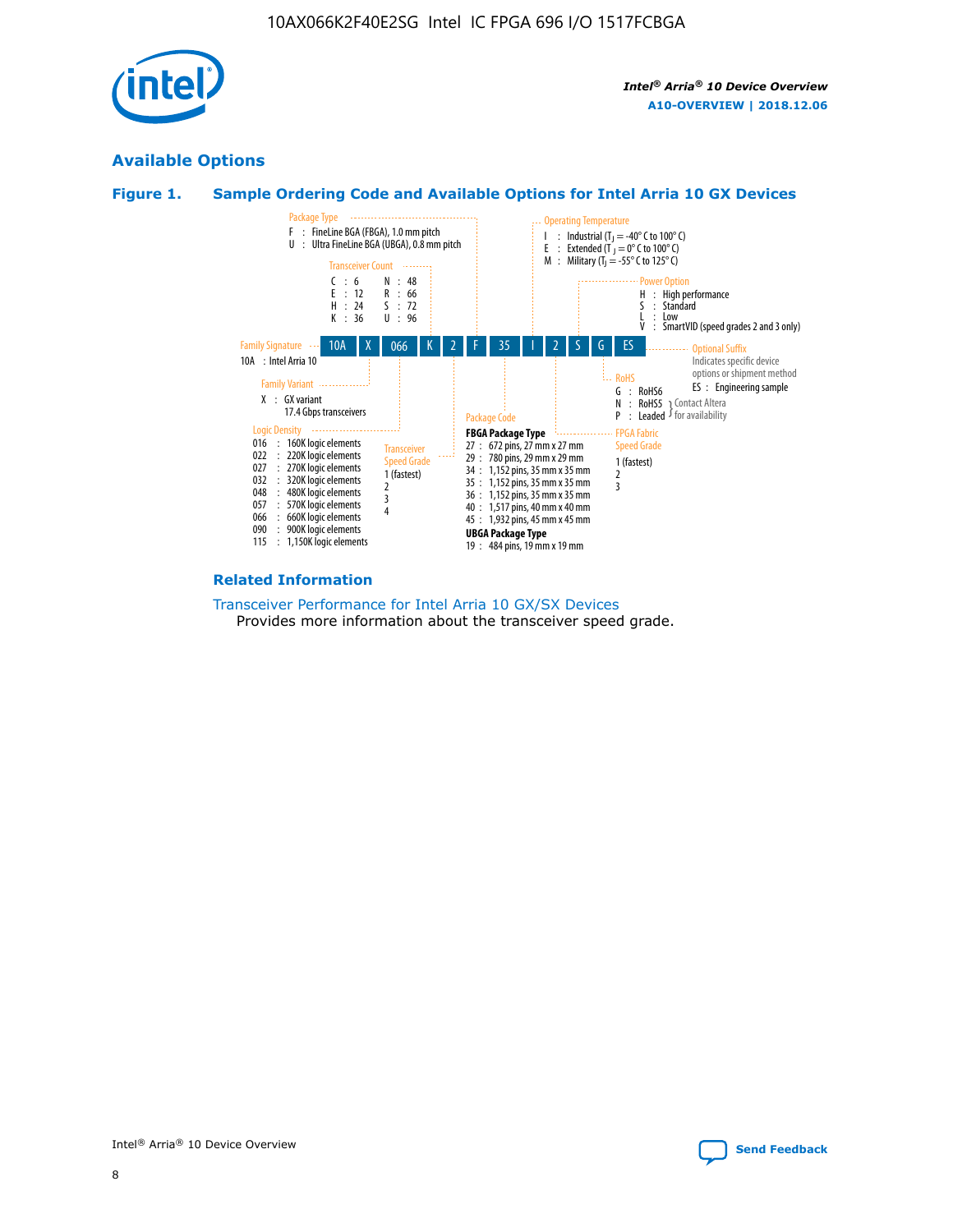

## **Available Options**





#### **Related Information**

[Transceiver Performance for Intel Arria 10 GX/SX Devices](https://www.intel.com/content/www/us/en/programmable/documentation/mcn1413182292568.html#mcn1413213965502) Provides more information about the transceiver speed grade.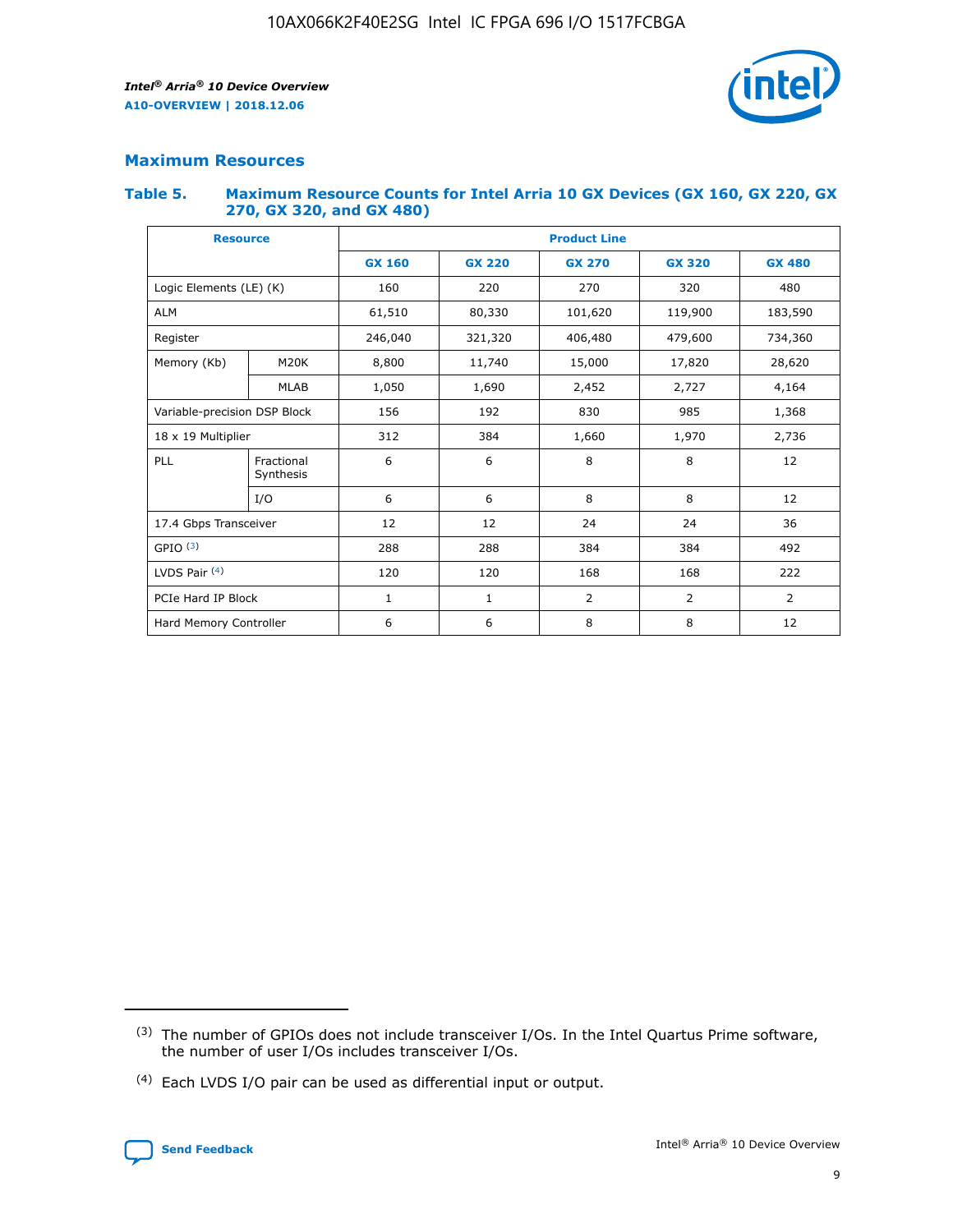

## **Maximum Resources**

#### **Table 5. Maximum Resource Counts for Intel Arria 10 GX Devices (GX 160, GX 220, GX 270, GX 320, and GX 480)**

| <b>Resource</b>         |                                                          | <b>Product Line</b> |                                                 |         |                |                |  |  |  |
|-------------------------|----------------------------------------------------------|---------------------|-------------------------------------------------|---------|----------------|----------------|--|--|--|
|                         |                                                          | <b>GX 160</b>       | <b>GX 220</b><br><b>GX 270</b><br><b>GX 320</b> |         |                | <b>GX 480</b>  |  |  |  |
| Logic Elements (LE) (K) |                                                          | 160                 | 220                                             | 270     | 320            | 480            |  |  |  |
| <b>ALM</b>              |                                                          | 61,510              | 80,330                                          | 101,620 | 119,900        | 183,590        |  |  |  |
| Register                |                                                          | 246,040             | 321,320                                         | 406,480 | 479,600        | 734,360        |  |  |  |
| Memory (Kb)             | M <sub>20</sub> K                                        | 8,800               | 11,740                                          | 15,000  | 17,820         | 28,620         |  |  |  |
| <b>MLAB</b>             |                                                          | 1,050               | 1,690                                           | 2,452   | 2,727          | 4,164          |  |  |  |
|                         | Variable-precision DSP Block<br>156<br>192<br>830<br>985 |                     |                                                 |         | 1,368          |                |  |  |  |
| 18 x 19 Multiplier      |                                                          | 312                 | 384                                             | 1,660   | 1,970          | 2,736          |  |  |  |
| PLL                     | Fractional<br>Synthesis                                  | 6                   | 6                                               | 8       | 8              | 12             |  |  |  |
|                         | I/O                                                      | 6                   | 6                                               | 8       | 8              | 12             |  |  |  |
| 17.4 Gbps Transceiver   |                                                          | 12                  | 12                                              | 24      | 24             |                |  |  |  |
| GPIO <sup>(3)</sup>     |                                                          | 288                 | 288                                             | 384     | 384            | 492            |  |  |  |
| LVDS Pair $(4)$         |                                                          | 120                 | 120                                             | 168     | 168            | 222            |  |  |  |
| PCIe Hard IP Block      |                                                          | 1                   | 1                                               | 2       | $\overline{2}$ | $\overline{2}$ |  |  |  |
| Hard Memory Controller  |                                                          | 6                   | 6                                               | 8       | 8              | 12             |  |  |  |

<sup>(4)</sup> Each LVDS I/O pair can be used as differential input or output.



<sup>(3)</sup> The number of GPIOs does not include transceiver I/Os. In the Intel Quartus Prime software, the number of user I/Os includes transceiver I/Os.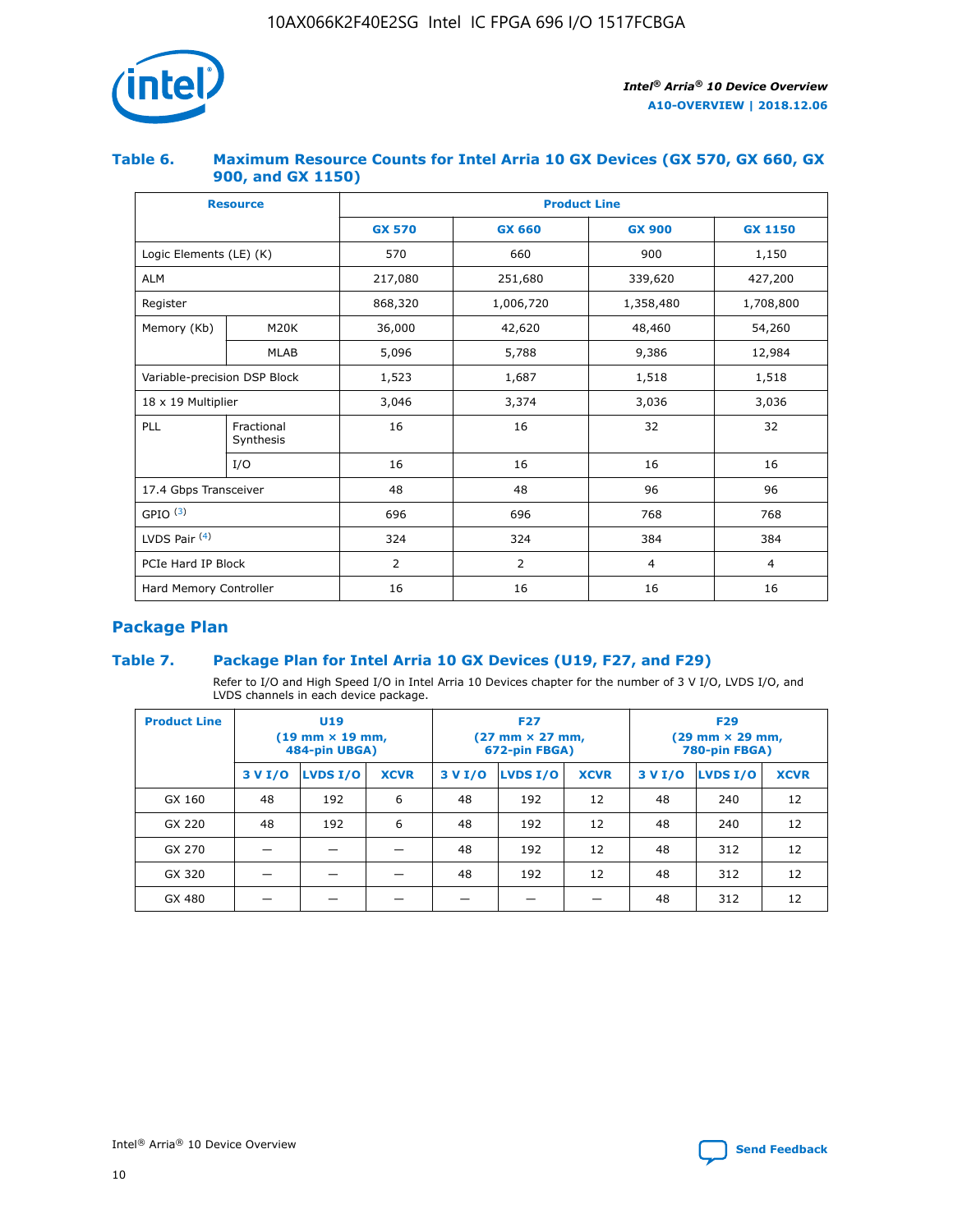

### **Table 6. Maximum Resource Counts for Intel Arria 10 GX Devices (GX 570, GX 660, GX 900, and GX 1150)**

|                              | <b>Resource</b>         | <b>Product Line</b> |                |                |                |  |  |  |
|------------------------------|-------------------------|---------------------|----------------|----------------|----------------|--|--|--|
|                              |                         | <b>GX 570</b>       | <b>GX 660</b>  | <b>GX 900</b>  | <b>GX 1150</b> |  |  |  |
| Logic Elements (LE) (K)      |                         | 570                 | 660            | 900            | 1,150          |  |  |  |
| <b>ALM</b>                   |                         | 217,080             | 251,680        | 339,620        | 427,200        |  |  |  |
| Register                     |                         | 868,320             | 1,006,720      | 1,358,480      | 1,708,800      |  |  |  |
| Memory (Kb)                  | <b>M20K</b>             | 36,000              | 42,620         | 48,460         | 54,260         |  |  |  |
|                              | <b>MLAB</b>             | 5,096               | 5,788          | 9,386          | 12,984         |  |  |  |
| Variable-precision DSP Block |                         | 1,523               | 1,687          | 1,518          | 1,518          |  |  |  |
| $18 \times 19$ Multiplier    |                         | 3,046               | 3,374          | 3,036          | 3,036          |  |  |  |
| PLL                          | Fractional<br>Synthesis | 16                  | 16             | 32             | 32             |  |  |  |
|                              | I/O                     | 16                  | 16             | 16             | 16             |  |  |  |
| 17.4 Gbps Transceiver        |                         | 48                  | 48             |                | 96             |  |  |  |
| GPIO <sup>(3)</sup>          |                         | 696                 | 696            | 768            | 768            |  |  |  |
| LVDS Pair $(4)$              |                         | 324                 | 324            |                | 384            |  |  |  |
| PCIe Hard IP Block           |                         | 2                   | $\overline{2}$ | $\overline{4}$ | 4              |  |  |  |
| Hard Memory Controller       |                         | 16                  | 16             | 16             | 16             |  |  |  |

## **Package Plan**

## **Table 7. Package Plan for Intel Arria 10 GX Devices (U19, F27, and F29)**

Refer to I/O and High Speed I/O in Intel Arria 10 Devices chapter for the number of 3 V I/O, LVDS I/O, and LVDS channels in each device package.

| <b>Product Line</b> | U <sub>19</sub><br>$(19 \text{ mm} \times 19 \text{ mm})$<br>484-pin UBGA) |          |             |         | <b>F27</b><br>(27 mm × 27 mm,<br>672-pin FBGA) |             | <b>F29</b><br>(29 mm × 29 mm,<br>780-pin FBGA) |          |             |  |
|---------------------|----------------------------------------------------------------------------|----------|-------------|---------|------------------------------------------------|-------------|------------------------------------------------|----------|-------------|--|
|                     | 3 V I/O                                                                    | LVDS I/O | <b>XCVR</b> | 3 V I/O | <b>LVDS I/O</b>                                | <b>XCVR</b> | 3 V I/O                                        | LVDS I/O | <b>XCVR</b> |  |
| GX 160              | 48                                                                         | 192      | 6           | 48      | 192                                            | 12          | 48                                             | 240      | 12          |  |
| GX 220              | 48                                                                         | 192      | 6           | 48      | 192                                            | 12          | 48                                             | 240      | 12          |  |
| GX 270              |                                                                            |          |             | 48      | 192                                            | 12          | 48                                             | 312      | 12          |  |
| GX 320              |                                                                            |          |             | 48      | 192                                            | 12          | 48                                             | 312      | 12          |  |
| GX 480              |                                                                            |          |             |         |                                                |             | 48                                             | 312      | 12          |  |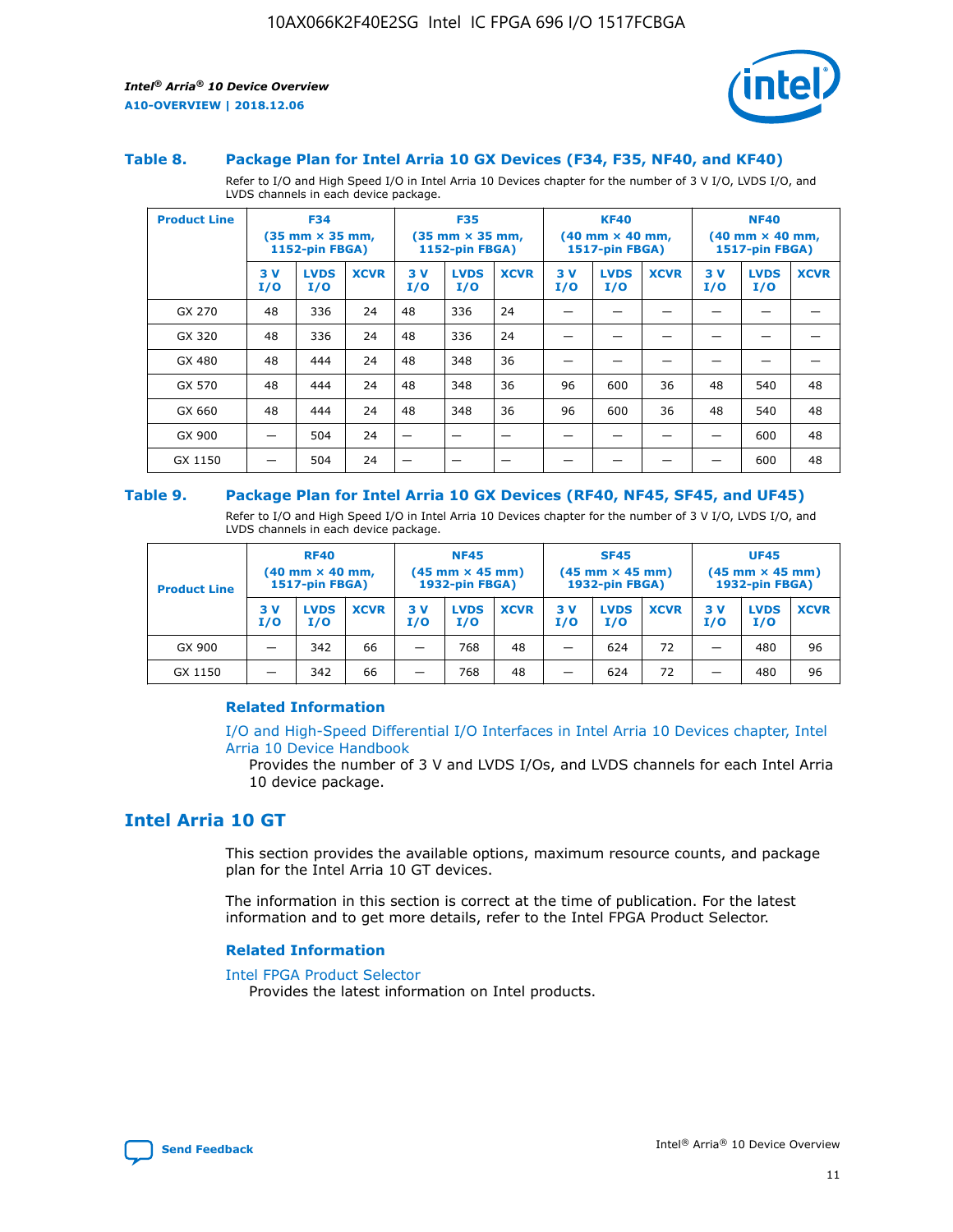

#### **Table 8. Package Plan for Intel Arria 10 GX Devices (F34, F35, NF40, and KF40)**

Refer to I/O and High Speed I/O in Intel Arria 10 Devices chapter for the number of 3 V I/O, LVDS I/O, and LVDS channels in each device package.

| <b>Product Line</b> | <b>F34</b><br>$(35 \text{ mm} \times 35 \text{ mm})$<br>1152-pin FBGA) |                    | <b>F35</b><br>$(35 \text{ mm} \times 35 \text{ mm})$<br><b>1152-pin FBGA)</b> |           | <b>KF40</b><br>$(40$ mm $\times$ 40 mm,<br>1517-pin FBGA) |             |           | <b>NF40</b><br>$(40$ mm $\times$ 40 mm,<br><b>1517-pin FBGA)</b> |             |            |                    |             |
|---------------------|------------------------------------------------------------------------|--------------------|-------------------------------------------------------------------------------|-----------|-----------------------------------------------------------|-------------|-----------|------------------------------------------------------------------|-------------|------------|--------------------|-------------|
|                     | 3V<br>I/O                                                              | <b>LVDS</b><br>I/O | <b>XCVR</b>                                                                   | 3V<br>I/O | <b>LVDS</b><br>I/O                                        | <b>XCVR</b> | 3V<br>I/O | <b>LVDS</b><br>I/O                                               | <b>XCVR</b> | 3 V<br>I/O | <b>LVDS</b><br>I/O | <b>XCVR</b> |
| GX 270              | 48                                                                     | 336                | 24                                                                            | 48        | 336                                                       | 24          |           |                                                                  |             |            |                    |             |
| GX 320              | 48                                                                     | 336                | 24                                                                            | 48        | 336                                                       | 24          |           |                                                                  |             |            |                    |             |
| GX 480              | 48                                                                     | 444                | 24                                                                            | 48        | 348                                                       | 36          |           |                                                                  |             |            |                    |             |
| GX 570              | 48                                                                     | 444                | 24                                                                            | 48        | 348                                                       | 36          | 96        | 600                                                              | 36          | 48         | 540                | 48          |
| GX 660              | 48                                                                     | 444                | 24                                                                            | 48        | 348                                                       | 36          | 96        | 600                                                              | 36          | 48         | 540                | 48          |
| GX 900              |                                                                        | 504                | 24                                                                            | -         |                                                           |             |           |                                                                  |             |            | 600                | 48          |
| GX 1150             |                                                                        | 504                | 24                                                                            |           |                                                           |             |           |                                                                  |             |            | 600                | 48          |

#### **Table 9. Package Plan for Intel Arria 10 GX Devices (RF40, NF45, SF45, and UF45)**

Refer to I/O and High Speed I/O in Intel Arria 10 Devices chapter for the number of 3 V I/O, LVDS I/O, and LVDS channels in each device package.

| <b>Product Line</b> | <b>RF40</b><br>$(40$ mm $\times$ 40 mm,<br>1517-pin FBGA) |                    |             | <b>NF45</b><br>$(45 \text{ mm} \times 45 \text{ mm})$<br><b>1932-pin FBGA)</b> |                    |             | <b>SF45</b><br>$(45 \text{ mm} \times 45 \text{ mm})$<br><b>1932-pin FBGA)</b> |                    |             | <b>UF45</b><br>$(45 \text{ mm} \times 45 \text{ mm})$<br><b>1932-pin FBGA)</b> |                    |             |
|---------------------|-----------------------------------------------------------|--------------------|-------------|--------------------------------------------------------------------------------|--------------------|-------------|--------------------------------------------------------------------------------|--------------------|-------------|--------------------------------------------------------------------------------|--------------------|-------------|
|                     | 3V<br>I/O                                                 | <b>LVDS</b><br>I/O | <b>XCVR</b> | 3 V<br>I/O                                                                     | <b>LVDS</b><br>I/O | <b>XCVR</b> | 3 V<br>I/O                                                                     | <b>LVDS</b><br>I/O | <b>XCVR</b> | 3V<br>I/O                                                                      | <b>LVDS</b><br>I/O | <b>XCVR</b> |
| GX 900              |                                                           | 342                | 66          | _                                                                              | 768                | 48          |                                                                                | 624                | 72          |                                                                                | 480                | 96          |
| GX 1150             |                                                           | 342                | 66          | _                                                                              | 768                | 48          |                                                                                | 624                | 72          |                                                                                | 480                | 96          |

#### **Related Information**

[I/O and High-Speed Differential I/O Interfaces in Intel Arria 10 Devices chapter, Intel](https://www.intel.com/content/www/us/en/programmable/documentation/sam1403482614086.html#sam1403482030321) [Arria 10 Device Handbook](https://www.intel.com/content/www/us/en/programmable/documentation/sam1403482614086.html#sam1403482030321)

Provides the number of 3 V and LVDS I/Os, and LVDS channels for each Intel Arria 10 device package.

## **Intel Arria 10 GT**

This section provides the available options, maximum resource counts, and package plan for the Intel Arria 10 GT devices.

The information in this section is correct at the time of publication. For the latest information and to get more details, refer to the Intel FPGA Product Selector.

#### **Related Information**

#### [Intel FPGA Product Selector](http://www.altera.com/products/selector/psg-selector.html)

Provides the latest information on Intel products.

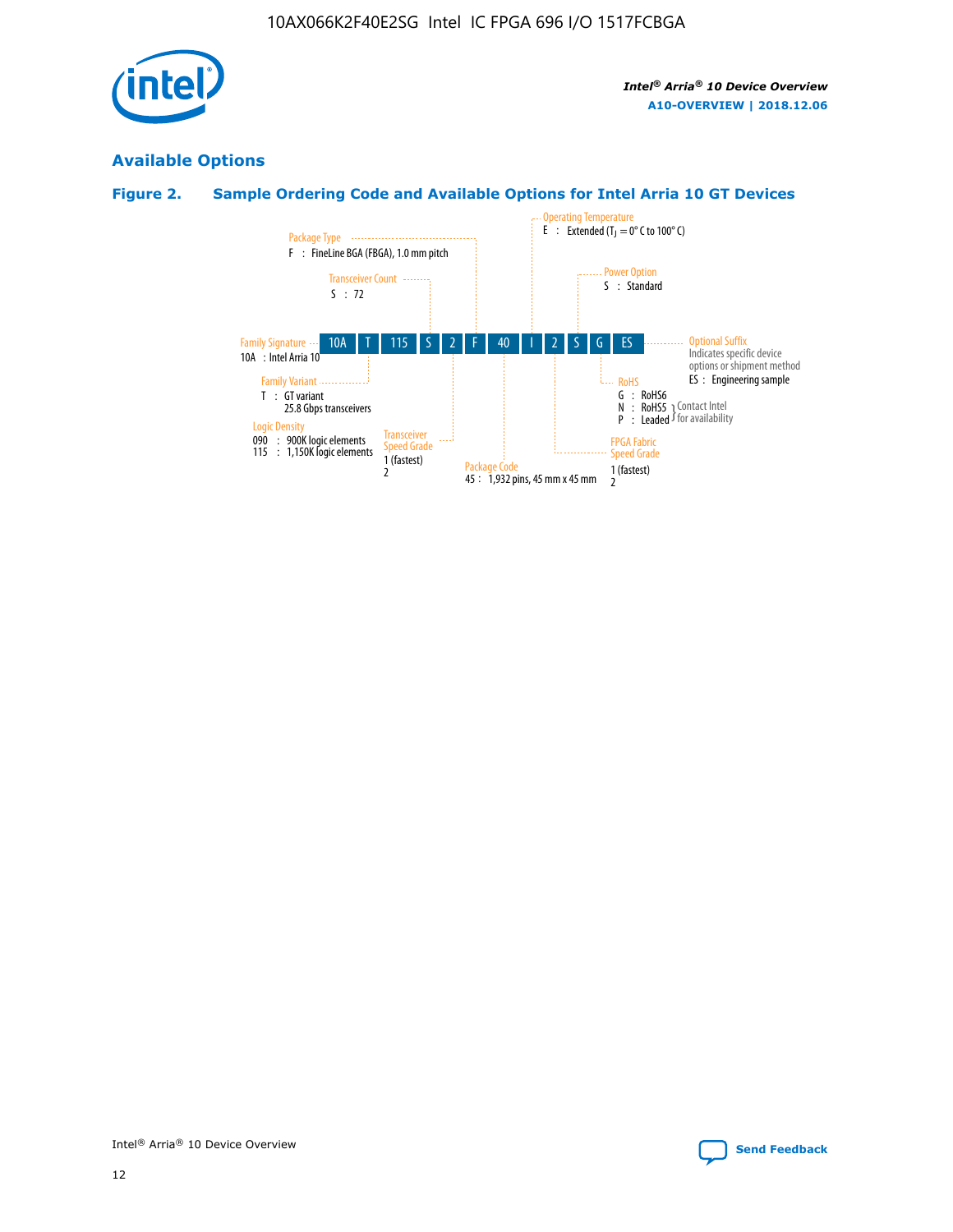

## **Available Options**

## **Figure 2. Sample Ordering Code and Available Options for Intel Arria 10 GT Devices**

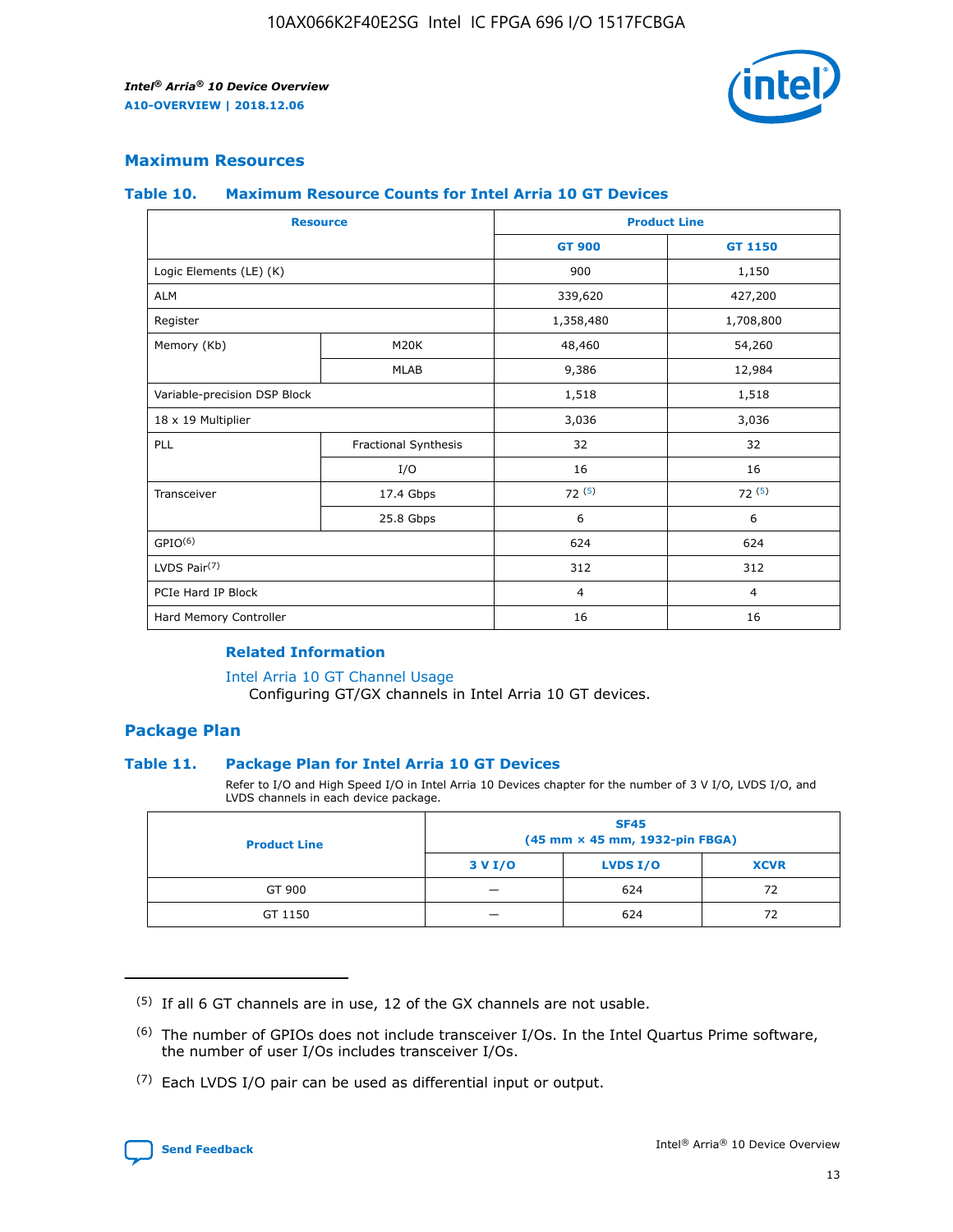

## **Maximum Resources**

#### **Table 10. Maximum Resource Counts for Intel Arria 10 GT Devices**

| <b>Resource</b>              |                      |                | <b>Product Line</b> |  |
|------------------------------|----------------------|----------------|---------------------|--|
|                              |                      | <b>GT 900</b>  | <b>GT 1150</b>      |  |
| Logic Elements (LE) (K)      |                      | 900            | 1,150               |  |
| <b>ALM</b>                   |                      | 339,620        | 427,200             |  |
| Register                     |                      | 1,358,480      | 1,708,800           |  |
| Memory (Kb)                  | M <sub>20</sub> K    | 48,460         | 54,260              |  |
|                              | <b>MLAB</b>          | 9,386          | 12,984              |  |
| Variable-precision DSP Block |                      | 1,518          | 1,518               |  |
| 18 x 19 Multiplier           |                      | 3,036          | 3,036               |  |
| PLL                          | Fractional Synthesis | 32             | 32                  |  |
|                              | I/O                  | 16             | 16                  |  |
| Transceiver                  | 17.4 Gbps            | 72(5)          | 72(5)               |  |
|                              | 25.8 Gbps            | 6              | 6                   |  |
| GPIO <sup>(6)</sup>          |                      | 624            | 624                 |  |
| LVDS Pair $(7)$              |                      | 312            | 312                 |  |
| PCIe Hard IP Block           |                      | $\overline{4}$ | $\overline{4}$      |  |
| Hard Memory Controller       |                      | 16             | 16                  |  |

#### **Related Information**

#### [Intel Arria 10 GT Channel Usage](https://www.intel.com/content/www/us/en/programmable/documentation/nik1398707230472.html#nik1398707008178)

Configuring GT/GX channels in Intel Arria 10 GT devices.

## **Package Plan**

#### **Table 11. Package Plan for Intel Arria 10 GT Devices**

Refer to I/O and High Speed I/O in Intel Arria 10 Devices chapter for the number of 3 V I/O, LVDS I/O, and LVDS channels in each device package.

| <b>Product Line</b> | <b>SF45</b><br>(45 mm × 45 mm, 1932-pin FBGA) |                 |             |  |  |  |
|---------------------|-----------------------------------------------|-----------------|-------------|--|--|--|
|                     | 3 V I/O                                       | <b>LVDS I/O</b> | <b>XCVR</b> |  |  |  |
| GT 900              |                                               | 624             | 72          |  |  |  |
| GT 1150             |                                               | 624             |             |  |  |  |

<sup>(7)</sup> Each LVDS I/O pair can be used as differential input or output.



 $(5)$  If all 6 GT channels are in use, 12 of the GX channels are not usable.

<sup>(6)</sup> The number of GPIOs does not include transceiver I/Os. In the Intel Quartus Prime software, the number of user I/Os includes transceiver I/Os.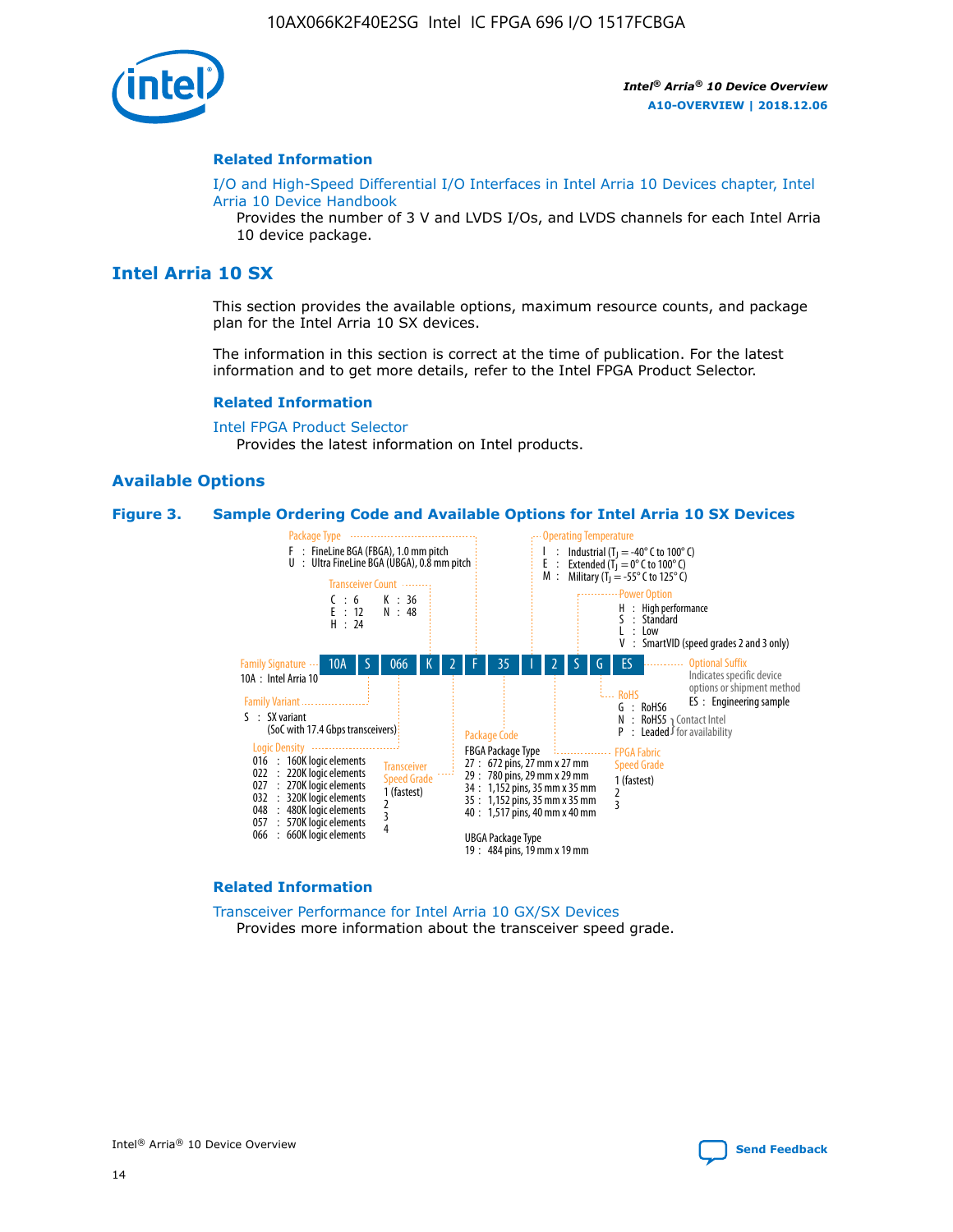

#### **Related Information**

[I/O and High-Speed Differential I/O Interfaces in Intel Arria 10 Devices chapter, Intel](https://www.intel.com/content/www/us/en/programmable/documentation/sam1403482614086.html#sam1403482030321) [Arria 10 Device Handbook](https://www.intel.com/content/www/us/en/programmable/documentation/sam1403482614086.html#sam1403482030321)

Provides the number of 3 V and LVDS I/Os, and LVDS channels for each Intel Arria 10 device package.

## **Intel Arria 10 SX**

This section provides the available options, maximum resource counts, and package plan for the Intel Arria 10 SX devices.

The information in this section is correct at the time of publication. For the latest information and to get more details, refer to the Intel FPGA Product Selector.

#### **Related Information**

[Intel FPGA Product Selector](http://www.altera.com/products/selector/psg-selector.html) Provides the latest information on Intel products.

#### **Available Options**

#### **Figure 3. Sample Ordering Code and Available Options for Intel Arria 10 SX Devices**



#### **Related Information**

[Transceiver Performance for Intel Arria 10 GX/SX Devices](https://www.intel.com/content/www/us/en/programmable/documentation/mcn1413182292568.html#mcn1413213965502) Provides more information about the transceiver speed grade.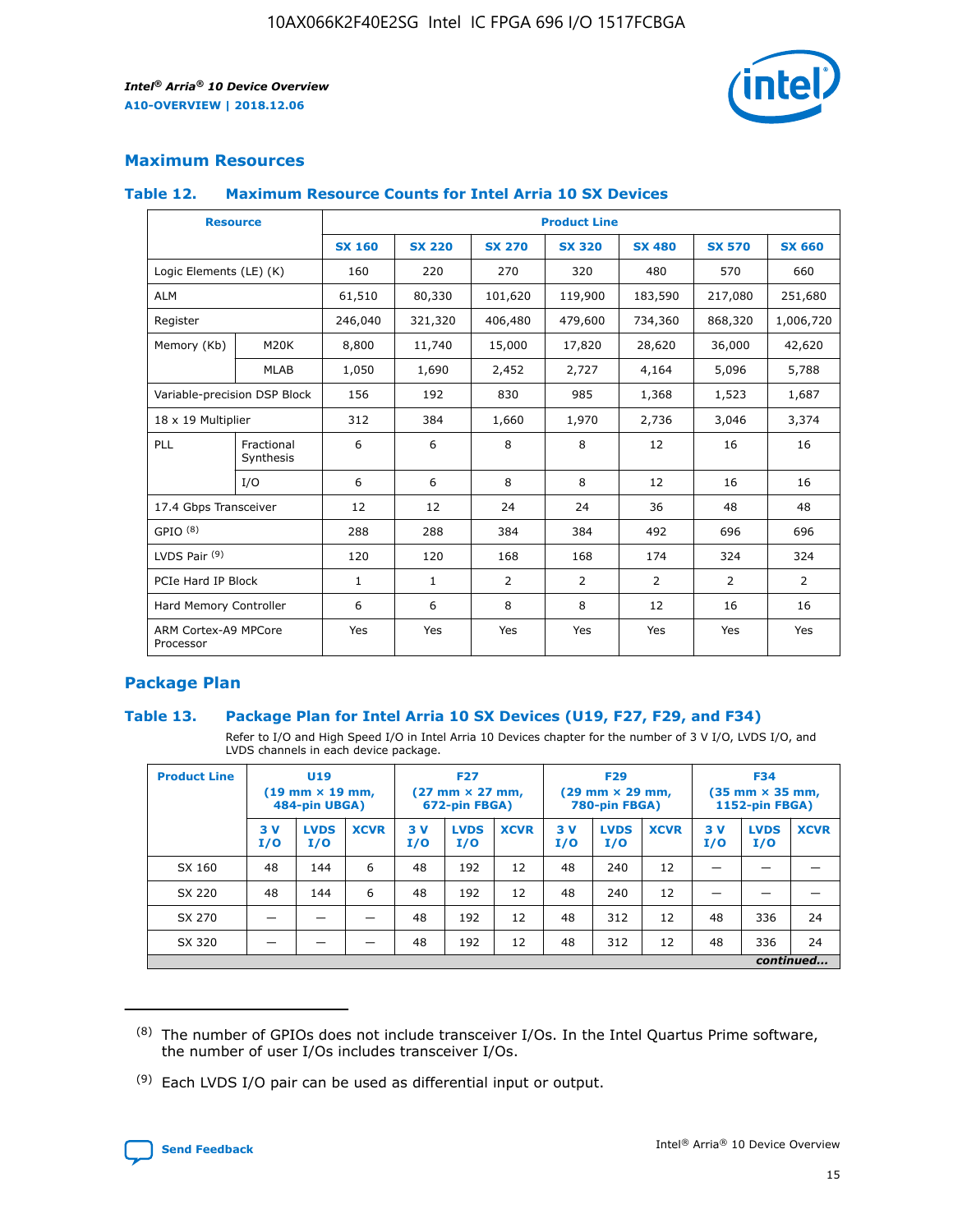

## **Maximum Resources**

#### **Table 12. Maximum Resource Counts for Intel Arria 10 SX Devices**

| <b>Resource</b>                   |                         | <b>Product Line</b> |               |                |                |                |                |                |  |  |  |
|-----------------------------------|-------------------------|---------------------|---------------|----------------|----------------|----------------|----------------|----------------|--|--|--|
|                                   |                         | <b>SX 160</b>       | <b>SX 220</b> | <b>SX 270</b>  | <b>SX 320</b>  | <b>SX 480</b>  | <b>SX 570</b>  | <b>SX 660</b>  |  |  |  |
| Logic Elements (LE) (K)           |                         | 160                 | 220           | 270            | 320            | 480            | 570            | 660            |  |  |  |
| <b>ALM</b>                        |                         | 61,510              | 80,330        | 101,620        | 119,900        | 183,590        | 217,080        | 251,680        |  |  |  |
| Register                          |                         | 246,040             | 321,320       | 406,480        | 479,600        | 734,360        | 868,320        | 1,006,720      |  |  |  |
| Memory (Kb)                       | M <sub>20</sub> K       | 8,800               | 11,740        | 15,000         | 17,820         | 28,620         | 36,000         | 42,620         |  |  |  |
|                                   | <b>MLAB</b>             | 1,050               | 1,690         | 2,452          | 2,727          | 4,164          | 5,096          | 5,788          |  |  |  |
| Variable-precision DSP Block      |                         | 156                 | 192           | 830            | 985            | 1,368          | 1,523          | 1,687          |  |  |  |
| 18 x 19 Multiplier                |                         | 312                 | 384           | 1,660          | 1,970          | 2,736          | 3,046          | 3,374          |  |  |  |
| PLL                               | Fractional<br>Synthesis | 6                   | 6             | 8              | 8              | 12             | 16             | 16             |  |  |  |
|                                   | I/O                     | 6                   | 6             | 8              | 8              | 12             | 16             | 16             |  |  |  |
| 17.4 Gbps Transceiver             |                         | 12                  | 12            | 24             | 24             | 36             | 48             | 48             |  |  |  |
| GPIO <sup>(8)</sup>               |                         | 288                 | 288           | 384            | 384            | 492            | 696            | 696            |  |  |  |
| LVDS Pair $(9)$                   |                         | 120                 | 120           | 168            | 168            | 174            | 324            | 324            |  |  |  |
| PCIe Hard IP Block                |                         | $\mathbf{1}$        | $\mathbf{1}$  | $\overline{2}$ | $\overline{2}$ | $\overline{2}$ | $\overline{2}$ | $\overline{2}$ |  |  |  |
| Hard Memory Controller            |                         | 6                   | 6             | 8              | 8              | 12             | 16             | 16             |  |  |  |
| ARM Cortex-A9 MPCore<br>Processor |                         | Yes                 | Yes           | Yes            | Yes            | Yes            | Yes            | <b>Yes</b>     |  |  |  |

## **Package Plan**

#### **Table 13. Package Plan for Intel Arria 10 SX Devices (U19, F27, F29, and F34)**

Refer to I/O and High Speed I/O in Intel Arria 10 Devices chapter for the number of 3 V I/O, LVDS I/O, and LVDS channels in each device package.

| <b>Product Line</b> | U19<br>$(19 \text{ mm} \times 19 \text{ mm})$<br>484-pin UBGA) |                    | <b>F27</b><br>$(27 \text{ mm} \times 27 \text{ mm})$<br>672-pin FBGA) |           | <b>F29</b><br>$(29 \text{ mm} \times 29 \text{ mm})$<br>780-pin FBGA) |             |            | <b>F34</b><br>$(35 \text{ mm} \times 35 \text{ mm})$<br><b>1152-pin FBGA)</b> |             |           |                    |             |
|---------------------|----------------------------------------------------------------|--------------------|-----------------------------------------------------------------------|-----------|-----------------------------------------------------------------------|-------------|------------|-------------------------------------------------------------------------------|-------------|-----------|--------------------|-------------|
|                     | 3V<br>I/O                                                      | <b>LVDS</b><br>I/O | <b>XCVR</b>                                                           | 3V<br>I/O | <b>LVDS</b><br>I/O                                                    | <b>XCVR</b> | 3 V<br>I/O | <b>LVDS</b><br>I/O                                                            | <b>XCVR</b> | 3V<br>I/O | <b>LVDS</b><br>I/O | <b>XCVR</b> |
| SX 160              | 48                                                             | 144                | 6                                                                     | 48        | 192                                                                   | 12          | 48         | 240                                                                           | 12          | –         |                    |             |
| SX 220              | 48                                                             | 144                | 6                                                                     | 48        | 192                                                                   | 12          | 48         | 240                                                                           | 12          |           |                    |             |
| SX 270              |                                                                |                    |                                                                       | 48        | 192                                                                   | 12          | 48         | 312                                                                           | 12          | 48        | 336                | 24          |
| SX 320              |                                                                |                    |                                                                       | 48        | 192                                                                   | 12          | 48         | 312                                                                           | 12          | 48        | 336                | 24          |
|                     | continued                                                      |                    |                                                                       |           |                                                                       |             |            |                                                                               |             |           |                    |             |

 $(8)$  The number of GPIOs does not include transceiver I/Os. In the Intel Quartus Prime software, the number of user I/Os includes transceiver I/Os.

 $(9)$  Each LVDS I/O pair can be used as differential input or output.

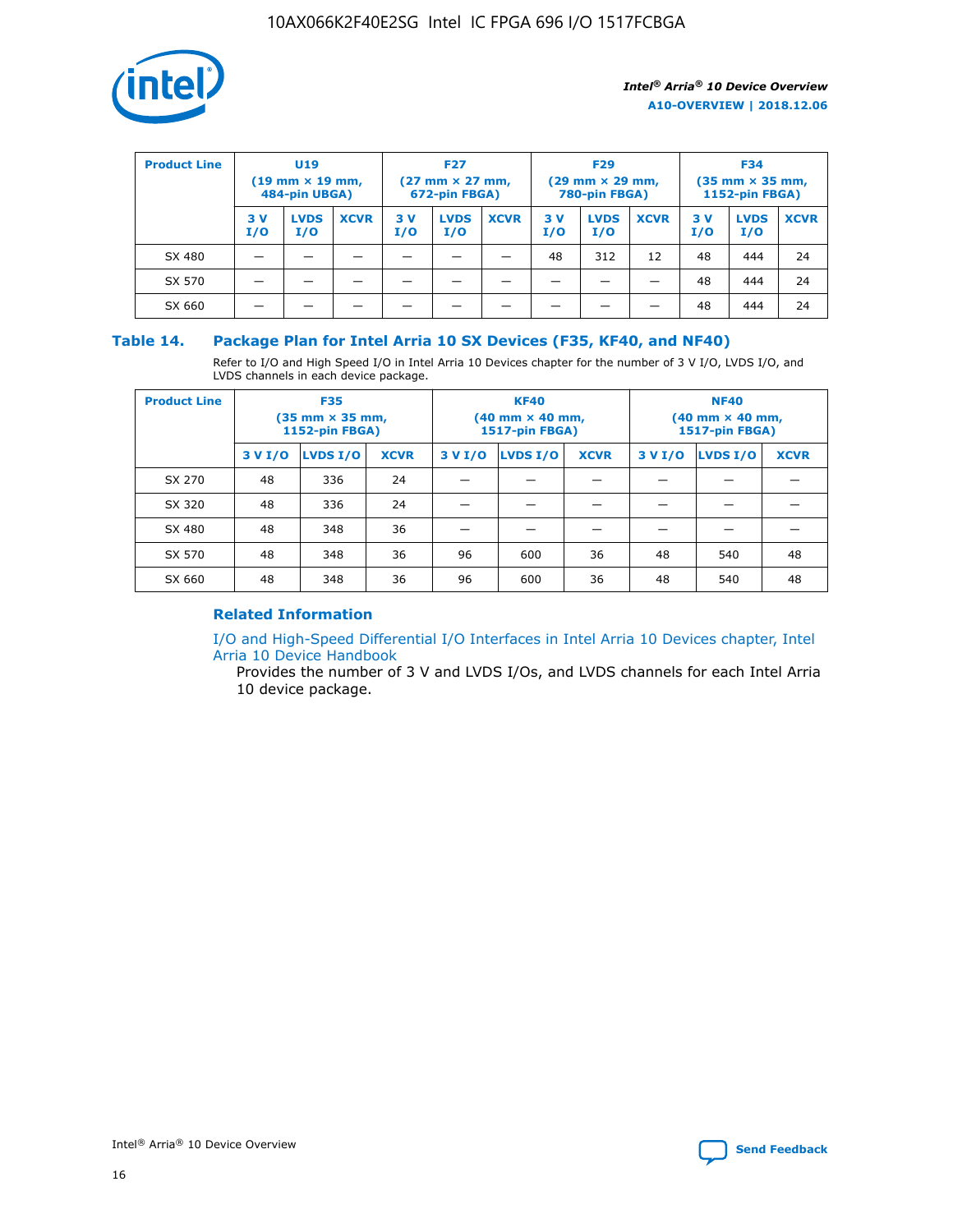

| <b>Product Line</b> | <b>U19</b><br>$(19 \text{ mm} \times 19 \text{ mm})$<br>484-pin UBGA) |                    | <b>F27</b><br>$(27 \text{ mm} \times 27 \text{ mm})$<br>672-pin FBGA) |            | <b>F29</b><br>$(29$ mm $\times$ 29 mm,<br>780-pin FBGA) |             |           | <b>F34</b><br>$(35$ mm $\times$ 35 mm,<br><b>1152-pin FBGA)</b> |             |           |                    |             |
|---------------------|-----------------------------------------------------------------------|--------------------|-----------------------------------------------------------------------|------------|---------------------------------------------------------|-------------|-----------|-----------------------------------------------------------------|-------------|-----------|--------------------|-------------|
|                     | 3 V<br>I/O                                                            | <b>LVDS</b><br>I/O | <b>XCVR</b>                                                           | 3 V<br>I/O | <b>LVDS</b><br>I/O                                      | <b>XCVR</b> | 3V<br>I/O | <b>LVDS</b><br>I/O                                              | <b>XCVR</b> | 3V<br>I/O | <b>LVDS</b><br>I/O | <b>XCVR</b> |
| SX 480              |                                                                       |                    |                                                                       |            |                                                         |             | 48        | 312                                                             | 12          | 48        | 444                | 24          |
| SX 570              |                                                                       |                    |                                                                       |            |                                                         |             |           |                                                                 |             | 48        | 444                | 24          |
| SX 660              |                                                                       |                    |                                                                       |            |                                                         |             |           |                                                                 |             | 48        | 444                | 24          |

### **Table 14. Package Plan for Intel Arria 10 SX Devices (F35, KF40, and NF40)**

Refer to I/O and High Speed I/O in Intel Arria 10 Devices chapter for the number of 3 V I/O, LVDS I/O, and LVDS channels in each device package.

| <b>Product Line</b> | <b>F35</b><br>(35 mm × 35 mm,<br><b>1152-pin FBGA)</b> |          |             |                                           | <b>KF40</b><br>(40 mm × 40 mm,<br>1517-pin FBGA) |    | <b>NF40</b><br>$(40 \text{ mm} \times 40 \text{ mm})$<br>1517-pin FBGA) |          |             |  |
|---------------------|--------------------------------------------------------|----------|-------------|-------------------------------------------|--------------------------------------------------|----|-------------------------------------------------------------------------|----------|-------------|--|
|                     | 3 V I/O                                                | LVDS I/O | <b>XCVR</b> | <b>LVDS I/O</b><br>3 V I/O<br><b>XCVR</b> |                                                  |    | 3 V I/O                                                                 | LVDS I/O | <b>XCVR</b> |  |
| SX 270              | 48                                                     | 336      | 24          |                                           |                                                  |    |                                                                         |          |             |  |
| SX 320              | 48                                                     | 336      | 24          |                                           |                                                  |    |                                                                         |          |             |  |
| SX 480              | 48                                                     | 348      | 36          |                                           |                                                  |    |                                                                         |          |             |  |
| SX 570              | 48                                                     | 348      | 36          | 96                                        | 600                                              | 36 | 48                                                                      | 540      | 48          |  |
| SX 660              | 48                                                     | 348      | 36          | 96                                        | 600                                              | 36 | 48                                                                      | 540      | 48          |  |

## **Related Information**

[I/O and High-Speed Differential I/O Interfaces in Intel Arria 10 Devices chapter, Intel](https://www.intel.com/content/www/us/en/programmable/documentation/sam1403482614086.html#sam1403482030321) [Arria 10 Device Handbook](https://www.intel.com/content/www/us/en/programmable/documentation/sam1403482614086.html#sam1403482030321)

Provides the number of 3 V and LVDS I/Os, and LVDS channels for each Intel Arria 10 device package.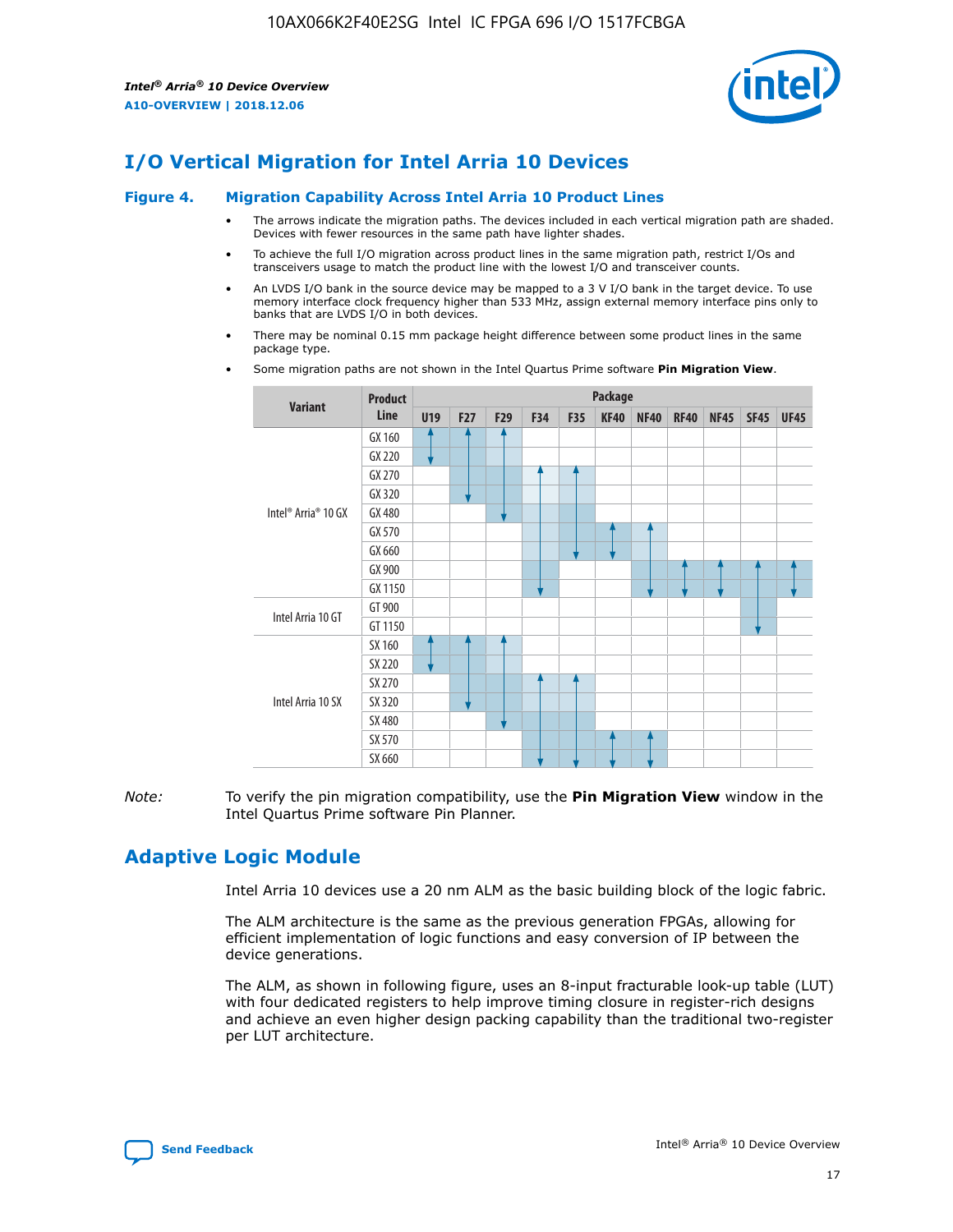

## **I/O Vertical Migration for Intel Arria 10 Devices**

#### **Figure 4. Migration Capability Across Intel Arria 10 Product Lines**

- The arrows indicate the migration paths. The devices included in each vertical migration path are shaded. Devices with fewer resources in the same path have lighter shades.
- To achieve the full I/O migration across product lines in the same migration path, restrict I/Os and transceivers usage to match the product line with the lowest I/O and transceiver counts.
- An LVDS I/O bank in the source device may be mapped to a 3 V I/O bank in the target device. To use memory interface clock frequency higher than 533 MHz, assign external memory interface pins only to banks that are LVDS I/O in both devices.
- There may be nominal 0.15 mm package height difference between some product lines in the same package type.
	- **Variant Product Line Package U19 F27 F29 F34 F35 KF40 NF40 RF40 NF45 SF45 UF45** Intel® Arria® 10 GX GX 160 GX 220 GX 270 GX 320 GX 480 GX 570 GX 660 GX 900 GX 1150 Intel Arria 10 GT GT 900 GT 1150 Intel Arria 10 SX SX 160 SX 220 SX 270 SX 320 SX 480 SX 570 SX 660
- Some migration paths are not shown in the Intel Quartus Prime software **Pin Migration View**.

*Note:* To verify the pin migration compatibility, use the **Pin Migration View** window in the Intel Quartus Prime software Pin Planner.

## **Adaptive Logic Module**

Intel Arria 10 devices use a 20 nm ALM as the basic building block of the logic fabric.

The ALM architecture is the same as the previous generation FPGAs, allowing for efficient implementation of logic functions and easy conversion of IP between the device generations.

The ALM, as shown in following figure, uses an 8-input fracturable look-up table (LUT) with four dedicated registers to help improve timing closure in register-rich designs and achieve an even higher design packing capability than the traditional two-register per LUT architecture.

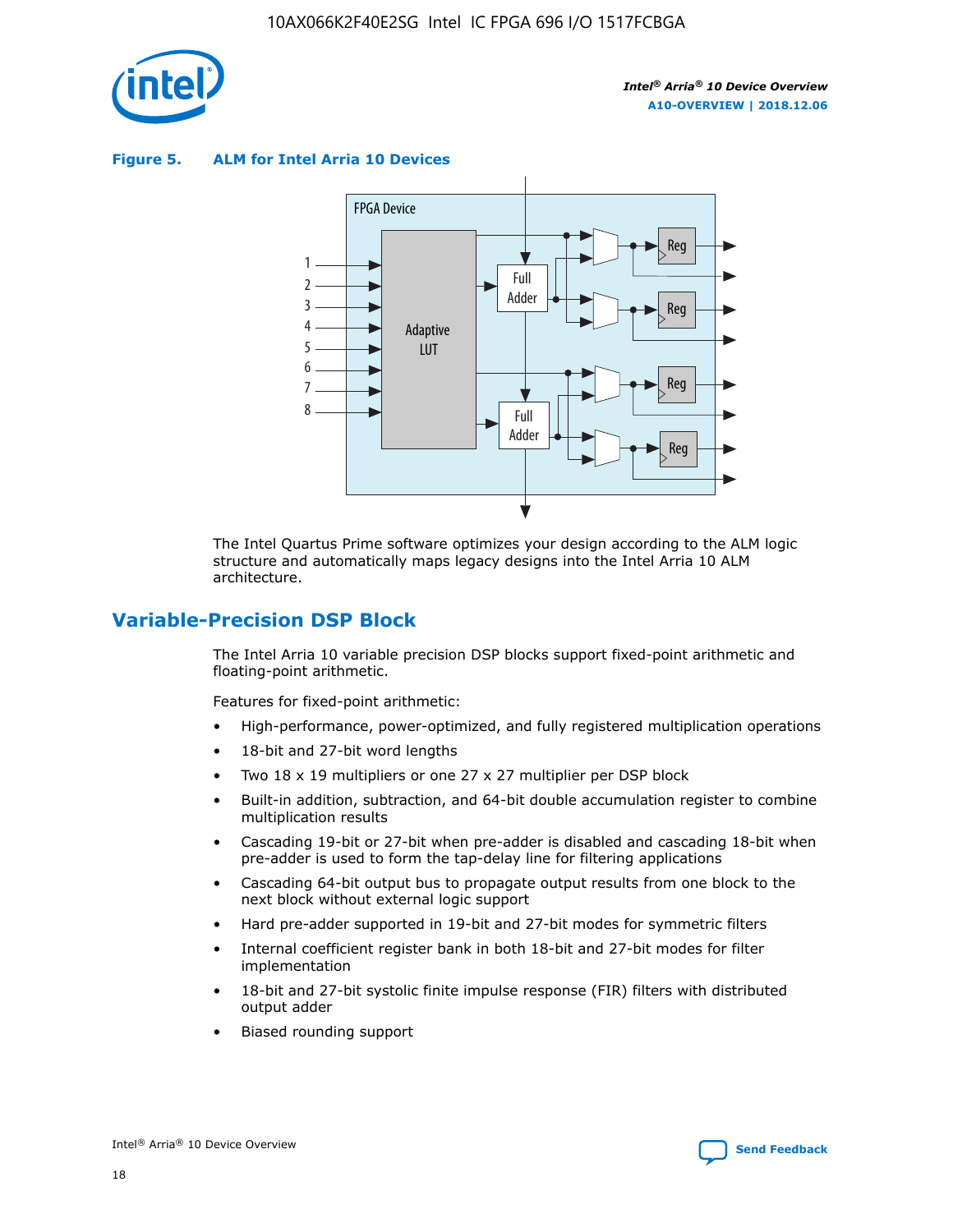

**Figure 5. ALM for Intel Arria 10 Devices**



The Intel Quartus Prime software optimizes your design according to the ALM logic structure and automatically maps legacy designs into the Intel Arria 10 ALM architecture.

## **Variable-Precision DSP Block**

The Intel Arria 10 variable precision DSP blocks support fixed-point arithmetic and floating-point arithmetic.

Features for fixed-point arithmetic:

- High-performance, power-optimized, and fully registered multiplication operations
- 18-bit and 27-bit word lengths
- Two 18 x 19 multipliers or one 27 x 27 multiplier per DSP block
- Built-in addition, subtraction, and 64-bit double accumulation register to combine multiplication results
- Cascading 19-bit or 27-bit when pre-adder is disabled and cascading 18-bit when pre-adder is used to form the tap-delay line for filtering applications
- Cascading 64-bit output bus to propagate output results from one block to the next block without external logic support
- Hard pre-adder supported in 19-bit and 27-bit modes for symmetric filters
- Internal coefficient register bank in both 18-bit and 27-bit modes for filter implementation
- 18-bit and 27-bit systolic finite impulse response (FIR) filters with distributed output adder
- Biased rounding support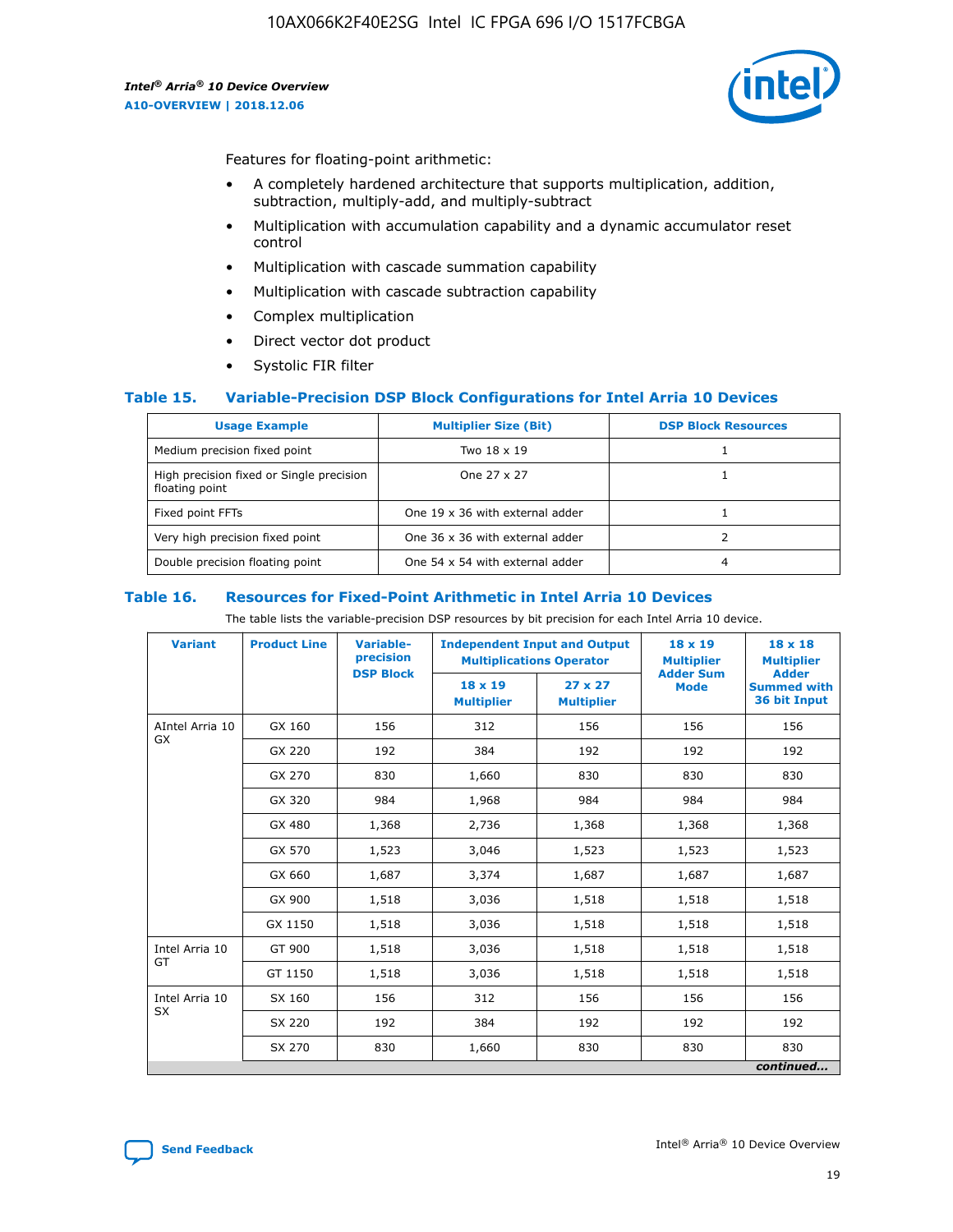

Features for floating-point arithmetic:

- A completely hardened architecture that supports multiplication, addition, subtraction, multiply-add, and multiply-subtract
- Multiplication with accumulation capability and a dynamic accumulator reset control
- Multiplication with cascade summation capability
- Multiplication with cascade subtraction capability
- Complex multiplication
- Direct vector dot product
- Systolic FIR filter

#### **Table 15. Variable-Precision DSP Block Configurations for Intel Arria 10 Devices**

| <b>Usage Example</b>                                       | <b>Multiplier Size (Bit)</b>    | <b>DSP Block Resources</b> |
|------------------------------------------------------------|---------------------------------|----------------------------|
| Medium precision fixed point                               | Two 18 x 19                     |                            |
| High precision fixed or Single precision<br>floating point | One 27 x 27                     |                            |
| Fixed point FFTs                                           | One 19 x 36 with external adder |                            |
| Very high precision fixed point                            | One 36 x 36 with external adder |                            |
| Double precision floating point                            | One 54 x 54 with external adder | 4                          |

#### **Table 16. Resources for Fixed-Point Arithmetic in Intel Arria 10 Devices**

The table lists the variable-precision DSP resources by bit precision for each Intel Arria 10 device.

| <b>Variant</b>  | <b>Product Line</b> | Variable-<br>precision<br><b>DSP Block</b> | <b>Independent Input and Output</b><br><b>Multiplications Operator</b> |                                     | 18 x 19<br><b>Multiplier</b><br><b>Adder Sum</b> | $18 \times 18$<br><b>Multiplier</b><br><b>Adder</b> |
|-----------------|---------------------|--------------------------------------------|------------------------------------------------------------------------|-------------------------------------|--------------------------------------------------|-----------------------------------------------------|
|                 |                     |                                            | 18 x 19<br><b>Multiplier</b>                                           | $27 \times 27$<br><b>Multiplier</b> | <b>Mode</b>                                      | <b>Summed with</b><br>36 bit Input                  |
| AIntel Arria 10 | GX 160              | 156                                        | 312                                                                    | 156                                 | 156                                              | 156                                                 |
| GX              | GX 220              | 192                                        | 384                                                                    | 192                                 | 192                                              | 192                                                 |
|                 | GX 270              | 830                                        | 1,660                                                                  | 830                                 | 830                                              | 830                                                 |
|                 | GX 320              | 984                                        | 1,968                                                                  | 984                                 | 984                                              | 984                                                 |
|                 | GX 480              | 1,368                                      | 2,736                                                                  | 1,368                               | 1,368                                            | 1,368                                               |
|                 | GX 570              | 1,523                                      | 3,046                                                                  | 1,523                               | 1,523                                            | 1,523                                               |
|                 | GX 660              | 1,687                                      | 3,374                                                                  | 1,687                               | 1,687                                            | 1,687                                               |
|                 | GX 900              | 1,518                                      | 3,036                                                                  | 1,518                               | 1,518                                            | 1,518                                               |
|                 | GX 1150             | 1,518                                      | 3,036                                                                  | 1,518                               | 1,518                                            | 1,518                                               |
| Intel Arria 10  | GT 900              | 1,518                                      | 3,036                                                                  | 1,518                               | 1,518                                            | 1,518                                               |
| GT              | GT 1150             | 1,518                                      | 3,036                                                                  | 1,518                               | 1,518                                            | 1,518                                               |
| Intel Arria 10  | SX 160              | 156                                        | 312                                                                    | 156                                 | 156                                              | 156                                                 |
| <b>SX</b>       | SX 220              | 192                                        | 384                                                                    | 192                                 | 192                                              | 192                                                 |
|                 | SX 270              | 830                                        | 1,660                                                                  | 830                                 | 830                                              | 830                                                 |
|                 |                     |                                            |                                                                        |                                     |                                                  | continued                                           |

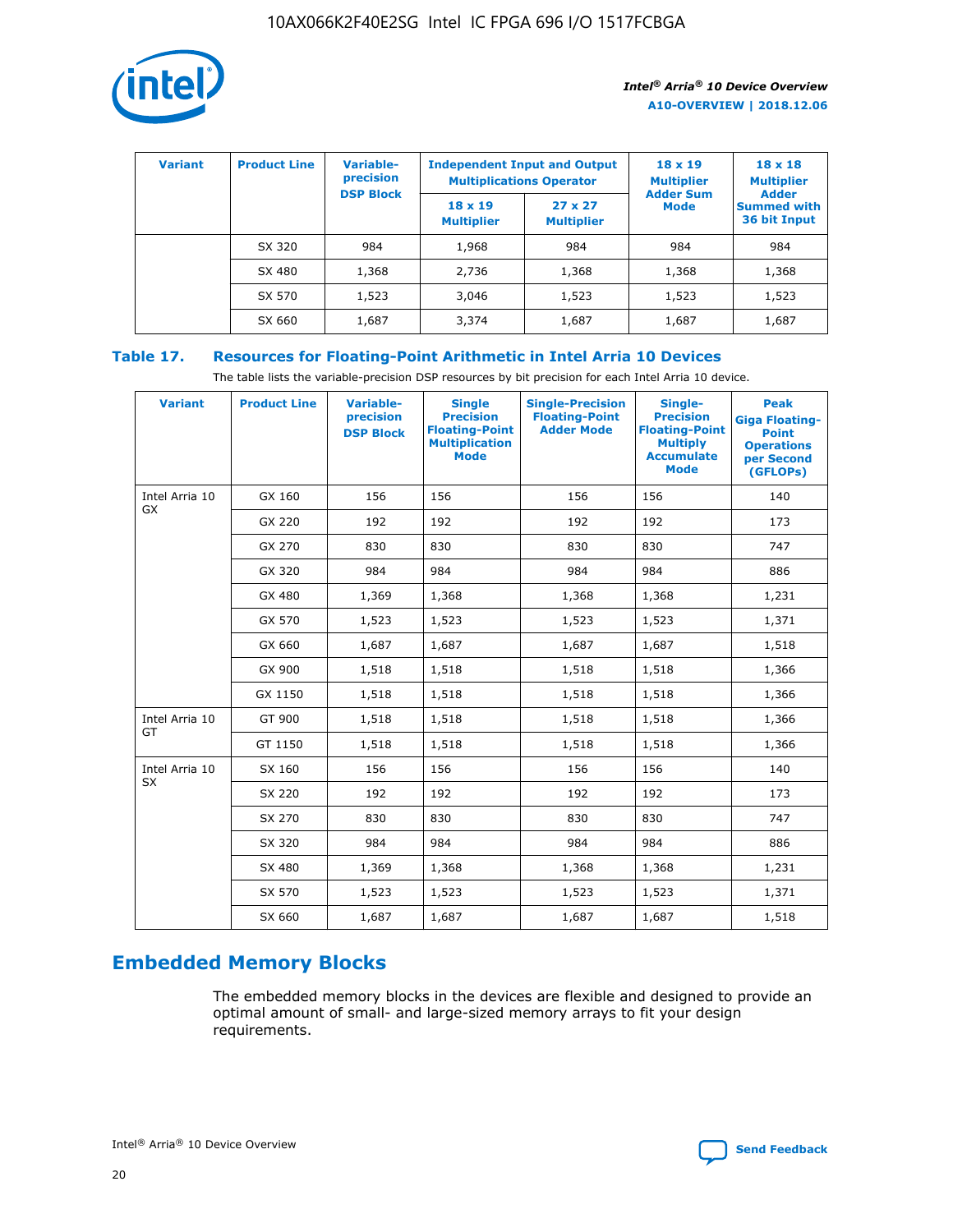

| <b>Variant</b> | <b>Product Line</b> | Variable-<br>precision | <b>Independent Input and Output</b><br><b>Multiplications Operator</b> |                                     | $18 \times 19$<br><b>Multiplier</b> | $18 \times 18$<br><b>Multiplier</b><br><b>Adder</b> |  |
|----------------|---------------------|------------------------|------------------------------------------------------------------------|-------------------------------------|-------------------------------------|-----------------------------------------------------|--|
|                |                     | <b>DSP Block</b>       | $18 \times 19$<br><b>Multiplier</b>                                    | $27 \times 27$<br><b>Multiplier</b> | <b>Adder Sum</b><br><b>Mode</b>     | <b>Summed with</b><br>36 bit Input                  |  |
|                | SX 320              | 984                    | 1,968                                                                  | 984                                 | 984                                 | 984                                                 |  |
|                | SX 480              | 1,368                  | 2,736                                                                  | 1,368                               | 1,368                               | 1,368                                               |  |
|                | SX 570              | 1,523                  | 3,046                                                                  | 1,523                               | 1,523                               | 1,523                                               |  |
|                | SX 660              | 1,687                  | 3,374                                                                  | 1,687                               | 1,687                               | 1,687                                               |  |

## **Table 17. Resources for Floating-Point Arithmetic in Intel Arria 10 Devices**

The table lists the variable-precision DSP resources by bit precision for each Intel Arria 10 device.

| <b>Variant</b> | <b>Product Line</b> | <b>Variable-</b><br>precision<br><b>DSP Block</b> | <b>Single</b><br><b>Precision</b><br><b>Floating-Point</b><br><b>Multiplication</b><br><b>Mode</b> | <b>Single-Precision</b><br><b>Floating-Point</b><br><b>Adder Mode</b> | Single-<br><b>Precision</b><br><b>Floating-Point</b><br><b>Multiply</b><br><b>Accumulate</b><br><b>Mode</b> | <b>Peak</b><br><b>Giga Floating-</b><br><b>Point</b><br><b>Operations</b><br>per Second<br>(GFLOPs) |
|----------------|---------------------|---------------------------------------------------|----------------------------------------------------------------------------------------------------|-----------------------------------------------------------------------|-------------------------------------------------------------------------------------------------------------|-----------------------------------------------------------------------------------------------------|
| Intel Arria 10 | GX 160              | 156                                               | 156                                                                                                | 156                                                                   | 156                                                                                                         | 140                                                                                                 |
| GX             | GX 220              | 192                                               | 192                                                                                                | 192                                                                   | 192                                                                                                         | 173                                                                                                 |
|                | GX 270              | 830                                               | 830                                                                                                | 830                                                                   | 830                                                                                                         | 747                                                                                                 |
|                | GX 320              | 984                                               | 984                                                                                                | 984                                                                   | 984                                                                                                         | 886                                                                                                 |
|                | GX 480              | 1,369                                             | 1,368                                                                                              | 1,368                                                                 | 1,368                                                                                                       | 1,231                                                                                               |
|                | GX 570              | 1,523                                             | 1,523                                                                                              | 1,523                                                                 | 1,523                                                                                                       | 1,371                                                                                               |
|                | GX 660              | 1,687                                             | 1,687                                                                                              | 1,687                                                                 | 1,687                                                                                                       | 1,518                                                                                               |
|                | GX 900              | 1,518                                             | 1,518                                                                                              | 1,518                                                                 | 1,518                                                                                                       | 1,366                                                                                               |
|                | GX 1150             | 1,518                                             | 1,518                                                                                              | 1,518                                                                 | 1,518                                                                                                       | 1,366                                                                                               |
| Intel Arria 10 | GT 900              | 1,518                                             | 1,518                                                                                              | 1,518                                                                 | 1,518                                                                                                       | 1,366                                                                                               |
| GT             | GT 1150             | 1,518                                             | 1,518                                                                                              | 1,518                                                                 | 1,518                                                                                                       | 1,366                                                                                               |
| Intel Arria 10 | SX 160              | 156                                               | 156                                                                                                | 156                                                                   | 156                                                                                                         | 140                                                                                                 |
| <b>SX</b>      | SX 220              | 192                                               | 192                                                                                                | 192                                                                   | 192                                                                                                         | 173                                                                                                 |
|                | SX 270              | 830                                               | 830                                                                                                | 830                                                                   | 830                                                                                                         | 747                                                                                                 |
|                | SX 320              | 984                                               | 984                                                                                                | 984                                                                   | 984                                                                                                         | 886                                                                                                 |
|                | SX 480              | 1,369                                             | 1,368                                                                                              | 1,368                                                                 | 1,368                                                                                                       | 1,231                                                                                               |
|                | SX 570              | 1,523                                             | 1,523                                                                                              | 1,523                                                                 | 1,523                                                                                                       | 1,371                                                                                               |
|                | SX 660              | 1,687                                             | 1,687                                                                                              | 1,687                                                                 | 1,687                                                                                                       | 1,518                                                                                               |

# **Embedded Memory Blocks**

The embedded memory blocks in the devices are flexible and designed to provide an optimal amount of small- and large-sized memory arrays to fit your design requirements.

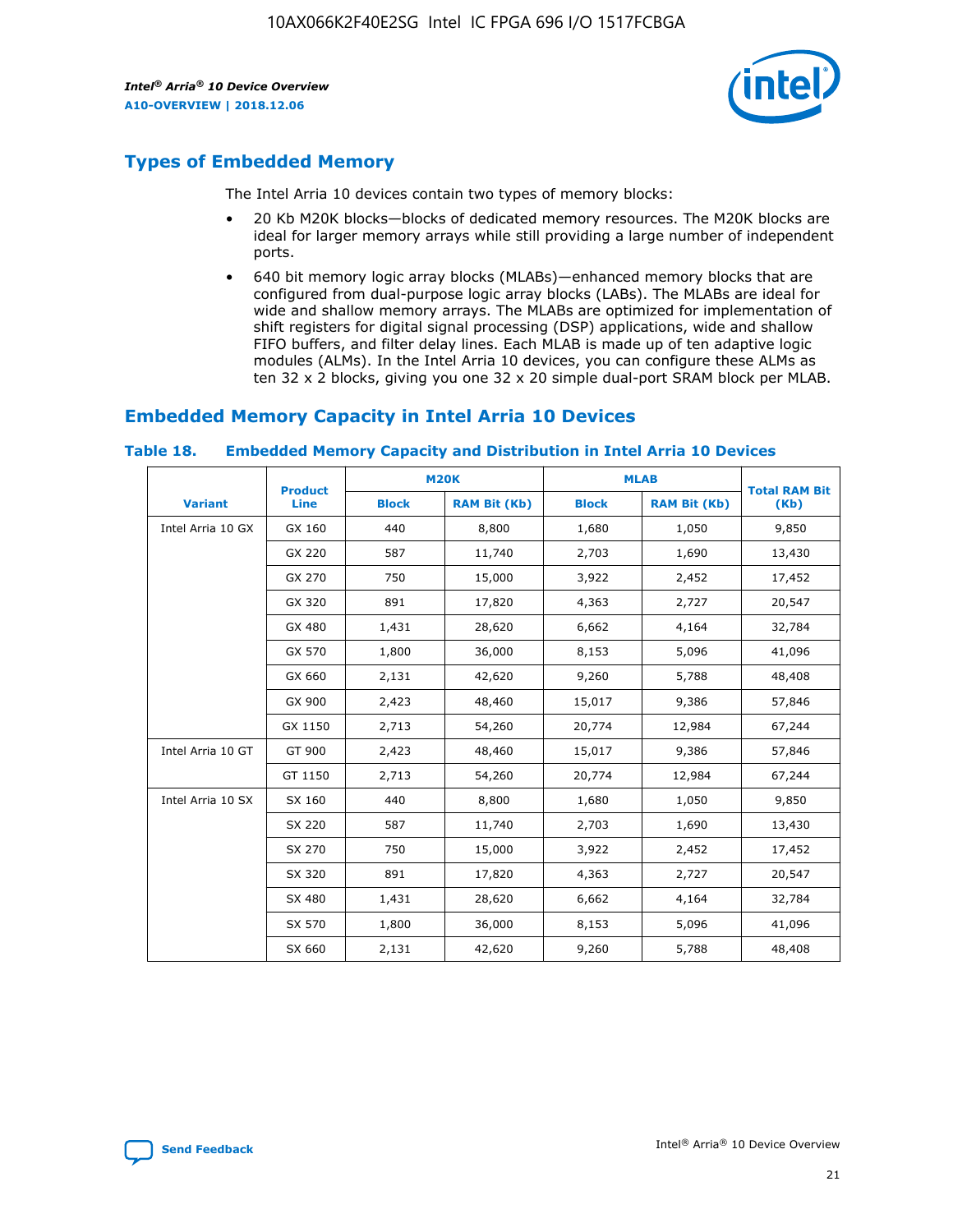

## **Types of Embedded Memory**

The Intel Arria 10 devices contain two types of memory blocks:

- 20 Kb M20K blocks—blocks of dedicated memory resources. The M20K blocks are ideal for larger memory arrays while still providing a large number of independent ports.
- 640 bit memory logic array blocks (MLABs)—enhanced memory blocks that are configured from dual-purpose logic array blocks (LABs). The MLABs are ideal for wide and shallow memory arrays. The MLABs are optimized for implementation of shift registers for digital signal processing (DSP) applications, wide and shallow FIFO buffers, and filter delay lines. Each MLAB is made up of ten adaptive logic modules (ALMs). In the Intel Arria 10 devices, you can configure these ALMs as ten 32 x 2 blocks, giving you one 32 x 20 simple dual-port SRAM block per MLAB.

## **Embedded Memory Capacity in Intel Arria 10 Devices**

|                   | <b>Product</b> |              | <b>M20K</b>         |              | <b>MLAB</b>         | <b>Total RAM Bit</b> |
|-------------------|----------------|--------------|---------------------|--------------|---------------------|----------------------|
| <b>Variant</b>    | Line           | <b>Block</b> | <b>RAM Bit (Kb)</b> | <b>Block</b> | <b>RAM Bit (Kb)</b> | (Kb)                 |
| Intel Arria 10 GX | GX 160         | 440          | 8,800               | 1,680        | 1,050               | 9,850                |
|                   | GX 220         | 587          | 11,740              | 2,703        | 1,690               | 13,430               |
|                   | GX 270         | 750          | 15,000              | 3,922        | 2,452               | 17,452               |
|                   | GX 320         | 891          | 17,820              | 4,363        | 2,727               | 20,547               |
|                   | GX 480         | 1,431        | 28,620              | 6,662        | 4,164               | 32,784               |
|                   | GX 570         | 1,800        | 36,000              | 8,153        | 5,096               | 41,096               |
|                   | GX 660         | 2,131        | 42,620              | 9,260        | 5,788               | 48,408               |
|                   | GX 900         | 2,423        | 48,460              | 15,017       | 9,386               | 57,846               |
|                   | GX 1150        | 2,713        | 54,260              | 20,774       | 12,984              | 67,244               |
| Intel Arria 10 GT | GT 900         | 2,423        | 48,460              | 15,017       | 9,386               | 57,846               |
|                   | GT 1150        | 2,713        | 54,260              | 20,774       | 12,984              | 67,244               |
| Intel Arria 10 SX | SX 160         | 440          | 8,800               | 1,680        | 1,050               | 9,850                |
|                   | SX 220         | 587          | 11,740              | 2,703        | 1,690               | 13,430               |
|                   | SX 270         | 750          | 15,000              | 3,922        | 2,452               | 17,452               |
|                   | SX 320         | 891          | 17,820              | 4,363        | 2,727               | 20,547               |
|                   | SX 480         | 1,431        | 28,620              | 6,662        | 4,164               | 32,784               |
|                   | SX 570         | 1,800        | 36,000              | 8,153        | 5,096               | 41,096               |
|                   | SX 660         | 2,131        | 42,620              | 9,260        | 5,788               | 48,408               |

#### **Table 18. Embedded Memory Capacity and Distribution in Intel Arria 10 Devices**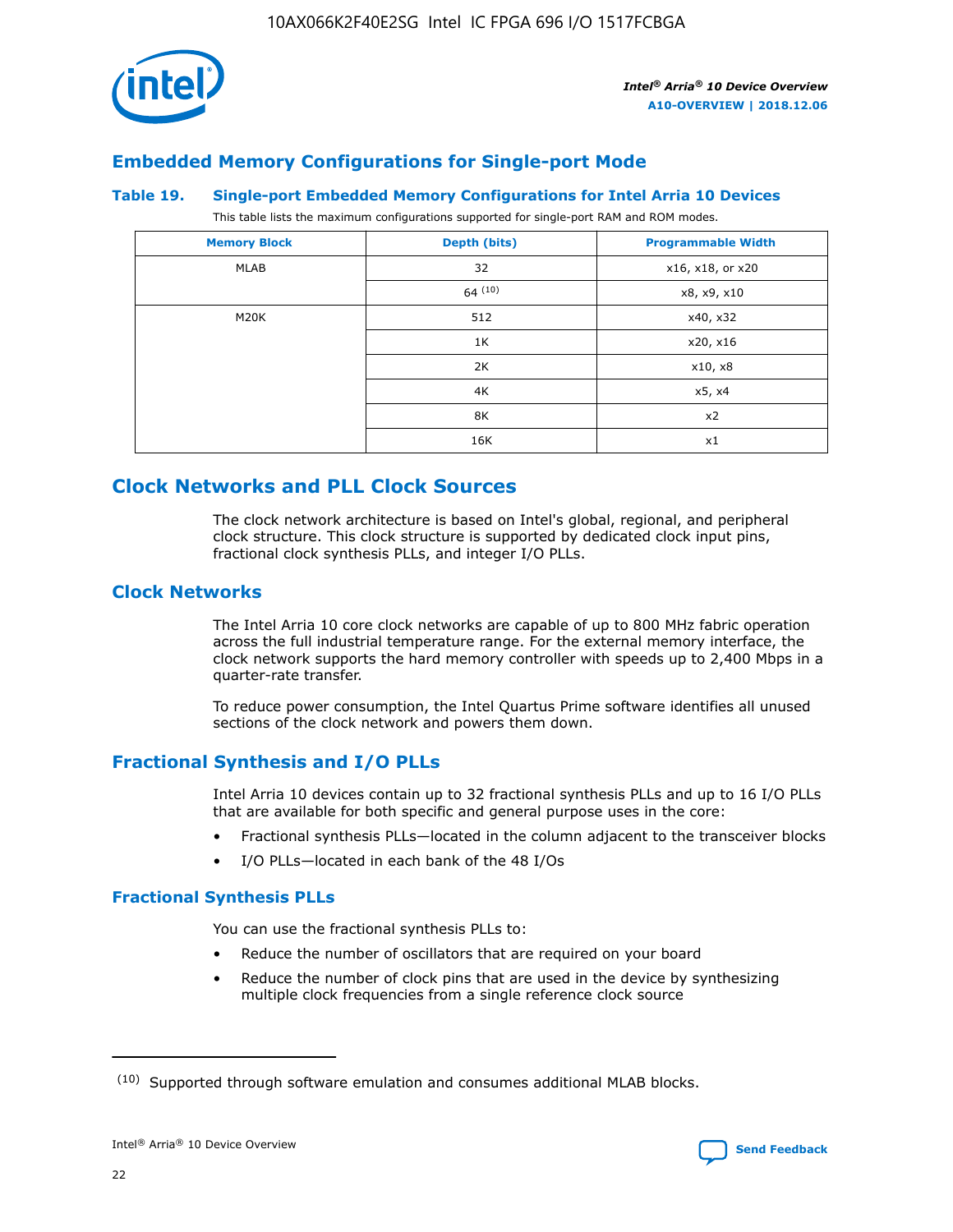

## **Embedded Memory Configurations for Single-port Mode**

#### **Table 19. Single-port Embedded Memory Configurations for Intel Arria 10 Devices**

This table lists the maximum configurations supported for single-port RAM and ROM modes.

| <b>Memory Block</b> | Depth (bits) | <b>Programmable Width</b> |
|---------------------|--------------|---------------------------|
| MLAB                | 32           | x16, x18, or x20          |
|                     | 64(10)       | x8, x9, x10               |
| M20K                | 512          | x40, x32                  |
|                     | 1K           | x20, x16                  |
|                     | 2K           | x10, x8                   |
|                     | 4K           | x5, x4                    |
|                     | 8K           | x2                        |
|                     | 16K          | x1                        |

## **Clock Networks and PLL Clock Sources**

The clock network architecture is based on Intel's global, regional, and peripheral clock structure. This clock structure is supported by dedicated clock input pins, fractional clock synthesis PLLs, and integer I/O PLLs.

## **Clock Networks**

The Intel Arria 10 core clock networks are capable of up to 800 MHz fabric operation across the full industrial temperature range. For the external memory interface, the clock network supports the hard memory controller with speeds up to 2,400 Mbps in a quarter-rate transfer.

To reduce power consumption, the Intel Quartus Prime software identifies all unused sections of the clock network and powers them down.

## **Fractional Synthesis and I/O PLLs**

Intel Arria 10 devices contain up to 32 fractional synthesis PLLs and up to 16 I/O PLLs that are available for both specific and general purpose uses in the core:

- Fractional synthesis PLLs—located in the column adjacent to the transceiver blocks
- I/O PLLs—located in each bank of the 48 I/Os

## **Fractional Synthesis PLLs**

You can use the fractional synthesis PLLs to:

- Reduce the number of oscillators that are required on your board
- Reduce the number of clock pins that are used in the device by synthesizing multiple clock frequencies from a single reference clock source

<sup>(10)</sup> Supported through software emulation and consumes additional MLAB blocks.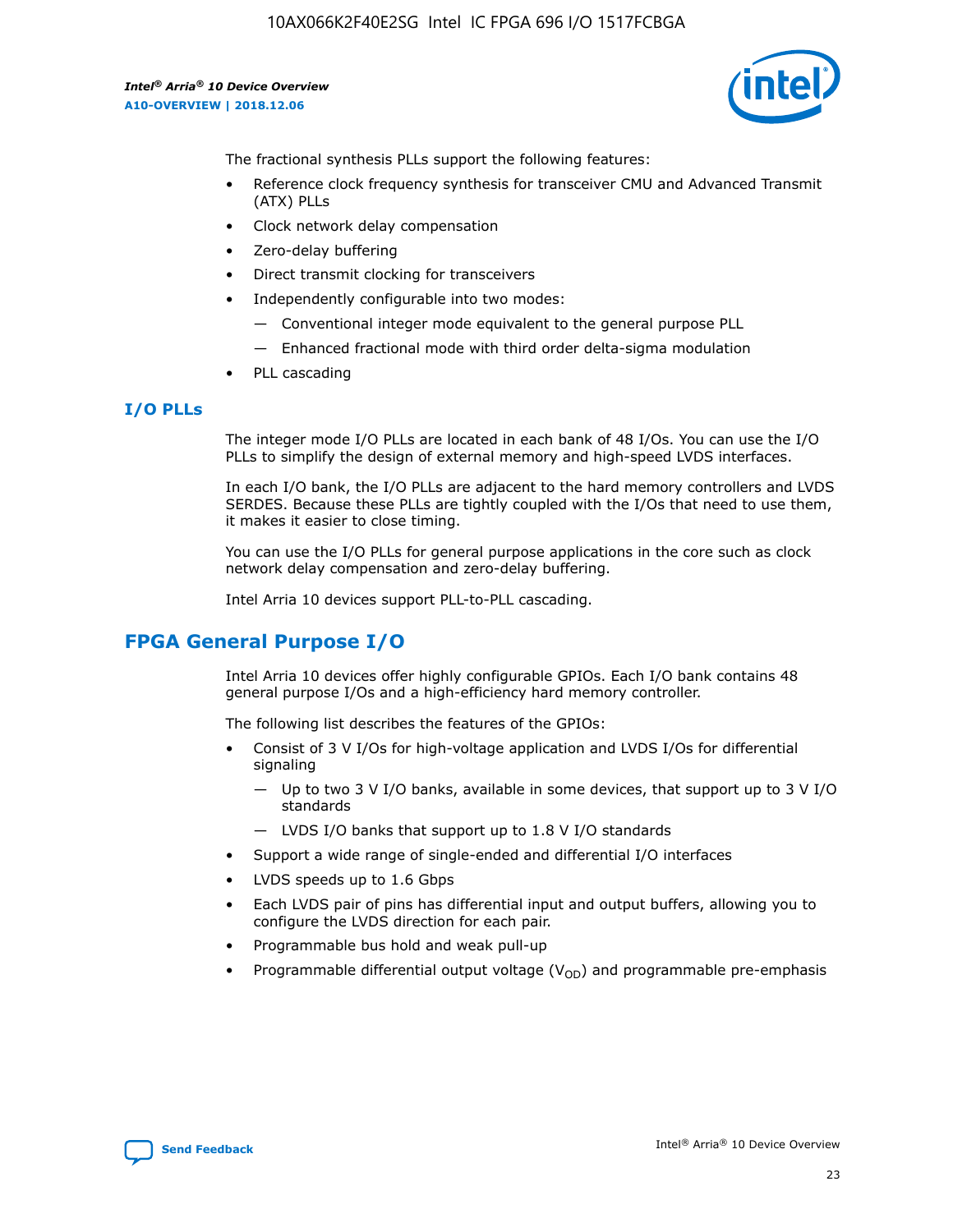10AX066K2F40E2SG Intel IC FPGA 696 I/O 1517FCBGA

*Intel® Arria® 10 Device Overview* **A10-OVERVIEW | 2018.12.06**



The fractional synthesis PLLs support the following features:

- Reference clock frequency synthesis for transceiver CMU and Advanced Transmit (ATX) PLLs
- Clock network delay compensation
- Zero-delay buffering
- Direct transmit clocking for transceivers
- Independently configurable into two modes:
	- Conventional integer mode equivalent to the general purpose PLL
	- Enhanced fractional mode with third order delta-sigma modulation
- PLL cascading

#### **I/O PLLs**

The integer mode I/O PLLs are located in each bank of 48 I/Os. You can use the I/O PLLs to simplify the design of external memory and high-speed LVDS interfaces.

In each I/O bank, the I/O PLLs are adjacent to the hard memory controllers and LVDS SERDES. Because these PLLs are tightly coupled with the I/Os that need to use them, it makes it easier to close timing.

You can use the I/O PLLs for general purpose applications in the core such as clock network delay compensation and zero-delay buffering.

Intel Arria 10 devices support PLL-to-PLL cascading.

## **FPGA General Purpose I/O**

Intel Arria 10 devices offer highly configurable GPIOs. Each I/O bank contains 48 general purpose I/Os and a high-efficiency hard memory controller.

The following list describes the features of the GPIOs:

- Consist of 3 V I/Os for high-voltage application and LVDS I/Os for differential signaling
	- Up to two 3 V I/O banks, available in some devices, that support up to 3 V I/O standards
	- LVDS I/O banks that support up to 1.8 V I/O standards
- Support a wide range of single-ended and differential I/O interfaces
- LVDS speeds up to 1.6 Gbps
- Each LVDS pair of pins has differential input and output buffers, allowing you to configure the LVDS direction for each pair.
- Programmable bus hold and weak pull-up
- Programmable differential output voltage  $(V_{OD})$  and programmable pre-emphasis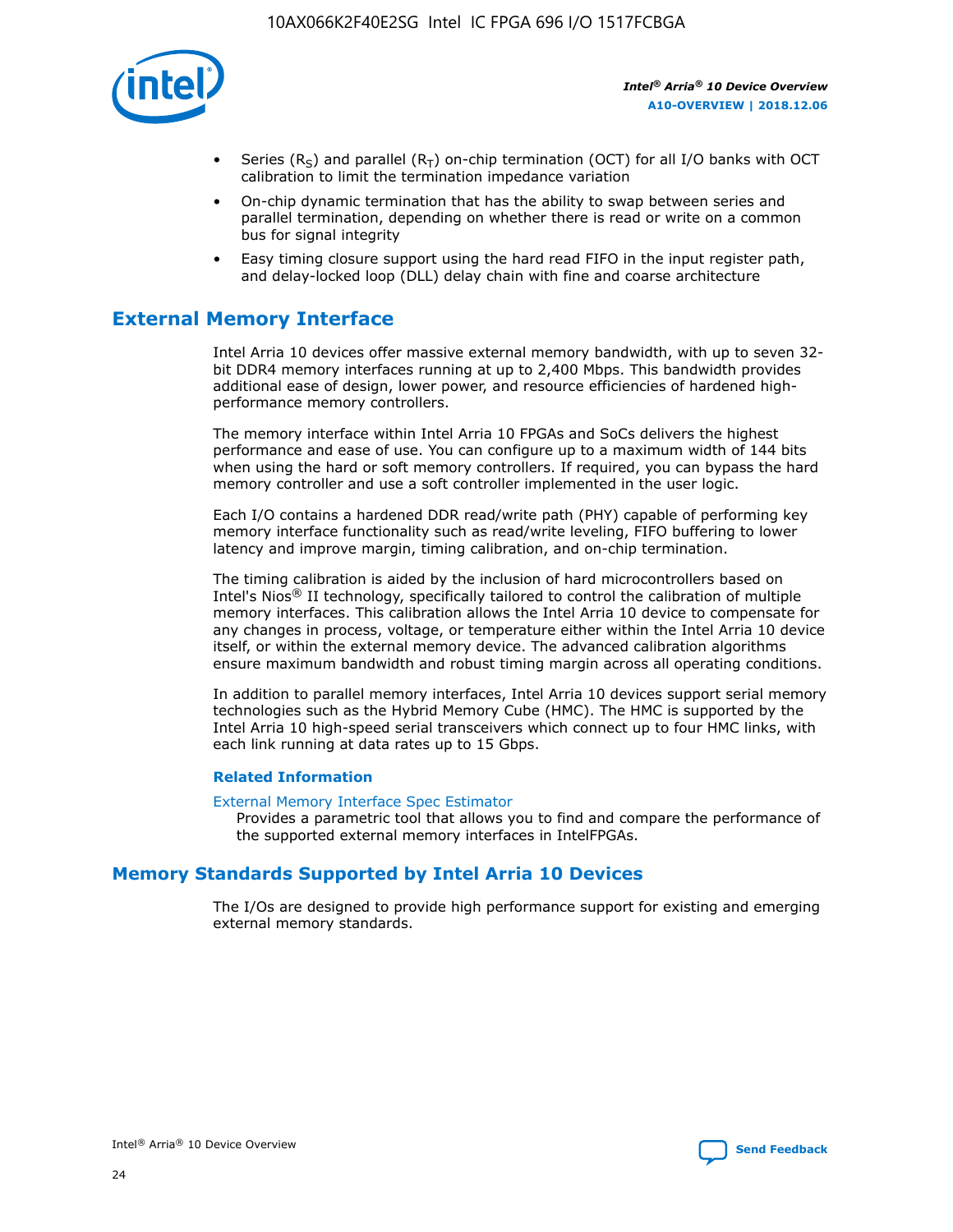

- Series (R<sub>S</sub>) and parallel (R<sub>T</sub>) on-chip termination (OCT) for all I/O banks with OCT calibration to limit the termination impedance variation
- On-chip dynamic termination that has the ability to swap between series and parallel termination, depending on whether there is read or write on a common bus for signal integrity
- Easy timing closure support using the hard read FIFO in the input register path, and delay-locked loop (DLL) delay chain with fine and coarse architecture

## **External Memory Interface**

Intel Arria 10 devices offer massive external memory bandwidth, with up to seven 32 bit DDR4 memory interfaces running at up to 2,400 Mbps. This bandwidth provides additional ease of design, lower power, and resource efficiencies of hardened highperformance memory controllers.

The memory interface within Intel Arria 10 FPGAs and SoCs delivers the highest performance and ease of use. You can configure up to a maximum width of 144 bits when using the hard or soft memory controllers. If required, you can bypass the hard memory controller and use a soft controller implemented in the user logic.

Each I/O contains a hardened DDR read/write path (PHY) capable of performing key memory interface functionality such as read/write leveling, FIFO buffering to lower latency and improve margin, timing calibration, and on-chip termination.

The timing calibration is aided by the inclusion of hard microcontrollers based on Intel's Nios® II technology, specifically tailored to control the calibration of multiple memory interfaces. This calibration allows the Intel Arria 10 device to compensate for any changes in process, voltage, or temperature either within the Intel Arria 10 device itself, or within the external memory device. The advanced calibration algorithms ensure maximum bandwidth and robust timing margin across all operating conditions.

In addition to parallel memory interfaces, Intel Arria 10 devices support serial memory technologies such as the Hybrid Memory Cube (HMC). The HMC is supported by the Intel Arria 10 high-speed serial transceivers which connect up to four HMC links, with each link running at data rates up to 15 Gbps.

#### **Related Information**

#### [External Memory Interface Spec Estimator](http://www.altera.com/technology/memory/estimator/mem-emif-index.html)

Provides a parametric tool that allows you to find and compare the performance of the supported external memory interfaces in IntelFPGAs.

## **Memory Standards Supported by Intel Arria 10 Devices**

The I/Os are designed to provide high performance support for existing and emerging external memory standards.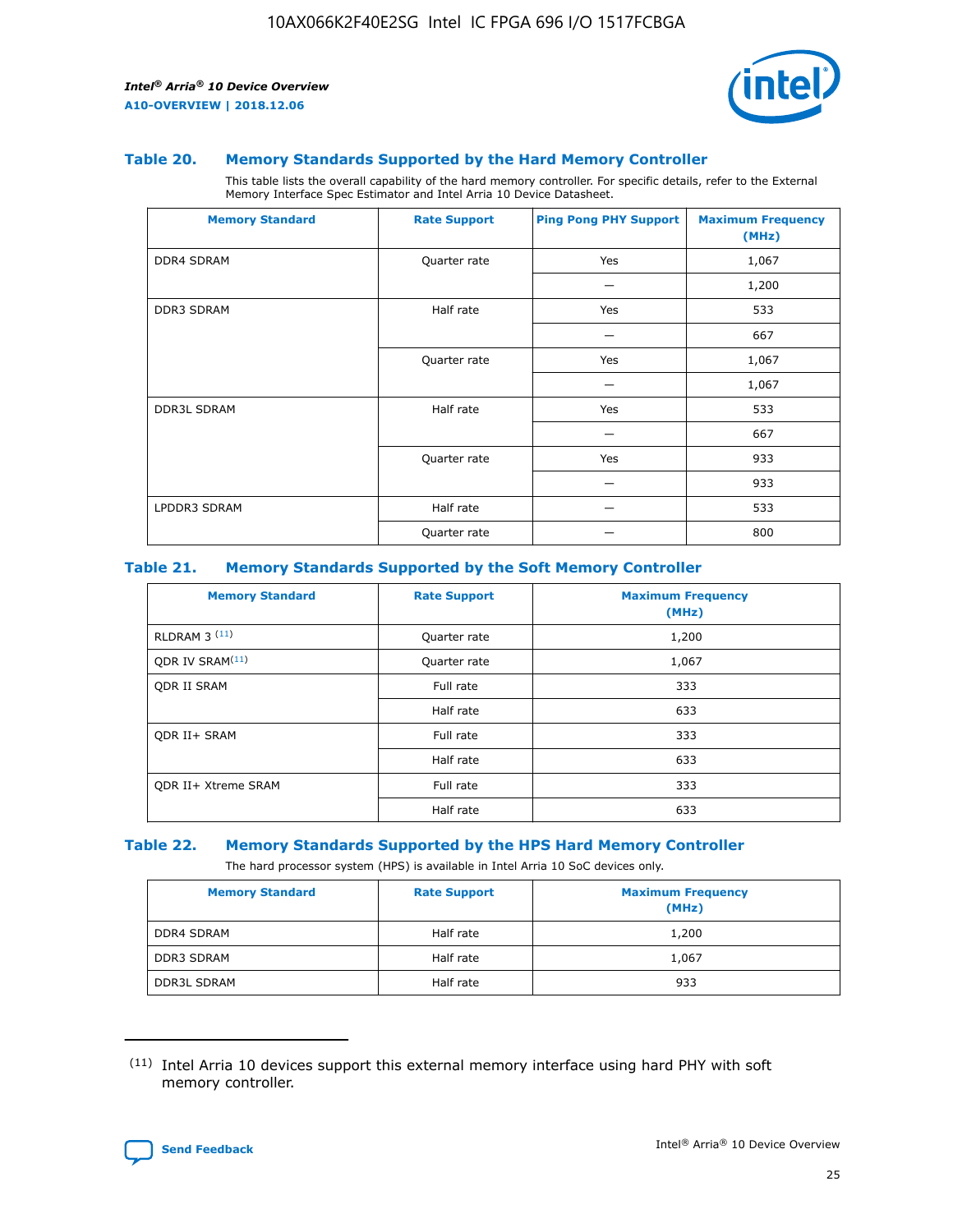

#### **Table 20. Memory Standards Supported by the Hard Memory Controller**

This table lists the overall capability of the hard memory controller. For specific details, refer to the External Memory Interface Spec Estimator and Intel Arria 10 Device Datasheet.

| <b>Memory Standard</b> | <b>Rate Support</b> | <b>Ping Pong PHY Support</b> | <b>Maximum Frequency</b><br>(MHz) |
|------------------------|---------------------|------------------------------|-----------------------------------|
| <b>DDR4 SDRAM</b>      | Quarter rate        | Yes                          | 1,067                             |
|                        |                     |                              | 1,200                             |
| DDR3 SDRAM             | Half rate           | Yes                          | 533                               |
|                        |                     |                              | 667                               |
|                        | Quarter rate        | Yes                          | 1,067                             |
|                        |                     |                              | 1,067                             |
| <b>DDR3L SDRAM</b>     | Half rate           | Yes                          | 533                               |
|                        |                     |                              | 667                               |
|                        | Quarter rate        | Yes                          | 933                               |
|                        |                     |                              | 933                               |
| LPDDR3 SDRAM           | Half rate           |                              | 533                               |
|                        | Quarter rate        |                              | 800                               |

#### **Table 21. Memory Standards Supported by the Soft Memory Controller**

| <b>Memory Standard</b>      | <b>Rate Support</b> | <b>Maximum Frequency</b><br>(MHz) |
|-----------------------------|---------------------|-----------------------------------|
| <b>RLDRAM 3 (11)</b>        | Quarter rate        | 1,200                             |
| ODR IV SRAM <sup>(11)</sup> | Quarter rate        | 1,067                             |
| <b>ODR II SRAM</b>          | Full rate           | 333                               |
|                             | Half rate           | 633                               |
| <b>ODR II+ SRAM</b>         | Full rate           | 333                               |
|                             | Half rate           | 633                               |
| <b>ODR II+ Xtreme SRAM</b>  | Full rate           | 333                               |
|                             | Half rate           | 633                               |

#### **Table 22. Memory Standards Supported by the HPS Hard Memory Controller**

The hard processor system (HPS) is available in Intel Arria 10 SoC devices only.

| <b>Memory Standard</b> | <b>Rate Support</b> | <b>Maximum Frequency</b><br>(MHz) |
|------------------------|---------------------|-----------------------------------|
| <b>DDR4 SDRAM</b>      | Half rate           | 1,200                             |
| <b>DDR3 SDRAM</b>      | Half rate           | 1,067                             |
| <b>DDR3L SDRAM</b>     | Half rate           | 933                               |

<sup>(11)</sup> Intel Arria 10 devices support this external memory interface using hard PHY with soft memory controller.

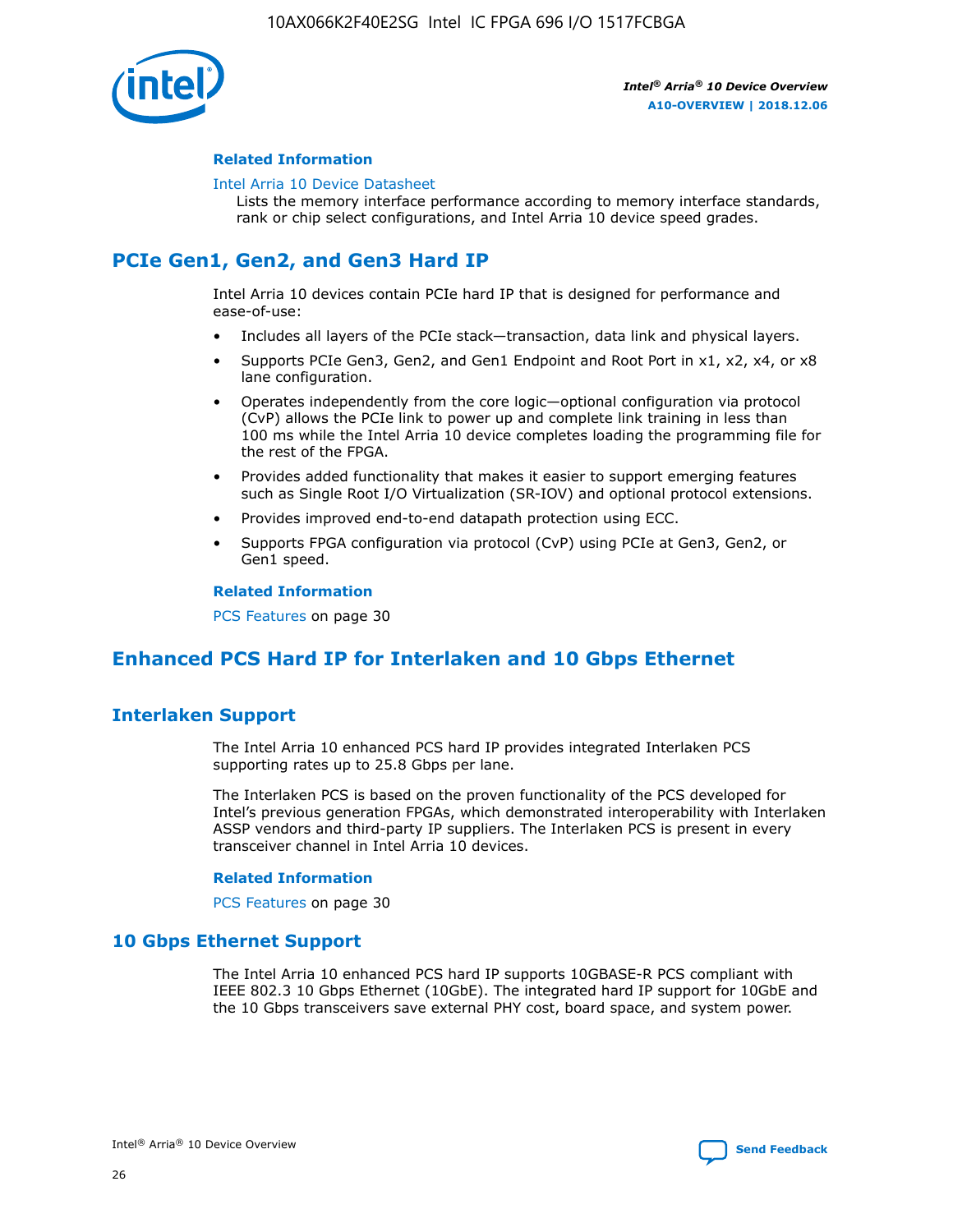

#### **Related Information**

#### [Intel Arria 10 Device Datasheet](https://www.intel.com/content/www/us/en/programmable/documentation/mcn1413182292568.html#mcn1413182153340)

Lists the memory interface performance according to memory interface standards, rank or chip select configurations, and Intel Arria 10 device speed grades.

## **PCIe Gen1, Gen2, and Gen3 Hard IP**

Intel Arria 10 devices contain PCIe hard IP that is designed for performance and ease-of-use:

- Includes all layers of the PCIe stack—transaction, data link and physical layers.
- Supports PCIe Gen3, Gen2, and Gen1 Endpoint and Root Port in x1, x2, x4, or x8 lane configuration.
- Operates independently from the core logic—optional configuration via protocol (CvP) allows the PCIe link to power up and complete link training in less than 100 ms while the Intel Arria 10 device completes loading the programming file for the rest of the FPGA.
- Provides added functionality that makes it easier to support emerging features such as Single Root I/O Virtualization (SR-IOV) and optional protocol extensions.
- Provides improved end-to-end datapath protection using ECC.
- Supports FPGA configuration via protocol (CvP) using PCIe at Gen3, Gen2, or Gen1 speed.

#### **Related Information**

PCS Features on page 30

## **Enhanced PCS Hard IP for Interlaken and 10 Gbps Ethernet**

## **Interlaken Support**

The Intel Arria 10 enhanced PCS hard IP provides integrated Interlaken PCS supporting rates up to 25.8 Gbps per lane.

The Interlaken PCS is based on the proven functionality of the PCS developed for Intel's previous generation FPGAs, which demonstrated interoperability with Interlaken ASSP vendors and third-party IP suppliers. The Interlaken PCS is present in every transceiver channel in Intel Arria 10 devices.

#### **Related Information**

PCS Features on page 30

## **10 Gbps Ethernet Support**

The Intel Arria 10 enhanced PCS hard IP supports 10GBASE-R PCS compliant with IEEE 802.3 10 Gbps Ethernet (10GbE). The integrated hard IP support for 10GbE and the 10 Gbps transceivers save external PHY cost, board space, and system power.

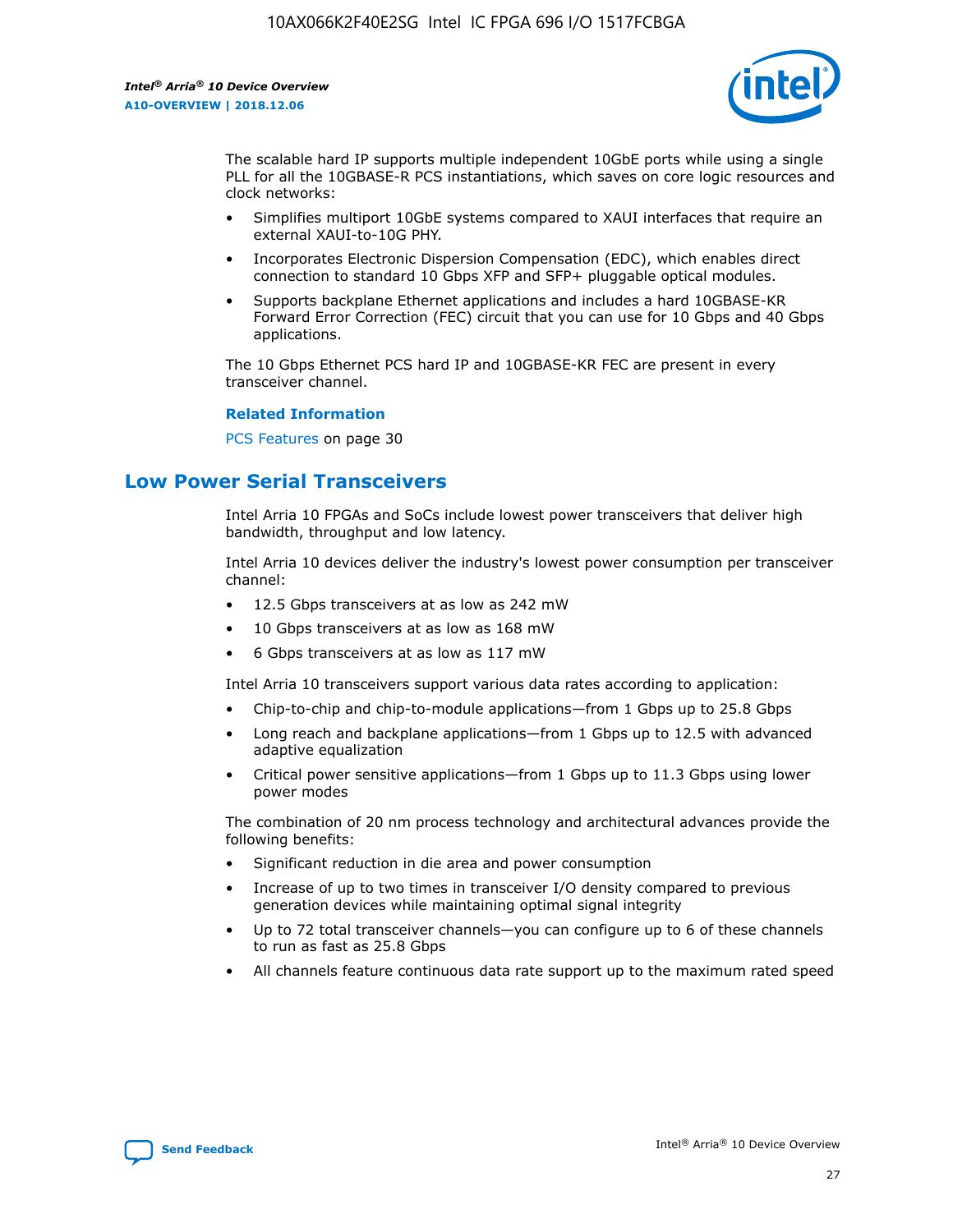

The scalable hard IP supports multiple independent 10GbE ports while using a single PLL for all the 10GBASE-R PCS instantiations, which saves on core logic resources and clock networks:

- Simplifies multiport 10GbE systems compared to XAUI interfaces that require an external XAUI-to-10G PHY.
- Incorporates Electronic Dispersion Compensation (EDC), which enables direct connection to standard 10 Gbps XFP and SFP+ pluggable optical modules.
- Supports backplane Ethernet applications and includes a hard 10GBASE-KR Forward Error Correction (FEC) circuit that you can use for 10 Gbps and 40 Gbps applications.

The 10 Gbps Ethernet PCS hard IP and 10GBASE-KR FEC are present in every transceiver channel.

#### **Related Information**

PCS Features on page 30

## **Low Power Serial Transceivers**

Intel Arria 10 FPGAs and SoCs include lowest power transceivers that deliver high bandwidth, throughput and low latency.

Intel Arria 10 devices deliver the industry's lowest power consumption per transceiver channel:

- 12.5 Gbps transceivers at as low as 242 mW
- 10 Gbps transceivers at as low as 168 mW
- 6 Gbps transceivers at as low as 117 mW

Intel Arria 10 transceivers support various data rates according to application:

- Chip-to-chip and chip-to-module applications—from 1 Gbps up to 25.8 Gbps
- Long reach and backplane applications—from 1 Gbps up to 12.5 with advanced adaptive equalization
- Critical power sensitive applications—from 1 Gbps up to 11.3 Gbps using lower power modes

The combination of 20 nm process technology and architectural advances provide the following benefits:

- Significant reduction in die area and power consumption
- Increase of up to two times in transceiver I/O density compared to previous generation devices while maintaining optimal signal integrity
- Up to 72 total transceiver channels—you can configure up to 6 of these channels to run as fast as 25.8 Gbps
- All channels feature continuous data rate support up to the maximum rated speed

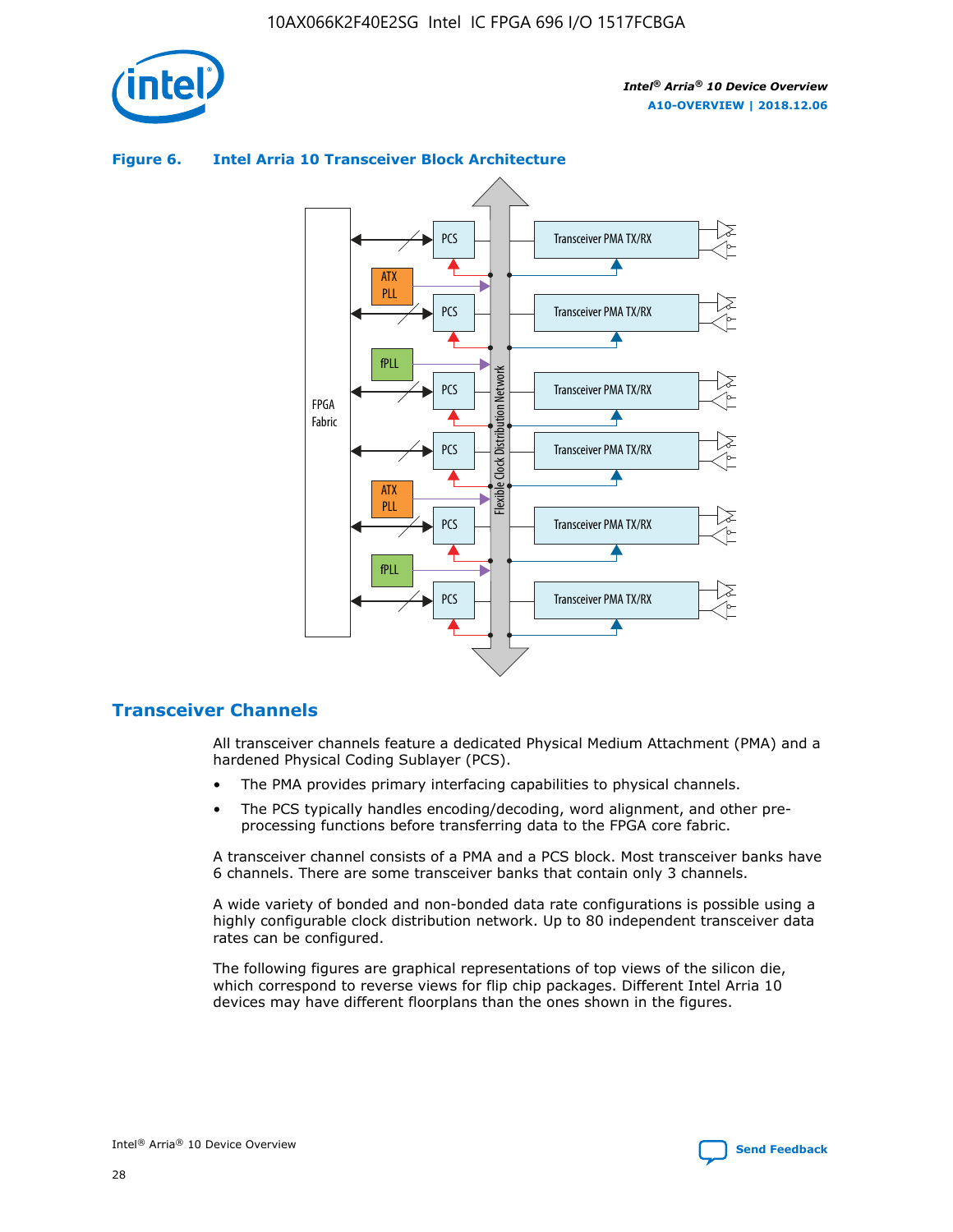

## Transceiver PMA TX/RX PCS ATX PLL Transceiver PMA TX/RX PCS fPLL Network Flexible Clock Distribution Network PCS Transceiver PMA TX/RX FPGA **Clock Distribution** Fabric PCS Transceiver PMA TX/RX ATX Flexible PLL PCS Transceiver PMA TX/RX ▲ fPLL Transceiver PMA TX/RX PCS 4

#### **Figure 6. Intel Arria 10 Transceiver Block Architecture**

## **Transceiver Channels**

All transceiver channels feature a dedicated Physical Medium Attachment (PMA) and a hardened Physical Coding Sublayer (PCS).

- The PMA provides primary interfacing capabilities to physical channels.
- The PCS typically handles encoding/decoding, word alignment, and other preprocessing functions before transferring data to the FPGA core fabric.

A transceiver channel consists of a PMA and a PCS block. Most transceiver banks have 6 channels. There are some transceiver banks that contain only 3 channels.

A wide variety of bonded and non-bonded data rate configurations is possible using a highly configurable clock distribution network. Up to 80 independent transceiver data rates can be configured.

The following figures are graphical representations of top views of the silicon die, which correspond to reverse views for flip chip packages. Different Intel Arria 10 devices may have different floorplans than the ones shown in the figures.

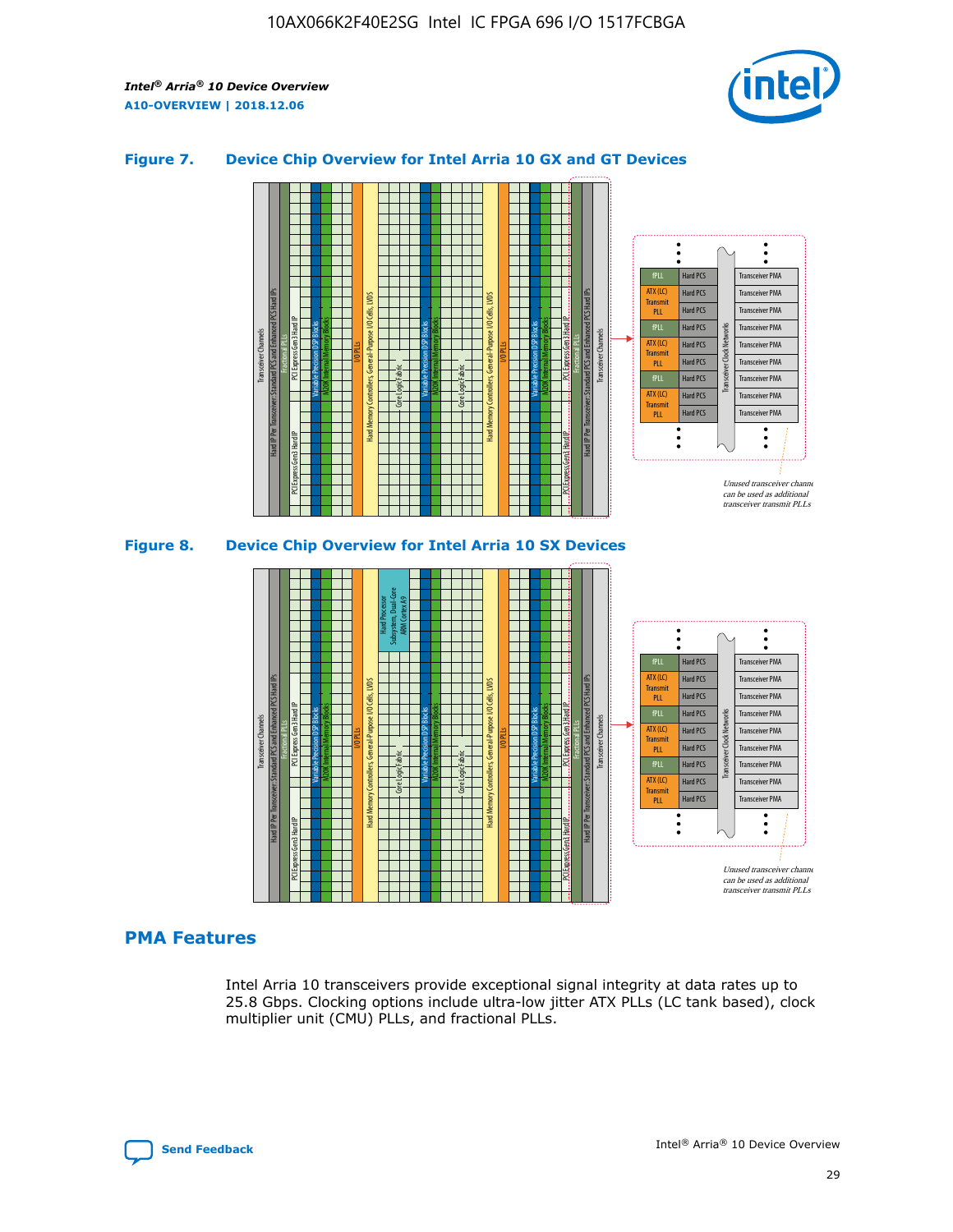

## **Figure 7. Device Chip Overview for Intel Arria 10 GX and GT Devices**





## **PMA Features**

Intel Arria 10 transceivers provide exceptional signal integrity at data rates up to 25.8 Gbps. Clocking options include ultra-low jitter ATX PLLs (LC tank based), clock multiplier unit (CMU) PLLs, and fractional PLLs.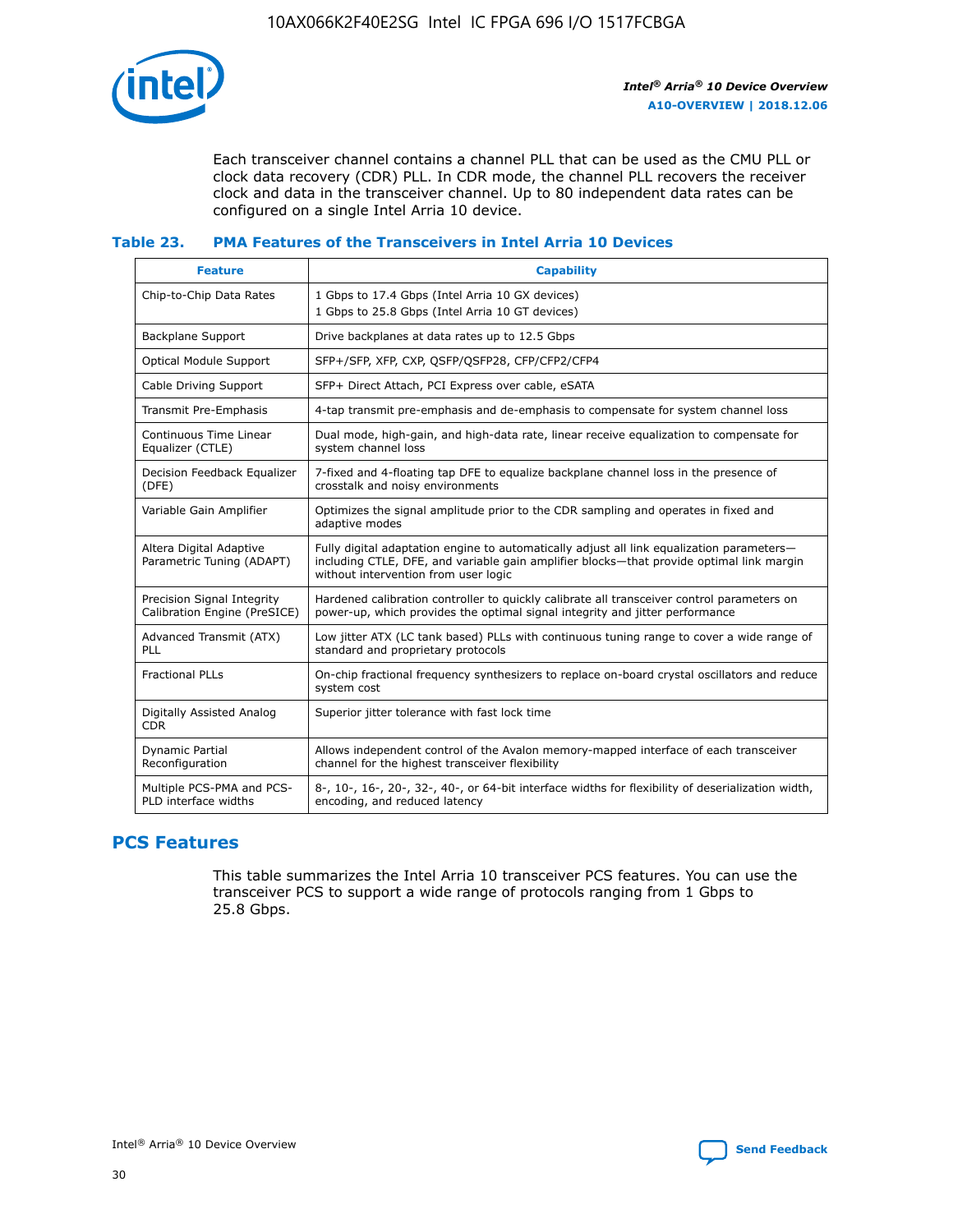

Each transceiver channel contains a channel PLL that can be used as the CMU PLL or clock data recovery (CDR) PLL. In CDR mode, the channel PLL recovers the receiver clock and data in the transceiver channel. Up to 80 independent data rates can be configured on a single Intel Arria 10 device.

### **Table 23. PMA Features of the Transceivers in Intel Arria 10 Devices**

| <b>Feature</b>                                             | <b>Capability</b>                                                                                                                                                                                                             |
|------------------------------------------------------------|-------------------------------------------------------------------------------------------------------------------------------------------------------------------------------------------------------------------------------|
| Chip-to-Chip Data Rates                                    | 1 Gbps to 17.4 Gbps (Intel Arria 10 GX devices)<br>1 Gbps to 25.8 Gbps (Intel Arria 10 GT devices)                                                                                                                            |
| <b>Backplane Support</b>                                   | Drive backplanes at data rates up to 12.5 Gbps                                                                                                                                                                                |
| <b>Optical Module Support</b>                              | SFP+/SFP, XFP, CXP, QSFP/QSFP28, CFP/CFP2/CFP4                                                                                                                                                                                |
| Cable Driving Support                                      | SFP+ Direct Attach, PCI Express over cable, eSATA                                                                                                                                                                             |
| Transmit Pre-Emphasis                                      | 4-tap transmit pre-emphasis and de-emphasis to compensate for system channel loss                                                                                                                                             |
| Continuous Time Linear<br>Equalizer (CTLE)                 | Dual mode, high-gain, and high-data rate, linear receive equalization to compensate for<br>system channel loss                                                                                                                |
| Decision Feedback Equalizer<br>(DFE)                       | 7-fixed and 4-floating tap DFE to equalize backplane channel loss in the presence of<br>crosstalk and noisy environments                                                                                                      |
| Variable Gain Amplifier                                    | Optimizes the signal amplitude prior to the CDR sampling and operates in fixed and<br>adaptive modes                                                                                                                          |
| Altera Digital Adaptive<br>Parametric Tuning (ADAPT)       | Fully digital adaptation engine to automatically adjust all link equalization parameters-<br>including CTLE, DFE, and variable gain amplifier blocks—that provide optimal link margin<br>without intervention from user logic |
| Precision Signal Integrity<br>Calibration Engine (PreSICE) | Hardened calibration controller to quickly calibrate all transceiver control parameters on<br>power-up, which provides the optimal signal integrity and jitter performance                                                    |
| Advanced Transmit (ATX)<br><b>PLL</b>                      | Low jitter ATX (LC tank based) PLLs with continuous tuning range to cover a wide range of<br>standard and proprietary protocols                                                                                               |
| <b>Fractional PLLs</b>                                     | On-chip fractional frequency synthesizers to replace on-board crystal oscillators and reduce<br>system cost                                                                                                                   |
| Digitally Assisted Analog<br><b>CDR</b>                    | Superior jitter tolerance with fast lock time                                                                                                                                                                                 |
| <b>Dynamic Partial</b><br>Reconfiguration                  | Allows independent control of the Avalon memory-mapped interface of each transceiver<br>channel for the highest transceiver flexibility                                                                                       |
| Multiple PCS-PMA and PCS-<br>PLD interface widths          | 8-, 10-, 16-, 20-, 32-, 40-, or 64-bit interface widths for flexibility of deserialization width,<br>encoding, and reduced latency                                                                                            |

## **PCS Features**

This table summarizes the Intel Arria 10 transceiver PCS features. You can use the transceiver PCS to support a wide range of protocols ranging from 1 Gbps to 25.8 Gbps.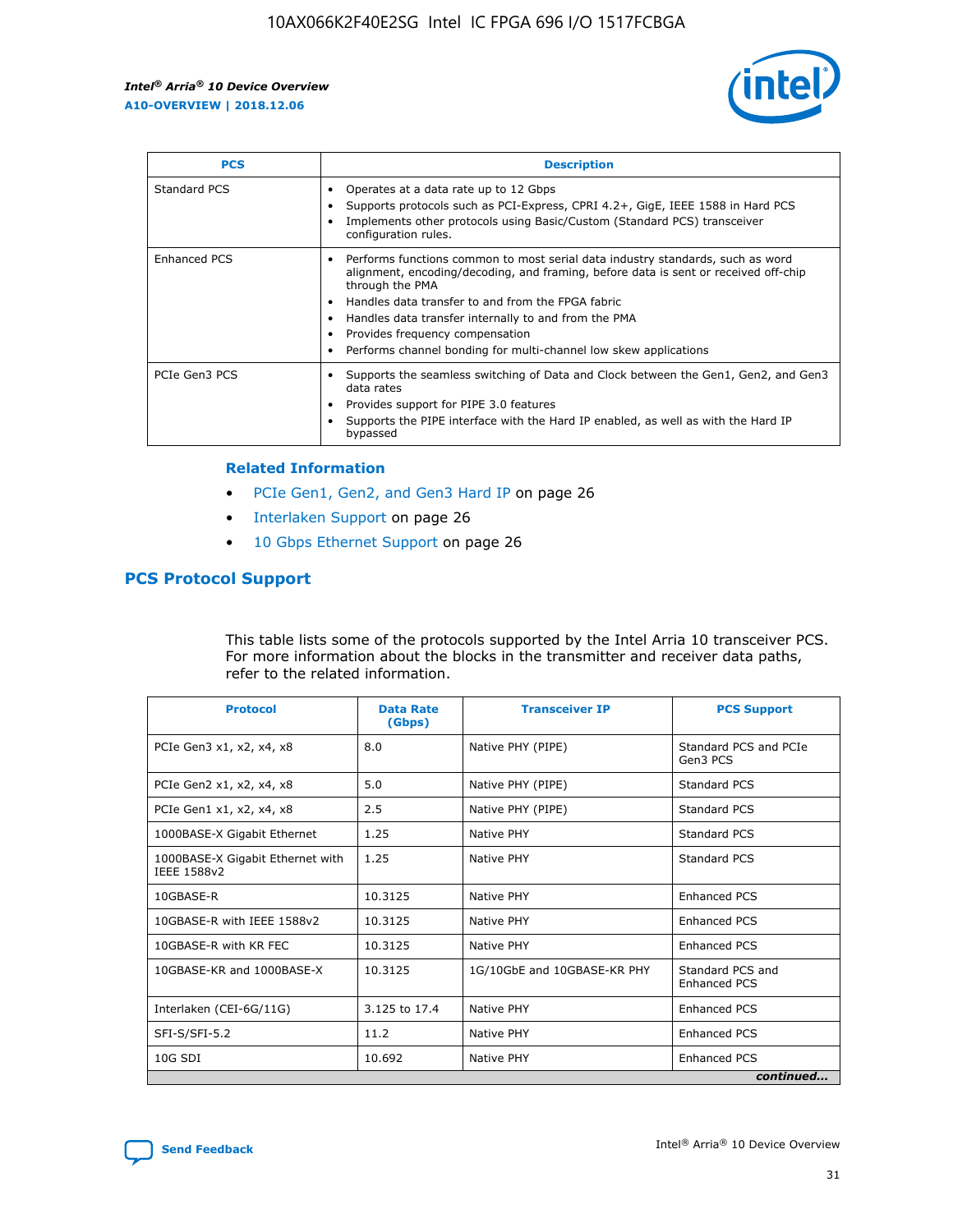

| <b>PCS</b>    | <b>Description</b>                                                                                                                                                                                                                                                                                                                                                                                             |
|---------------|----------------------------------------------------------------------------------------------------------------------------------------------------------------------------------------------------------------------------------------------------------------------------------------------------------------------------------------------------------------------------------------------------------------|
| Standard PCS  | Operates at a data rate up to 12 Gbps<br>Supports protocols such as PCI-Express, CPRI 4.2+, GigE, IEEE 1588 in Hard PCS<br>Implements other protocols using Basic/Custom (Standard PCS) transceiver<br>configuration rules.                                                                                                                                                                                    |
| Enhanced PCS  | Performs functions common to most serial data industry standards, such as word<br>alignment, encoding/decoding, and framing, before data is sent or received off-chip<br>through the PMA<br>• Handles data transfer to and from the FPGA fabric<br>Handles data transfer internally to and from the PMA<br>Provides frequency compensation<br>Performs channel bonding for multi-channel low skew applications |
| PCIe Gen3 PCS | Supports the seamless switching of Data and Clock between the Gen1, Gen2, and Gen3<br>data rates<br>Provides support for PIPE 3.0 features<br>Supports the PIPE interface with the Hard IP enabled, as well as with the Hard IP<br>bypassed                                                                                                                                                                    |

#### **Related Information**

- PCIe Gen1, Gen2, and Gen3 Hard IP on page 26
- Interlaken Support on page 26
- 10 Gbps Ethernet Support on page 26

## **PCS Protocol Support**

This table lists some of the protocols supported by the Intel Arria 10 transceiver PCS. For more information about the blocks in the transmitter and receiver data paths, refer to the related information.

| <b>Protocol</b>                                 | <b>Data Rate</b><br>(Gbps) | <b>Transceiver IP</b>       | <b>PCS Support</b>                      |
|-------------------------------------------------|----------------------------|-----------------------------|-----------------------------------------|
| PCIe Gen3 x1, x2, x4, x8                        | 8.0                        | Native PHY (PIPE)           | Standard PCS and PCIe<br>Gen3 PCS       |
| PCIe Gen2 x1, x2, x4, x8                        | 5.0                        | Native PHY (PIPE)           | <b>Standard PCS</b>                     |
| PCIe Gen1 x1, x2, x4, x8                        | 2.5                        | Native PHY (PIPE)           | Standard PCS                            |
| 1000BASE-X Gigabit Ethernet                     | 1.25                       | Native PHY                  | <b>Standard PCS</b>                     |
| 1000BASE-X Gigabit Ethernet with<br>IEEE 1588v2 | 1.25                       | Native PHY                  | Standard PCS                            |
| 10GBASE-R                                       | 10.3125                    | Native PHY                  | <b>Enhanced PCS</b>                     |
| 10GBASE-R with IEEE 1588v2                      | 10.3125                    | Native PHY                  | <b>Enhanced PCS</b>                     |
| 10GBASE-R with KR FEC                           | 10.3125                    | Native PHY                  | <b>Enhanced PCS</b>                     |
| 10GBASE-KR and 1000BASE-X                       | 10.3125                    | 1G/10GbE and 10GBASE-KR PHY | Standard PCS and<br><b>Enhanced PCS</b> |
| Interlaken (CEI-6G/11G)                         | 3.125 to 17.4              | Native PHY                  | <b>Enhanced PCS</b>                     |
| SFI-S/SFI-5.2                                   | 11.2                       | Native PHY                  | <b>Enhanced PCS</b>                     |
| $10G$ SDI                                       | 10.692                     | Native PHY                  | <b>Enhanced PCS</b>                     |
|                                                 |                            |                             | continued                               |

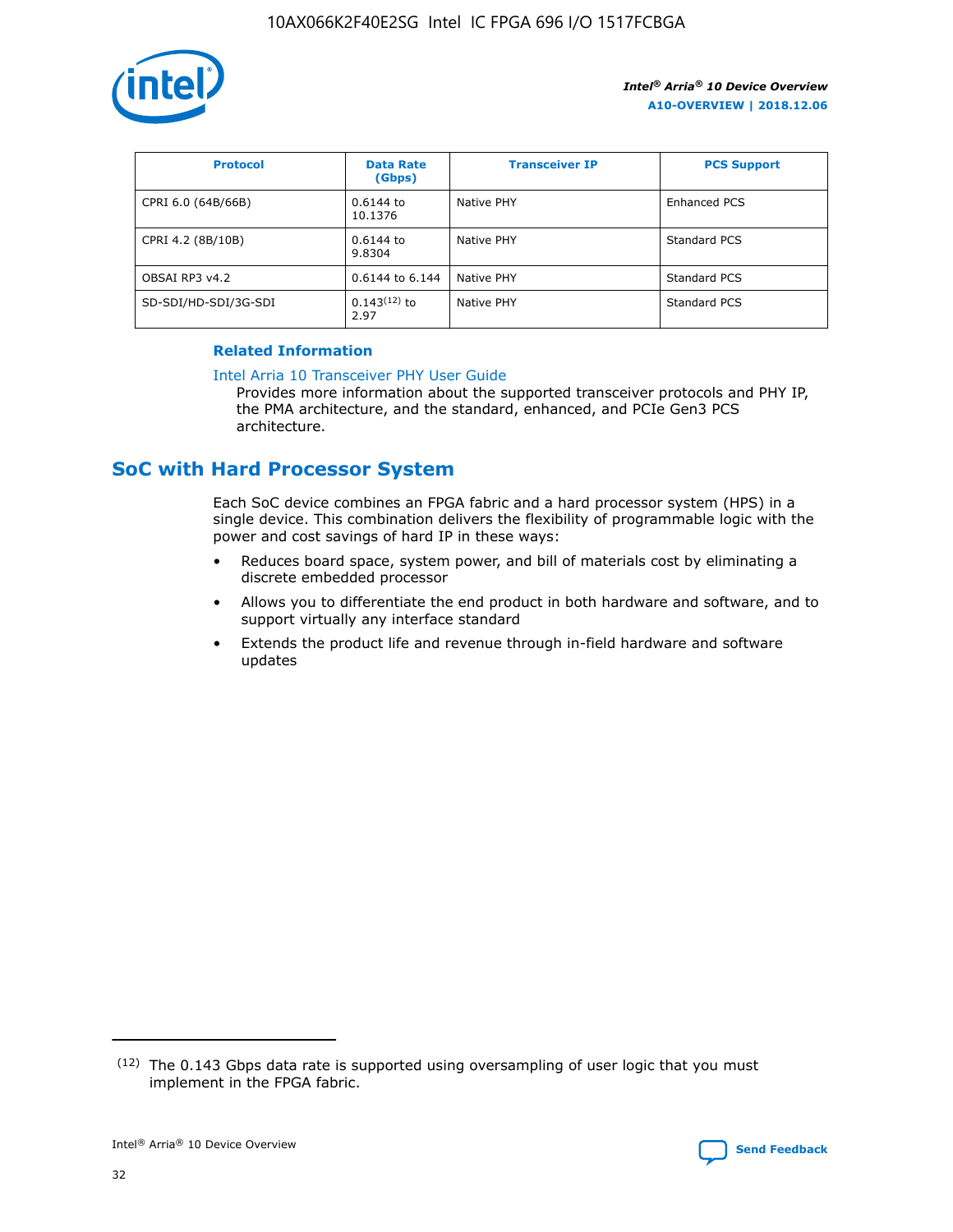

| <b>Protocol</b>      | <b>Data Rate</b><br>(Gbps) | <b>Transceiver IP</b> | <b>PCS Support</b> |
|----------------------|----------------------------|-----------------------|--------------------|
| CPRI 6.0 (64B/66B)   | 0.6144 to<br>10.1376       | Native PHY            | Enhanced PCS       |
| CPRI 4.2 (8B/10B)    | $0.6144$ to<br>9.8304      | Native PHY            | Standard PCS       |
| OBSAI RP3 v4.2       | 0.6144 to 6.144            | Native PHY            | Standard PCS       |
| SD-SDI/HD-SDI/3G-SDI | $0.143(12)$ to<br>2.97     | Native PHY            | Standard PCS       |

## **Related Information**

#### [Intel Arria 10 Transceiver PHY User Guide](https://www.intel.com/content/www/us/en/programmable/documentation/nik1398707230472.html#nik1398707091164)

Provides more information about the supported transceiver protocols and PHY IP, the PMA architecture, and the standard, enhanced, and PCIe Gen3 PCS architecture.

## **SoC with Hard Processor System**

Each SoC device combines an FPGA fabric and a hard processor system (HPS) in a single device. This combination delivers the flexibility of programmable logic with the power and cost savings of hard IP in these ways:

- Reduces board space, system power, and bill of materials cost by eliminating a discrete embedded processor
- Allows you to differentiate the end product in both hardware and software, and to support virtually any interface standard
- Extends the product life and revenue through in-field hardware and software updates

<sup>(12)</sup> The 0.143 Gbps data rate is supported using oversampling of user logic that you must implement in the FPGA fabric.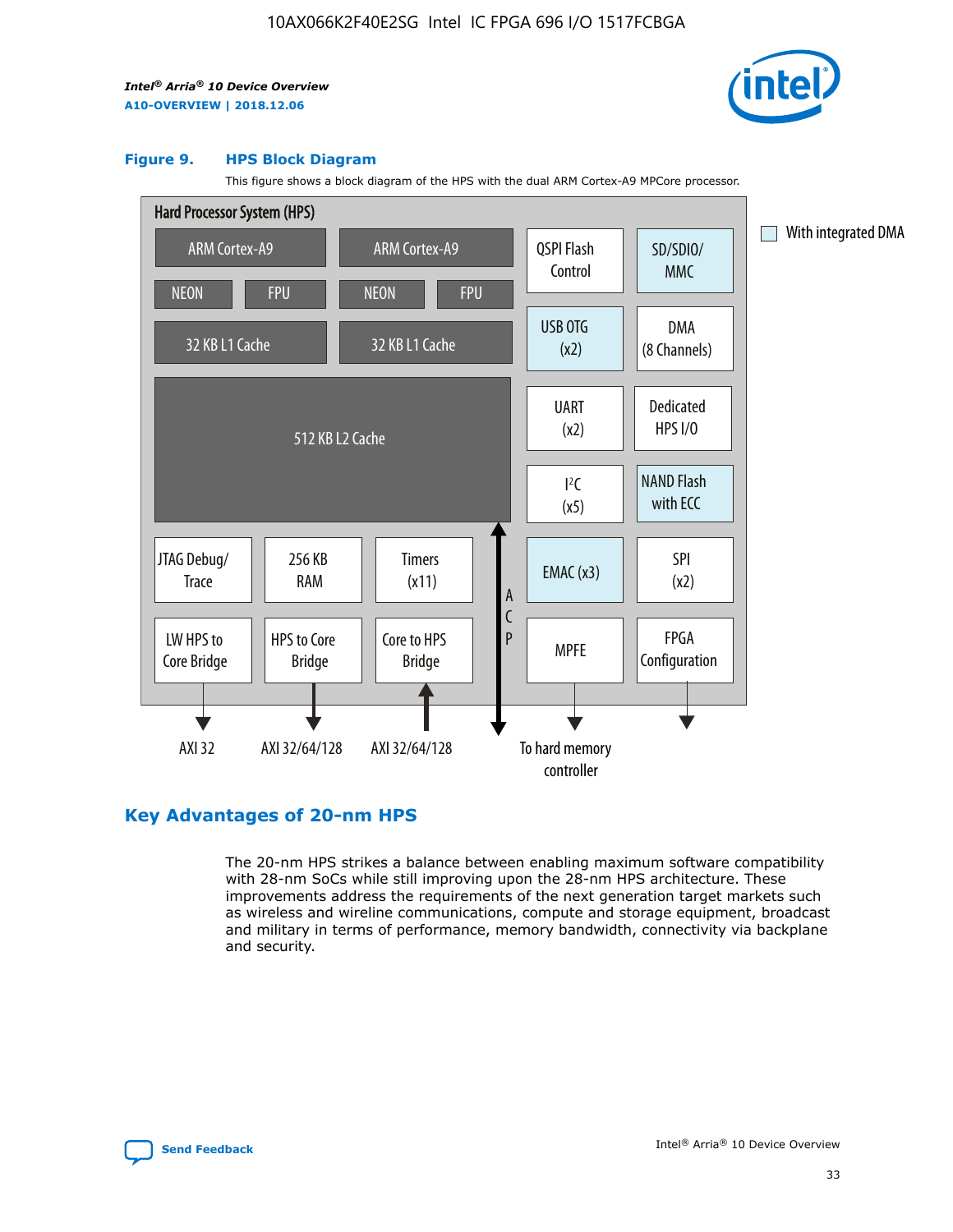

#### **Figure 9. HPS Block Diagram**

This figure shows a block diagram of the HPS with the dual ARM Cortex-A9 MPCore processor.



## **Key Advantages of 20-nm HPS**

The 20-nm HPS strikes a balance between enabling maximum software compatibility with 28-nm SoCs while still improving upon the 28-nm HPS architecture. These improvements address the requirements of the next generation target markets such as wireless and wireline communications, compute and storage equipment, broadcast and military in terms of performance, memory bandwidth, connectivity via backplane and security.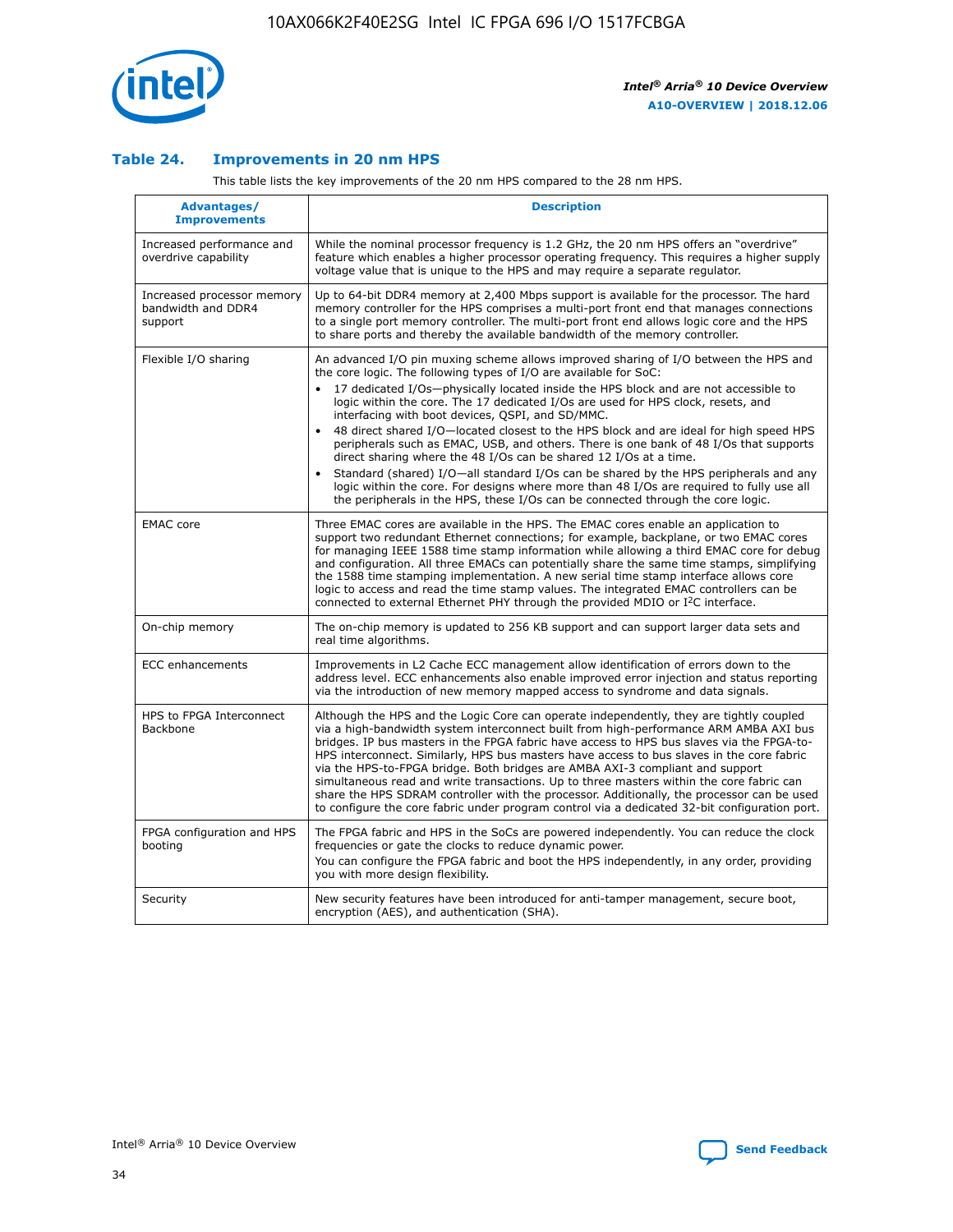

## **Table 24. Improvements in 20 nm HPS**

This table lists the key improvements of the 20 nm HPS compared to the 28 nm HPS.

| Advantages/<br><b>Improvements</b>                          | <b>Description</b>                                                                                                                                                                                                                                                                                                                                                                                                                                                                                                                                                                                                                                                                                                                                                                                                                                                                                                                                |
|-------------------------------------------------------------|---------------------------------------------------------------------------------------------------------------------------------------------------------------------------------------------------------------------------------------------------------------------------------------------------------------------------------------------------------------------------------------------------------------------------------------------------------------------------------------------------------------------------------------------------------------------------------------------------------------------------------------------------------------------------------------------------------------------------------------------------------------------------------------------------------------------------------------------------------------------------------------------------------------------------------------------------|
| Increased performance and<br>overdrive capability           | While the nominal processor frequency is 1.2 GHz, the 20 nm HPS offers an "overdrive"<br>feature which enables a higher processor operating frequency. This requires a higher supply<br>voltage value that is unique to the HPS and may require a separate regulator.                                                                                                                                                                                                                                                                                                                                                                                                                                                                                                                                                                                                                                                                             |
| Increased processor memory<br>bandwidth and DDR4<br>support | Up to 64-bit DDR4 memory at 2,400 Mbps support is available for the processor. The hard<br>memory controller for the HPS comprises a multi-port front end that manages connections<br>to a single port memory controller. The multi-port front end allows logic core and the HPS<br>to share ports and thereby the available bandwidth of the memory controller.                                                                                                                                                                                                                                                                                                                                                                                                                                                                                                                                                                                  |
| Flexible I/O sharing                                        | An advanced I/O pin muxing scheme allows improved sharing of I/O between the HPS and<br>the core logic. The following types of I/O are available for SoC:<br>17 dedicated I/Os-physically located inside the HPS block and are not accessible to<br>$\bullet$<br>logic within the core. The 17 dedicated I/Os are used for HPS clock, resets, and<br>interfacing with boot devices, QSPI, and SD/MMC.<br>48 direct shared I/O-located closest to the HPS block and are ideal for high speed HPS<br>$\bullet$<br>peripherals such as EMAC, USB, and others. There is one bank of 48 I/Os that supports<br>direct sharing where the 48 I/Os can be shared 12 I/Os at a time.<br>Standard (shared) I/O-all standard I/Os can be shared by the HPS peripherals and any<br>logic within the core. For designs where more than 48 I/Os are reguired to fully use all<br>the peripherals in the HPS, these I/Os can be connected through the core logic. |
| <b>EMAC</b> core                                            | Three EMAC cores are available in the HPS. The EMAC cores enable an application to<br>support two redundant Ethernet connections; for example, backplane, or two EMAC cores<br>for managing IEEE 1588 time stamp information while allowing a third EMAC core for debug<br>and configuration. All three EMACs can potentially share the same time stamps, simplifying<br>the 1588 time stamping implementation. A new serial time stamp interface allows core<br>logic to access and read the time stamp values. The integrated EMAC controllers can be<br>connected to external Ethernet PHY through the provided MDIO or I <sup>2</sup> C interface.                                                                                                                                                                                                                                                                                            |
| On-chip memory                                              | The on-chip memory is updated to 256 KB support and can support larger data sets and<br>real time algorithms.                                                                                                                                                                                                                                                                                                                                                                                                                                                                                                                                                                                                                                                                                                                                                                                                                                     |
| <b>ECC</b> enhancements                                     | Improvements in L2 Cache ECC management allow identification of errors down to the<br>address level. ECC enhancements also enable improved error injection and status reporting<br>via the introduction of new memory mapped access to syndrome and data signals.                                                                                                                                                                                                                                                                                                                                                                                                                                                                                                                                                                                                                                                                                 |
| HPS to FPGA Interconnect<br>Backbone                        | Although the HPS and the Logic Core can operate independently, they are tightly coupled<br>via a high-bandwidth system interconnect built from high-performance ARM AMBA AXI bus<br>bridges. IP bus masters in the FPGA fabric have access to HPS bus slaves via the FPGA-to-<br>HPS interconnect. Similarly, HPS bus masters have access to bus slaves in the core fabric<br>via the HPS-to-FPGA bridge. Both bridges are AMBA AXI-3 compliant and support<br>simultaneous read and write transactions. Up to three masters within the core fabric can<br>share the HPS SDRAM controller with the processor. Additionally, the processor can be used<br>to configure the core fabric under program control via a dedicated 32-bit configuration port.                                                                                                                                                                                            |
| FPGA configuration and HPS<br>booting                       | The FPGA fabric and HPS in the SoCs are powered independently. You can reduce the clock<br>frequencies or gate the clocks to reduce dynamic power.<br>You can configure the FPGA fabric and boot the HPS independently, in any order, providing<br>you with more design flexibility.                                                                                                                                                                                                                                                                                                                                                                                                                                                                                                                                                                                                                                                              |
| Security                                                    | New security features have been introduced for anti-tamper management, secure boot,<br>encryption (AES), and authentication (SHA).                                                                                                                                                                                                                                                                                                                                                                                                                                                                                                                                                                                                                                                                                                                                                                                                                |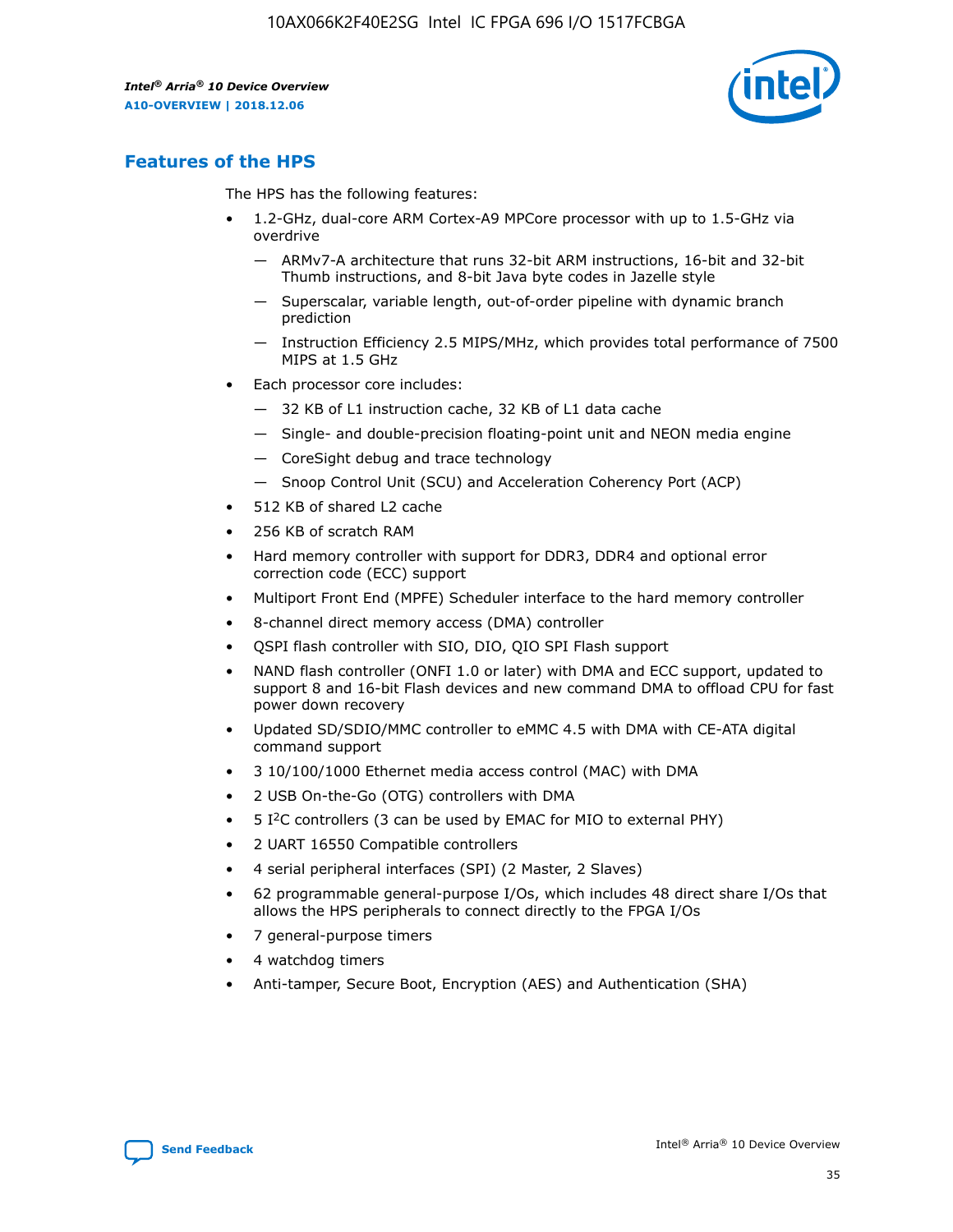

## **Features of the HPS**

The HPS has the following features:

- 1.2-GHz, dual-core ARM Cortex-A9 MPCore processor with up to 1.5-GHz via overdrive
	- ARMv7-A architecture that runs 32-bit ARM instructions, 16-bit and 32-bit Thumb instructions, and 8-bit Java byte codes in Jazelle style
	- Superscalar, variable length, out-of-order pipeline with dynamic branch prediction
	- Instruction Efficiency 2.5 MIPS/MHz, which provides total performance of 7500 MIPS at 1.5 GHz
- Each processor core includes:
	- 32 KB of L1 instruction cache, 32 KB of L1 data cache
	- Single- and double-precision floating-point unit and NEON media engine
	- CoreSight debug and trace technology
	- Snoop Control Unit (SCU) and Acceleration Coherency Port (ACP)
- 512 KB of shared L2 cache
- 256 KB of scratch RAM
- Hard memory controller with support for DDR3, DDR4 and optional error correction code (ECC) support
- Multiport Front End (MPFE) Scheduler interface to the hard memory controller
- 8-channel direct memory access (DMA) controller
- QSPI flash controller with SIO, DIO, QIO SPI Flash support
- NAND flash controller (ONFI 1.0 or later) with DMA and ECC support, updated to support 8 and 16-bit Flash devices and new command DMA to offload CPU for fast power down recovery
- Updated SD/SDIO/MMC controller to eMMC 4.5 with DMA with CE-ATA digital command support
- 3 10/100/1000 Ethernet media access control (MAC) with DMA
- 2 USB On-the-Go (OTG) controllers with DMA
- $\bullet$  5 I<sup>2</sup>C controllers (3 can be used by EMAC for MIO to external PHY)
- 2 UART 16550 Compatible controllers
- 4 serial peripheral interfaces (SPI) (2 Master, 2 Slaves)
- 62 programmable general-purpose I/Os, which includes 48 direct share I/Os that allows the HPS peripherals to connect directly to the FPGA I/Os
- 7 general-purpose timers
- 4 watchdog timers
- Anti-tamper, Secure Boot, Encryption (AES) and Authentication (SHA)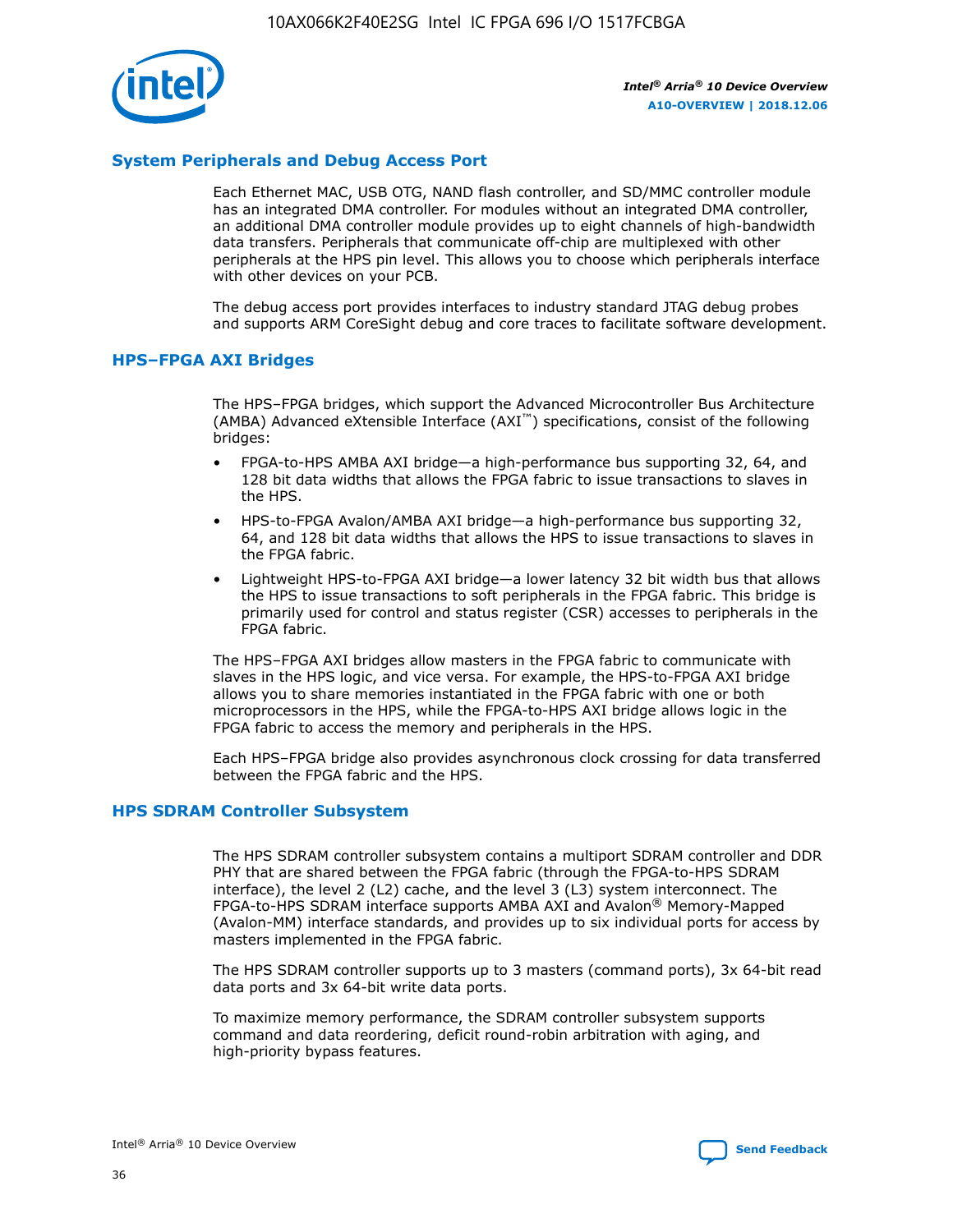

## **System Peripherals and Debug Access Port**

Each Ethernet MAC, USB OTG, NAND flash controller, and SD/MMC controller module has an integrated DMA controller. For modules without an integrated DMA controller, an additional DMA controller module provides up to eight channels of high-bandwidth data transfers. Peripherals that communicate off-chip are multiplexed with other peripherals at the HPS pin level. This allows you to choose which peripherals interface with other devices on your PCB.

The debug access port provides interfaces to industry standard JTAG debug probes and supports ARM CoreSight debug and core traces to facilitate software development.

### **HPS–FPGA AXI Bridges**

The HPS–FPGA bridges, which support the Advanced Microcontroller Bus Architecture (AMBA) Advanced eXtensible Interface (AXI™) specifications, consist of the following bridges:

- FPGA-to-HPS AMBA AXI bridge—a high-performance bus supporting 32, 64, and 128 bit data widths that allows the FPGA fabric to issue transactions to slaves in the HPS.
- HPS-to-FPGA Avalon/AMBA AXI bridge—a high-performance bus supporting 32, 64, and 128 bit data widths that allows the HPS to issue transactions to slaves in the FPGA fabric.
- Lightweight HPS-to-FPGA AXI bridge—a lower latency 32 bit width bus that allows the HPS to issue transactions to soft peripherals in the FPGA fabric. This bridge is primarily used for control and status register (CSR) accesses to peripherals in the FPGA fabric.

The HPS–FPGA AXI bridges allow masters in the FPGA fabric to communicate with slaves in the HPS logic, and vice versa. For example, the HPS-to-FPGA AXI bridge allows you to share memories instantiated in the FPGA fabric with one or both microprocessors in the HPS, while the FPGA-to-HPS AXI bridge allows logic in the FPGA fabric to access the memory and peripherals in the HPS.

Each HPS–FPGA bridge also provides asynchronous clock crossing for data transferred between the FPGA fabric and the HPS.

#### **HPS SDRAM Controller Subsystem**

The HPS SDRAM controller subsystem contains a multiport SDRAM controller and DDR PHY that are shared between the FPGA fabric (through the FPGA-to-HPS SDRAM interface), the level 2 (L2) cache, and the level 3 (L3) system interconnect. The FPGA-to-HPS SDRAM interface supports AMBA AXI and Avalon® Memory-Mapped (Avalon-MM) interface standards, and provides up to six individual ports for access by masters implemented in the FPGA fabric.

The HPS SDRAM controller supports up to 3 masters (command ports), 3x 64-bit read data ports and 3x 64-bit write data ports.

To maximize memory performance, the SDRAM controller subsystem supports command and data reordering, deficit round-robin arbitration with aging, and high-priority bypass features.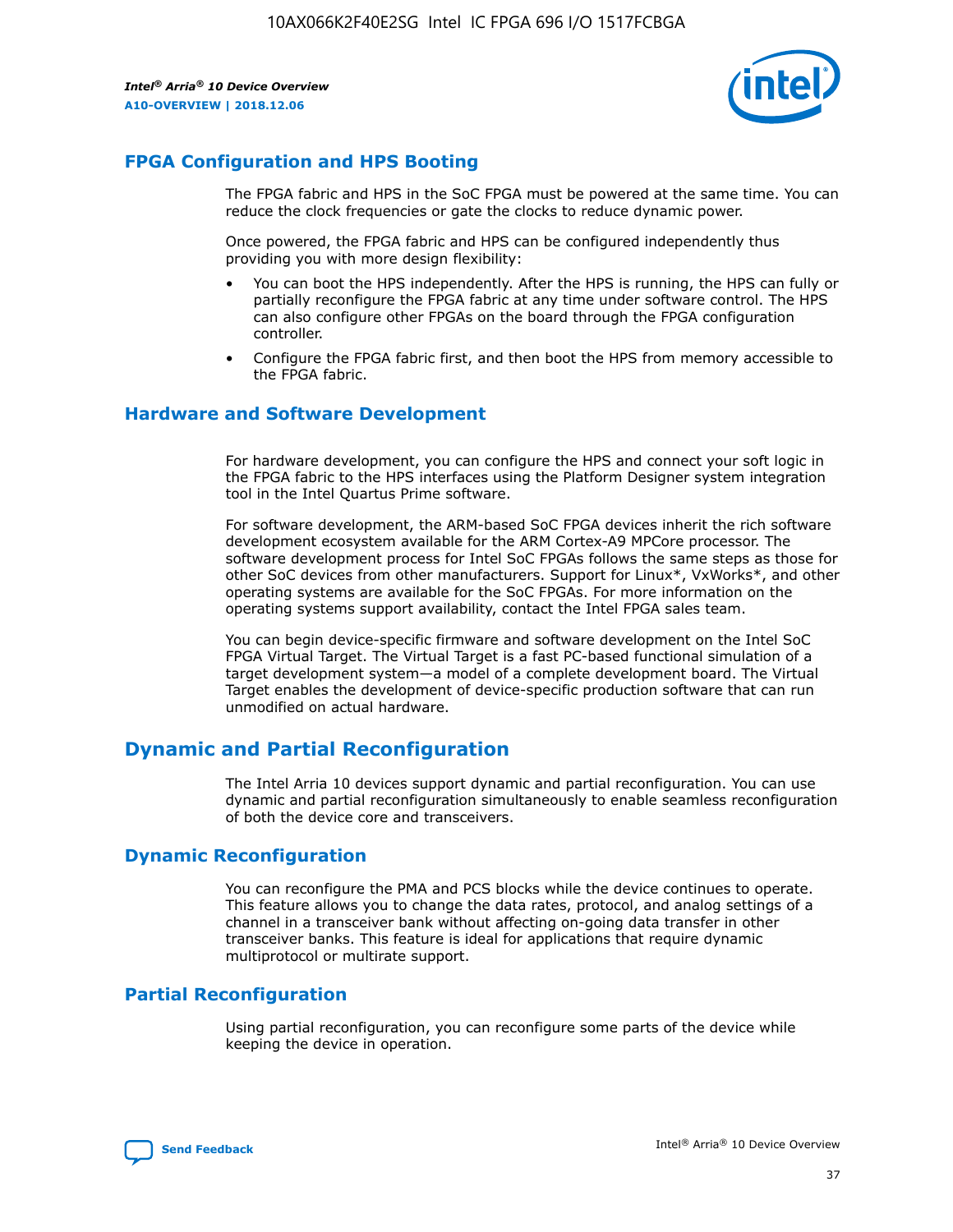

## **FPGA Configuration and HPS Booting**

The FPGA fabric and HPS in the SoC FPGA must be powered at the same time. You can reduce the clock frequencies or gate the clocks to reduce dynamic power.

Once powered, the FPGA fabric and HPS can be configured independently thus providing you with more design flexibility:

- You can boot the HPS independently. After the HPS is running, the HPS can fully or partially reconfigure the FPGA fabric at any time under software control. The HPS can also configure other FPGAs on the board through the FPGA configuration controller.
- Configure the FPGA fabric first, and then boot the HPS from memory accessible to the FPGA fabric.

## **Hardware and Software Development**

For hardware development, you can configure the HPS and connect your soft logic in the FPGA fabric to the HPS interfaces using the Platform Designer system integration tool in the Intel Quartus Prime software.

For software development, the ARM-based SoC FPGA devices inherit the rich software development ecosystem available for the ARM Cortex-A9 MPCore processor. The software development process for Intel SoC FPGAs follows the same steps as those for other SoC devices from other manufacturers. Support for Linux\*, VxWorks\*, and other operating systems are available for the SoC FPGAs. For more information on the operating systems support availability, contact the Intel FPGA sales team.

You can begin device-specific firmware and software development on the Intel SoC FPGA Virtual Target. The Virtual Target is a fast PC-based functional simulation of a target development system—a model of a complete development board. The Virtual Target enables the development of device-specific production software that can run unmodified on actual hardware.

## **Dynamic and Partial Reconfiguration**

The Intel Arria 10 devices support dynamic and partial reconfiguration. You can use dynamic and partial reconfiguration simultaneously to enable seamless reconfiguration of both the device core and transceivers.

## **Dynamic Reconfiguration**

You can reconfigure the PMA and PCS blocks while the device continues to operate. This feature allows you to change the data rates, protocol, and analog settings of a channel in a transceiver bank without affecting on-going data transfer in other transceiver banks. This feature is ideal for applications that require dynamic multiprotocol or multirate support.

## **Partial Reconfiguration**

Using partial reconfiguration, you can reconfigure some parts of the device while keeping the device in operation.

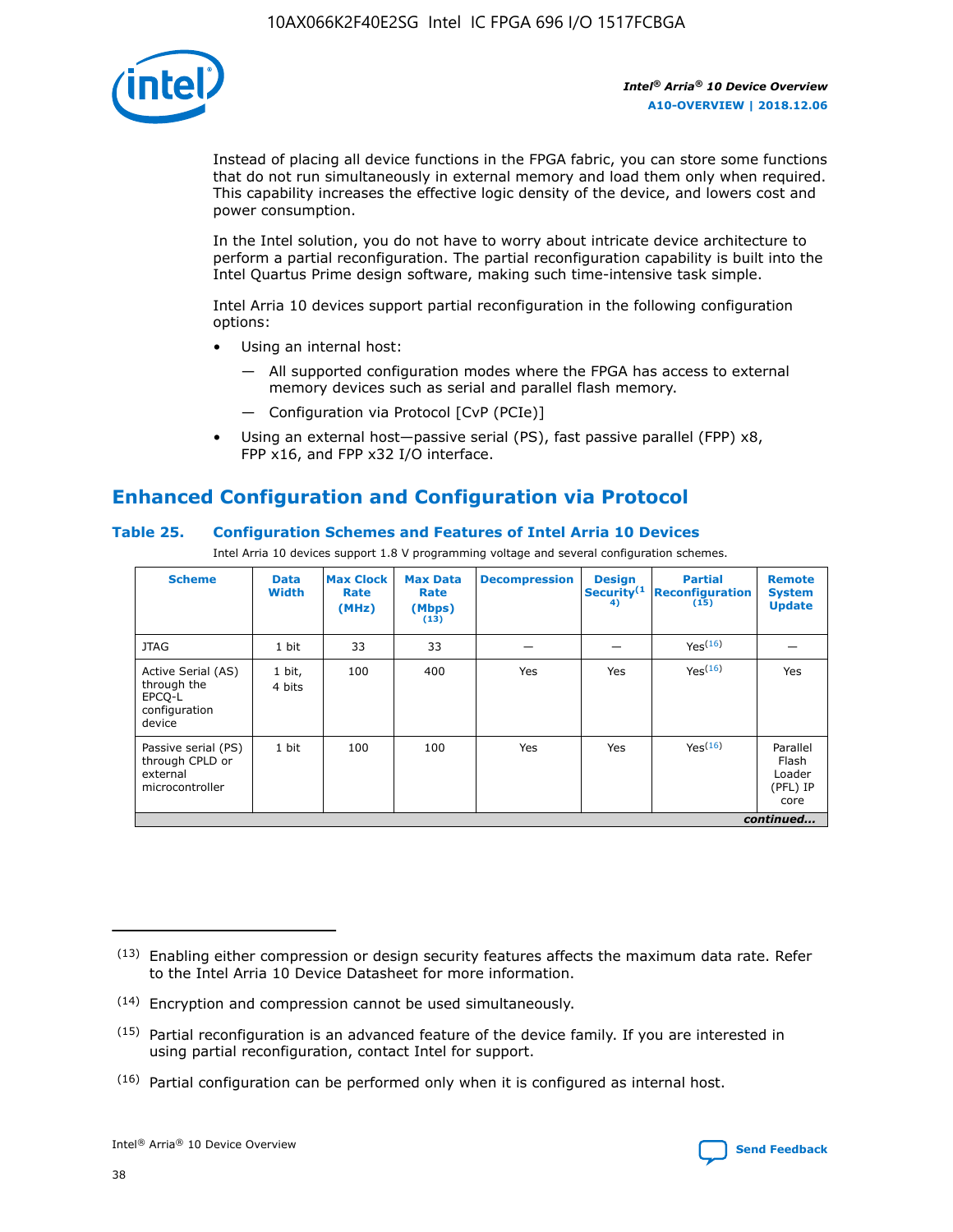

Instead of placing all device functions in the FPGA fabric, you can store some functions that do not run simultaneously in external memory and load them only when required. This capability increases the effective logic density of the device, and lowers cost and power consumption.

In the Intel solution, you do not have to worry about intricate device architecture to perform a partial reconfiguration. The partial reconfiguration capability is built into the Intel Quartus Prime design software, making such time-intensive task simple.

Intel Arria 10 devices support partial reconfiguration in the following configuration options:

- Using an internal host:
	- All supported configuration modes where the FPGA has access to external memory devices such as serial and parallel flash memory.
	- Configuration via Protocol [CvP (PCIe)]
- Using an external host—passive serial (PS), fast passive parallel (FPP) x8, FPP x16, and FPP x32 I/O interface.

# **Enhanced Configuration and Configuration via Protocol**

## **Table 25. Configuration Schemes and Features of Intel Arria 10 Devices**

Intel Arria 10 devices support 1.8 V programming voltage and several configuration schemes.

| <b>Scheme</b>                                                          | <b>Data</b><br><b>Width</b> | <b>Max Clock</b><br>Rate<br>(MHz) | <b>Max Data</b><br>Rate<br>(Mbps)<br>(13) | <b>Decompression</b> | <b>Design</b><br>Security <sup>(1</sup><br>4) | <b>Partial</b><br>Reconfiguration<br>(15) | <b>Remote</b><br><b>System</b><br><b>Update</b> |
|------------------------------------------------------------------------|-----------------------------|-----------------------------------|-------------------------------------------|----------------------|-----------------------------------------------|-------------------------------------------|-------------------------------------------------|
| <b>JTAG</b>                                                            | 1 bit                       | 33                                | 33                                        |                      |                                               | Yes(16)                                   |                                                 |
| Active Serial (AS)<br>through the<br>EPCO-L<br>configuration<br>device | 1 bit,<br>4 bits            | 100                               | 400                                       | Yes                  | Yes                                           | Yes(16)                                   | Yes                                             |
| Passive serial (PS)<br>through CPLD or<br>external<br>microcontroller  | 1 bit                       | 100                               | 100                                       | Yes                  | Yes                                           | Yes <sup>(16)</sup>                       | Parallel<br>Flash<br>Loader<br>(PFL) IP<br>core |
|                                                                        |                             |                                   |                                           |                      |                                               |                                           | continued                                       |

<sup>(13)</sup> Enabling either compression or design security features affects the maximum data rate. Refer to the Intel Arria 10 Device Datasheet for more information.

<sup>(14)</sup> Encryption and compression cannot be used simultaneously.

 $(15)$  Partial reconfiguration is an advanced feature of the device family. If you are interested in using partial reconfiguration, contact Intel for support.

 $(16)$  Partial configuration can be performed only when it is configured as internal host.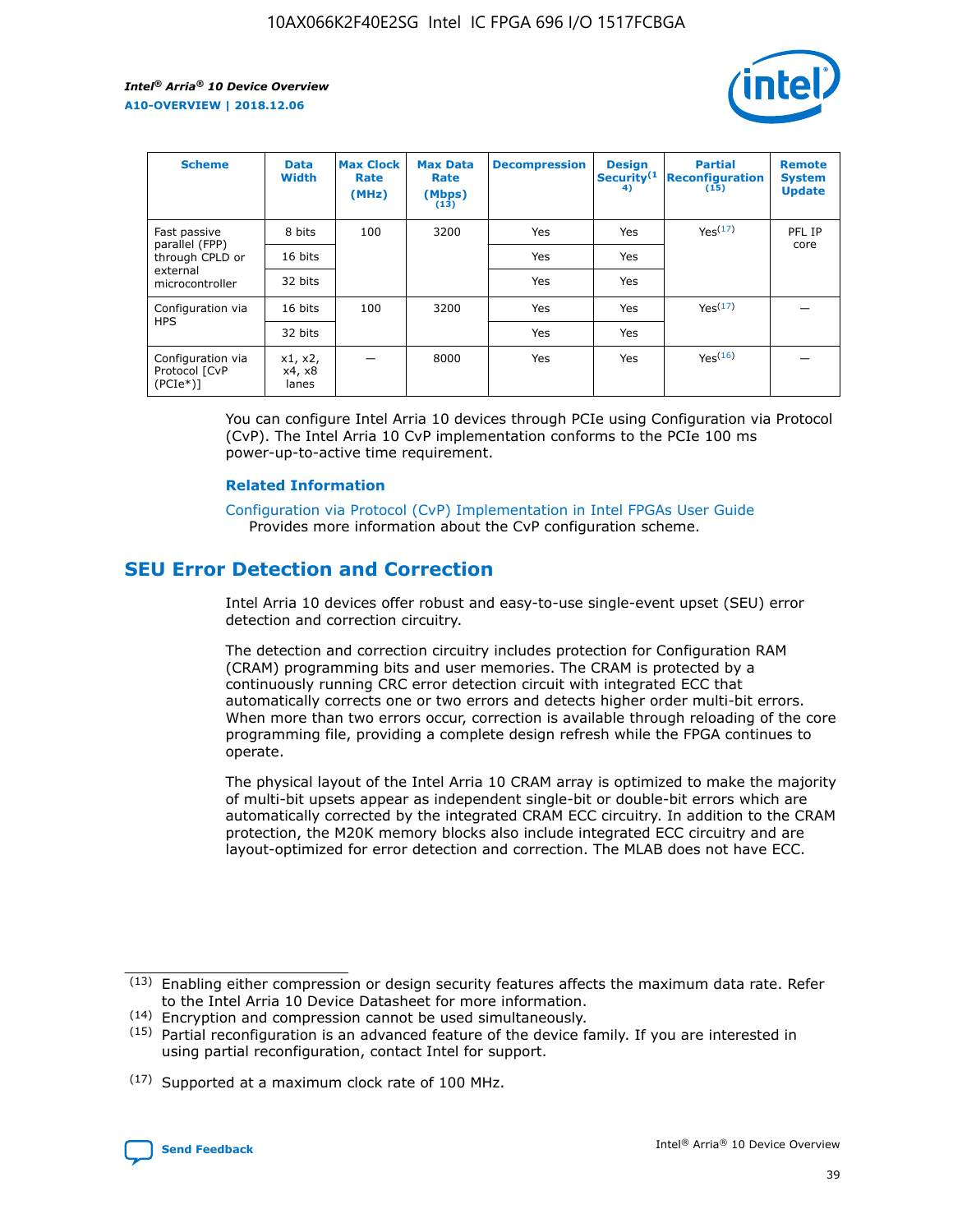

| <b>Scheme</b>                                   | <b>Data</b><br><b>Width</b> | <b>Max Clock</b><br>Rate<br>(MHz) | <b>Max Data</b><br>Rate<br>(Mbps)<br>(13) | <b>Decompression</b> | <b>Design</b><br>Security <sup>(1</sup><br>4) | <b>Partial</b><br><b>Reconfiguration</b><br>(15) | <b>Remote</b><br><b>System</b><br><b>Update</b> |
|-------------------------------------------------|-----------------------------|-----------------------------------|-------------------------------------------|----------------------|-----------------------------------------------|--------------------------------------------------|-------------------------------------------------|
| Fast passive                                    | 8 bits                      | 100                               | 3200                                      | Yes                  | Yes                                           | Yes <sup>(17)</sup>                              | PFL IP                                          |
| parallel (FPP)<br>through CPLD or               | 16 bits                     |                                   |                                           | Yes                  | Yes                                           |                                                  | core                                            |
| external<br>microcontroller                     | 32 bits                     |                                   |                                           | Yes                  | Yes                                           |                                                  |                                                 |
| Configuration via                               | 16 bits                     | 100                               | 3200                                      | Yes                  | Yes                                           | Yes <sup>(17)</sup>                              |                                                 |
| <b>HPS</b>                                      | 32 bits                     |                                   |                                           | Yes                  | Yes                                           |                                                  |                                                 |
| Configuration via<br>Protocol [CvP<br>$(PCIe*)$ | x1, x2,<br>x4, x8<br>lanes  |                                   | 8000                                      | Yes                  | Yes                                           | Yes(16)                                          |                                                 |

You can configure Intel Arria 10 devices through PCIe using Configuration via Protocol (CvP). The Intel Arria 10 CvP implementation conforms to the PCIe 100 ms power-up-to-active time requirement.

#### **Related Information**

[Configuration via Protocol \(CvP\) Implementation in Intel FPGAs User Guide](https://www.intel.com/content/www/us/en/programmable/documentation/dsu1441819344145.html#dsu1442269728522) Provides more information about the CvP configuration scheme.

## **SEU Error Detection and Correction**

Intel Arria 10 devices offer robust and easy-to-use single-event upset (SEU) error detection and correction circuitry.

The detection and correction circuitry includes protection for Configuration RAM (CRAM) programming bits and user memories. The CRAM is protected by a continuously running CRC error detection circuit with integrated ECC that automatically corrects one or two errors and detects higher order multi-bit errors. When more than two errors occur, correction is available through reloading of the core programming file, providing a complete design refresh while the FPGA continues to operate.

The physical layout of the Intel Arria 10 CRAM array is optimized to make the majority of multi-bit upsets appear as independent single-bit or double-bit errors which are automatically corrected by the integrated CRAM ECC circuitry. In addition to the CRAM protection, the M20K memory blocks also include integrated ECC circuitry and are layout-optimized for error detection and correction. The MLAB does not have ECC.

(14) Encryption and compression cannot be used simultaneously.

<sup>(17)</sup> Supported at a maximum clock rate of 100 MHz.



 $(13)$  Enabling either compression or design security features affects the maximum data rate. Refer to the Intel Arria 10 Device Datasheet for more information.

 $(15)$  Partial reconfiguration is an advanced feature of the device family. If you are interested in using partial reconfiguration, contact Intel for support.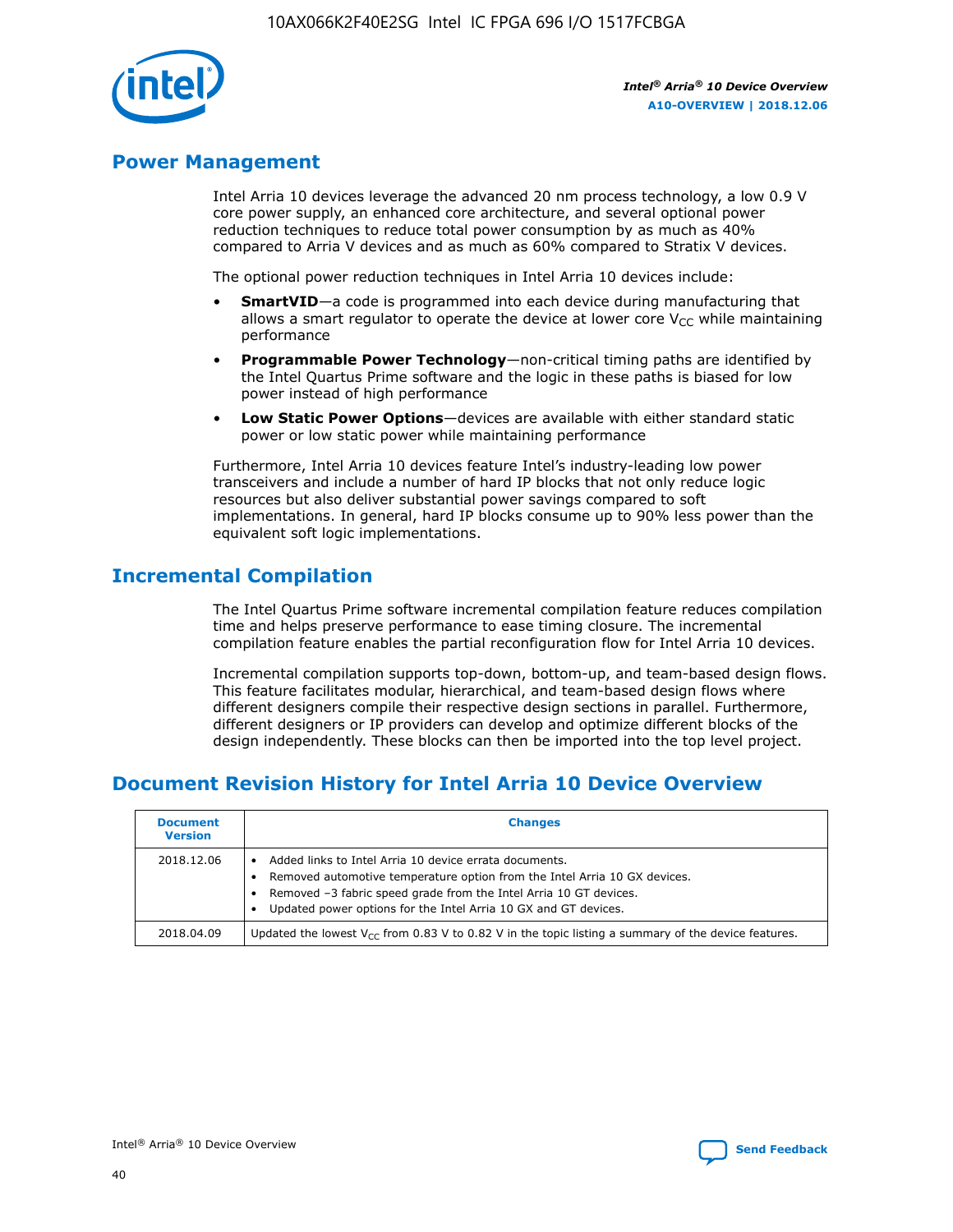

## **Power Management**

Intel Arria 10 devices leverage the advanced 20 nm process technology, a low 0.9 V core power supply, an enhanced core architecture, and several optional power reduction techniques to reduce total power consumption by as much as 40% compared to Arria V devices and as much as 60% compared to Stratix V devices.

The optional power reduction techniques in Intel Arria 10 devices include:

- **SmartVID**—a code is programmed into each device during manufacturing that allows a smart regulator to operate the device at lower core  $V_{CC}$  while maintaining performance
- **Programmable Power Technology**—non-critical timing paths are identified by the Intel Quartus Prime software and the logic in these paths is biased for low power instead of high performance
- **Low Static Power Options**—devices are available with either standard static power or low static power while maintaining performance

Furthermore, Intel Arria 10 devices feature Intel's industry-leading low power transceivers and include a number of hard IP blocks that not only reduce logic resources but also deliver substantial power savings compared to soft implementations. In general, hard IP blocks consume up to 90% less power than the equivalent soft logic implementations.

## **Incremental Compilation**

The Intel Quartus Prime software incremental compilation feature reduces compilation time and helps preserve performance to ease timing closure. The incremental compilation feature enables the partial reconfiguration flow for Intel Arria 10 devices.

Incremental compilation supports top-down, bottom-up, and team-based design flows. This feature facilitates modular, hierarchical, and team-based design flows where different designers compile their respective design sections in parallel. Furthermore, different designers or IP providers can develop and optimize different blocks of the design independently. These blocks can then be imported into the top level project.

## **Document Revision History for Intel Arria 10 Device Overview**

| <b>Document</b><br><b>Version</b> | <b>Changes</b>                                                                                                                                                                                                                                                              |
|-----------------------------------|-----------------------------------------------------------------------------------------------------------------------------------------------------------------------------------------------------------------------------------------------------------------------------|
| 2018.12.06                        | Added links to Intel Arria 10 device errata documents.<br>Removed automotive temperature option from the Intel Arria 10 GX devices.<br>Removed -3 fabric speed grade from the Intel Arria 10 GT devices.<br>Updated power options for the Intel Arria 10 GX and GT devices. |
| 2018.04.09                        | Updated the lowest $V_{CC}$ from 0.83 V to 0.82 V in the topic listing a summary of the device features.                                                                                                                                                                    |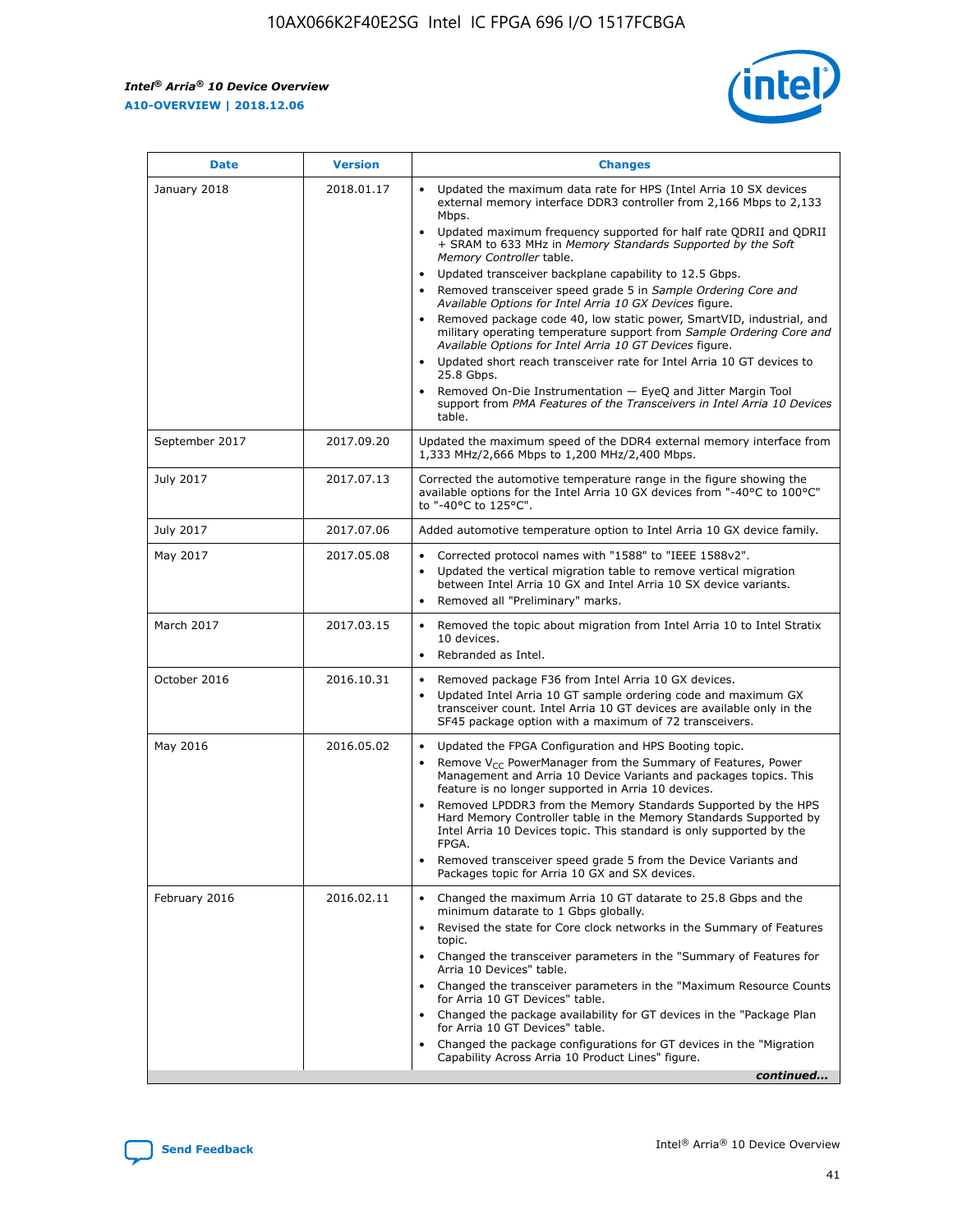$\mathsf{r}$ 



| <b>Date</b>    | <b>Version</b> | <b>Changes</b>                                                                                                                                                                                                                                                                                                                                                                                                                                                                                                                                                                                                                                                                                                                                                                                                                                                                                                                                                                                      |
|----------------|----------------|-----------------------------------------------------------------------------------------------------------------------------------------------------------------------------------------------------------------------------------------------------------------------------------------------------------------------------------------------------------------------------------------------------------------------------------------------------------------------------------------------------------------------------------------------------------------------------------------------------------------------------------------------------------------------------------------------------------------------------------------------------------------------------------------------------------------------------------------------------------------------------------------------------------------------------------------------------------------------------------------------------|
| January 2018   | 2018.01.17     | Updated the maximum data rate for HPS (Intel Arria 10 SX devices<br>external memory interface DDR3 controller from 2,166 Mbps to 2,133<br>Mbps.<br>Updated maximum frequency supported for half rate QDRII and QDRII<br>$\bullet$<br>+ SRAM to 633 MHz in Memory Standards Supported by the Soft<br>Memory Controller table.<br>Updated transceiver backplane capability to 12.5 Gbps.<br>$\bullet$<br>Removed transceiver speed grade 5 in Sample Ordering Core and<br>Available Options for Intel Arria 10 GX Devices figure.<br>Removed package code 40, low static power, SmartVID, industrial, and<br>military operating temperature support from Sample Ordering Core and<br>Available Options for Intel Arria 10 GT Devices figure.<br>Updated short reach transceiver rate for Intel Arria 10 GT devices to<br>$\bullet$<br>25.8 Gbps.<br>Removed On-Die Instrumentation - EyeQ and Jitter Margin Tool<br>support from PMA Features of the Transceivers in Intel Arria 10 Devices<br>table. |
| September 2017 | 2017.09.20     | Updated the maximum speed of the DDR4 external memory interface from<br>1,333 MHz/2,666 Mbps to 1,200 MHz/2,400 Mbps.                                                                                                                                                                                                                                                                                                                                                                                                                                                                                                                                                                                                                                                                                                                                                                                                                                                                               |
| July 2017      | 2017.07.13     | Corrected the automotive temperature range in the figure showing the<br>available options for the Intel Arria 10 GX devices from "-40°C to 100°C"<br>to "-40°C to 125°C".                                                                                                                                                                                                                                                                                                                                                                                                                                                                                                                                                                                                                                                                                                                                                                                                                           |
| July 2017      | 2017.07.06     | Added automotive temperature option to Intel Arria 10 GX device family.                                                                                                                                                                                                                                                                                                                                                                                                                                                                                                                                                                                                                                                                                                                                                                                                                                                                                                                             |
| May 2017       | 2017.05.08     | Corrected protocol names with "1588" to "IEEE 1588v2".<br>$\bullet$<br>Updated the vertical migration table to remove vertical migration<br>$\bullet$<br>between Intel Arria 10 GX and Intel Arria 10 SX device variants.<br>Removed all "Preliminary" marks.                                                                                                                                                                                                                                                                                                                                                                                                                                                                                                                                                                                                                                                                                                                                       |
| March 2017     | 2017.03.15     | Removed the topic about migration from Intel Arria 10 to Intel Stratix<br>10 devices.<br>Rebranded as Intel.<br>$\bullet$                                                                                                                                                                                                                                                                                                                                                                                                                                                                                                                                                                                                                                                                                                                                                                                                                                                                           |
| October 2016   | 2016.10.31     | Removed package F36 from Intel Arria 10 GX devices.<br>$\bullet$<br>Updated Intel Arria 10 GT sample ordering code and maximum GX<br>$\bullet$<br>transceiver count. Intel Arria 10 GT devices are available only in the<br>SF45 package option with a maximum of 72 transceivers.                                                                                                                                                                                                                                                                                                                                                                                                                                                                                                                                                                                                                                                                                                                  |
| May 2016       | 2016.05.02     | Updated the FPGA Configuration and HPS Booting topic.<br>Remove $V_{CC}$ PowerManager from the Summary of Features, Power<br>Management and Arria 10 Device Variants and packages topics. This<br>feature is no longer supported in Arria 10 devices.<br>Removed LPDDR3 from the Memory Standards Supported by the HPS<br>Hard Memory Controller table in the Memory Standards Supported by<br>Intel Arria 10 Devices topic. This standard is only supported by the<br>FPGA.<br>Removed transceiver speed grade 5 from the Device Variants and<br>Packages topic for Arria 10 GX and SX devices.                                                                                                                                                                                                                                                                                                                                                                                                    |
| February 2016  | 2016.02.11     | Changed the maximum Arria 10 GT datarate to 25.8 Gbps and the<br>minimum datarate to 1 Gbps globally.<br>Revised the state for Core clock networks in the Summary of Features<br>$\bullet$<br>topic.<br>• Changed the transceiver parameters in the "Summary of Features for<br>Arria 10 Devices" table.<br>Changed the transceiver parameters in the "Maximum Resource Counts"<br>for Arria 10 GT Devices" table.<br>• Changed the package availability for GT devices in the "Package Plan<br>for Arria 10 GT Devices" table.<br>Changed the package configurations for GT devices in the "Migration"<br>Capability Across Arria 10 Product Lines" figure.<br>continued                                                                                                                                                                                                                                                                                                                           |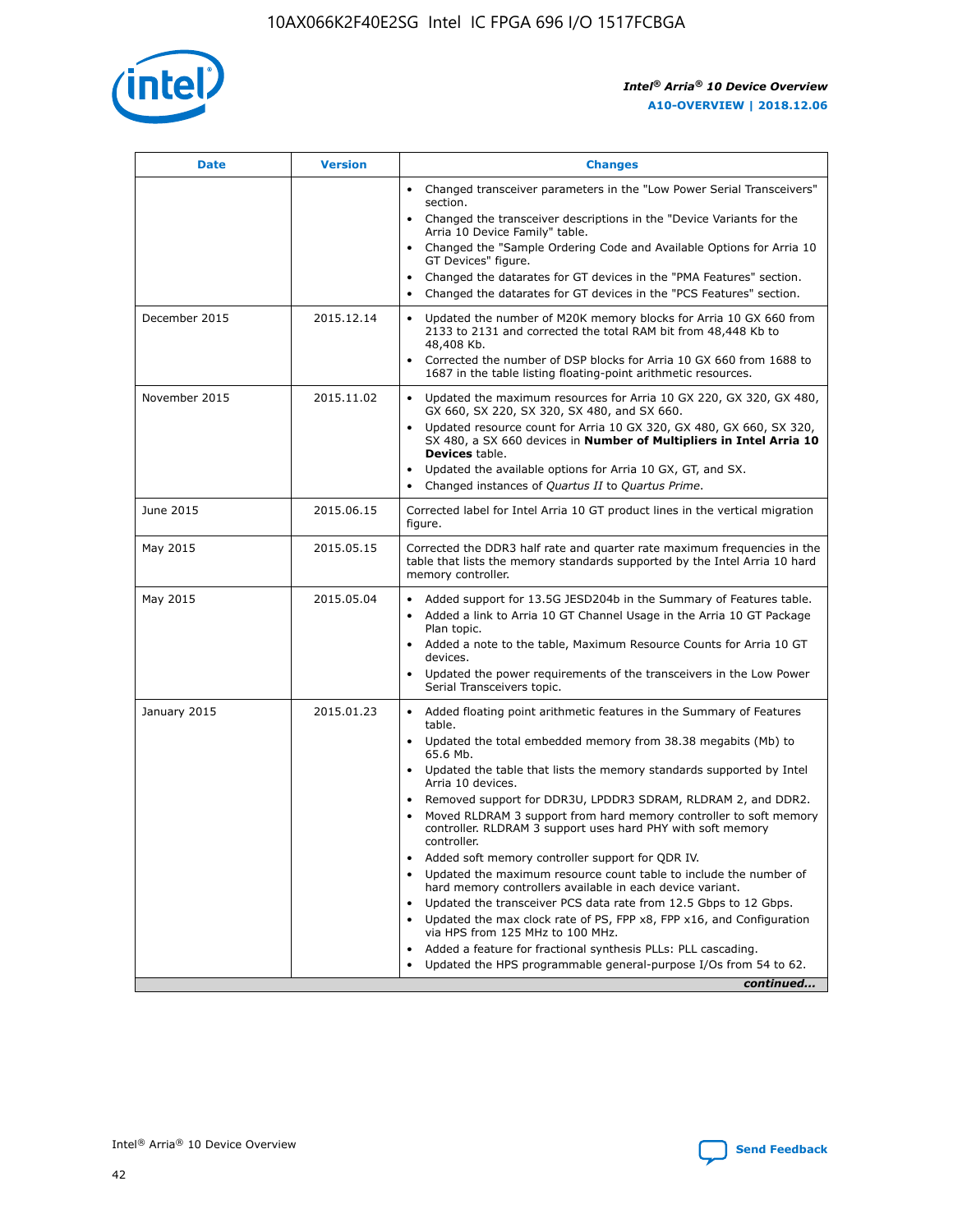

| <b>Date</b>   | <b>Version</b> | <b>Changes</b>                                                                                                                                                               |
|---------------|----------------|------------------------------------------------------------------------------------------------------------------------------------------------------------------------------|
|               |                | • Changed transceiver parameters in the "Low Power Serial Transceivers"<br>section.                                                                                          |
|               |                | • Changed the transceiver descriptions in the "Device Variants for the<br>Arria 10 Device Family" table.                                                                     |
|               |                | Changed the "Sample Ordering Code and Available Options for Arria 10<br>$\bullet$<br>GT Devices" figure.                                                                     |
|               |                | Changed the datarates for GT devices in the "PMA Features" section.                                                                                                          |
|               |                | Changed the datarates for GT devices in the "PCS Features" section.<br>$\bullet$                                                                                             |
| December 2015 | 2015.12.14     | Updated the number of M20K memory blocks for Arria 10 GX 660 from<br>2133 to 2131 and corrected the total RAM bit from 48,448 Kb to<br>48,408 Kb.                            |
|               |                | Corrected the number of DSP blocks for Arria 10 GX 660 from 1688 to<br>1687 in the table listing floating-point arithmetic resources.                                        |
| November 2015 | 2015.11.02     | Updated the maximum resources for Arria 10 GX 220, GX 320, GX 480,<br>$\bullet$<br>GX 660, SX 220, SX 320, SX 480, and SX 660.                                               |
|               |                | • Updated resource count for Arria 10 GX 320, GX 480, GX 660, SX 320,<br>SX 480, a SX 660 devices in Number of Multipliers in Intel Arria 10<br><b>Devices</b> table.        |
|               |                | Updated the available options for Arria 10 GX, GT, and SX.                                                                                                                   |
|               |                | Changed instances of Quartus II to Quartus Prime.<br>$\bullet$                                                                                                               |
| June 2015     | 2015.06.15     | Corrected label for Intel Arria 10 GT product lines in the vertical migration<br>figure.                                                                                     |
| May 2015      | 2015.05.15     | Corrected the DDR3 half rate and quarter rate maximum frequencies in the<br>table that lists the memory standards supported by the Intel Arria 10 hard<br>memory controller. |
| May 2015      | 2015.05.04     | • Added support for 13.5G JESD204b in the Summary of Features table.                                                                                                         |
|               |                | • Added a link to Arria 10 GT Channel Usage in the Arria 10 GT Package<br>Plan topic.                                                                                        |
|               |                | • Added a note to the table, Maximum Resource Counts for Arria 10 GT<br>devices.                                                                                             |
|               |                | • Updated the power requirements of the transceivers in the Low Power<br>Serial Transceivers topic.                                                                          |
| January 2015  | 2015.01.23     | • Added floating point arithmetic features in the Summary of Features<br>table.                                                                                              |
|               |                | • Updated the total embedded memory from 38.38 megabits (Mb) to<br>65.6 Mb.                                                                                                  |
|               |                | • Updated the table that lists the memory standards supported by Intel<br>Arria 10 devices.                                                                                  |
|               |                | Removed support for DDR3U, LPDDR3 SDRAM, RLDRAM 2, and DDR2.                                                                                                                 |
|               |                | Moved RLDRAM 3 support from hard memory controller to soft memory<br>controller. RLDRAM 3 support uses hard PHY with soft memory<br>controller.                              |
|               |                | Added soft memory controller support for QDR IV.<br>٠                                                                                                                        |
|               |                | Updated the maximum resource count table to include the number of<br>hard memory controllers available in each device variant.                                               |
|               |                | Updated the transceiver PCS data rate from 12.5 Gbps to 12 Gbps.<br>$\bullet$                                                                                                |
|               |                | Updated the max clock rate of PS, FPP x8, FPP x16, and Configuration<br>via HPS from 125 MHz to 100 MHz.                                                                     |
|               |                | Added a feature for fractional synthesis PLLs: PLL cascading.                                                                                                                |
|               |                | Updated the HPS programmable general-purpose I/Os from 54 to 62.<br>$\bullet$                                                                                                |
|               |                | continued                                                                                                                                                                    |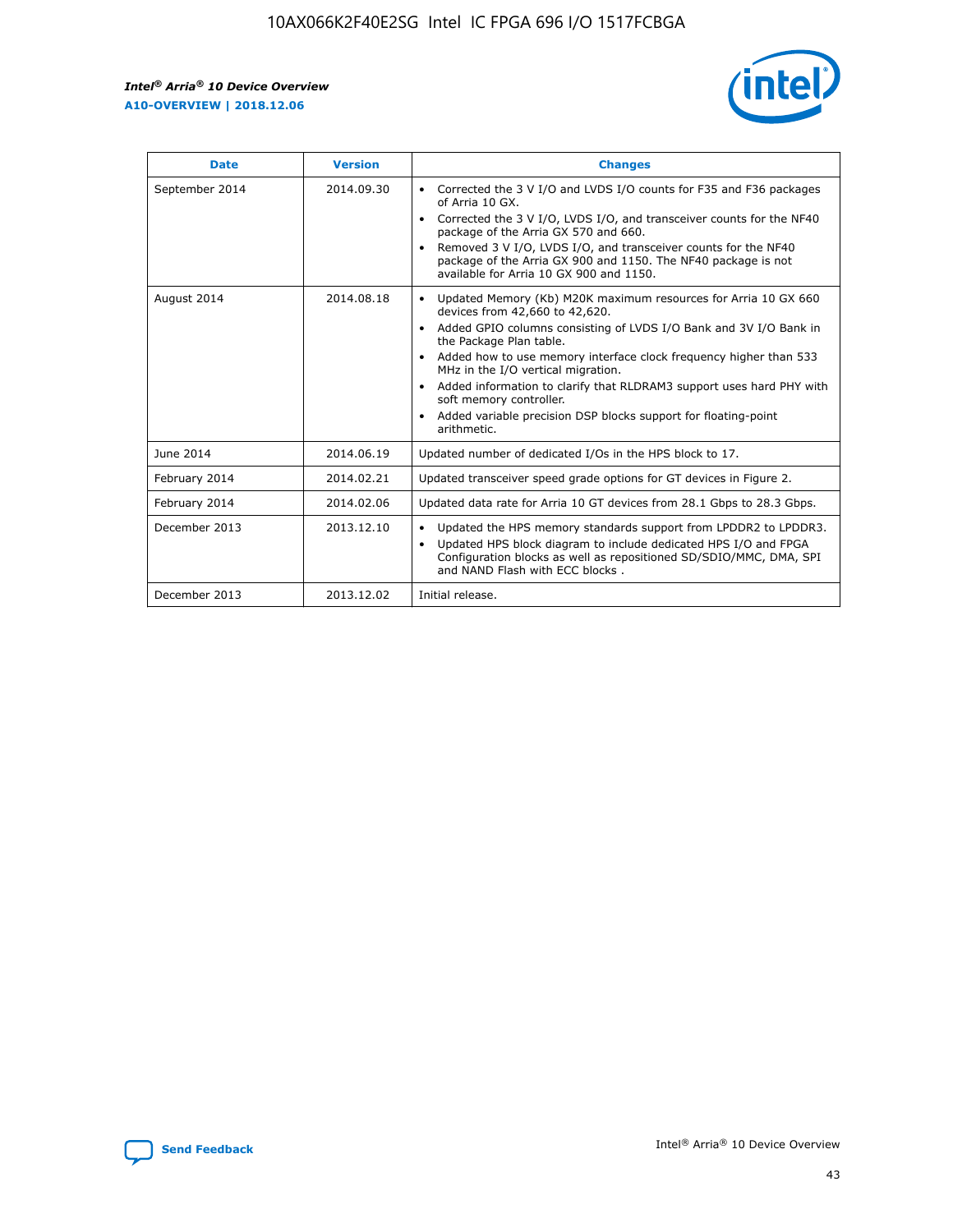r



| <b>Date</b>    | <b>Version</b> | <b>Changes</b>                                                                                                                                                                                                                                                                                                                                                                                                                                                                                                                                      |
|----------------|----------------|-----------------------------------------------------------------------------------------------------------------------------------------------------------------------------------------------------------------------------------------------------------------------------------------------------------------------------------------------------------------------------------------------------------------------------------------------------------------------------------------------------------------------------------------------------|
| September 2014 | 2014.09.30     | Corrected the 3 V I/O and LVDS I/O counts for F35 and F36 packages<br>$\bullet$<br>of Arria 10 GX.<br>Corrected the 3 V I/O, LVDS I/O, and transceiver counts for the NF40<br>$\bullet$<br>package of the Arria GX 570 and 660.<br>Removed 3 V I/O, LVDS I/O, and transceiver counts for the NF40<br>package of the Arria GX 900 and 1150. The NF40 package is not<br>available for Arria 10 GX 900 and 1150.                                                                                                                                       |
| August 2014    | 2014.08.18     | Updated Memory (Kb) M20K maximum resources for Arria 10 GX 660<br>devices from 42,660 to 42,620.<br>Added GPIO columns consisting of LVDS I/O Bank and 3V I/O Bank in<br>$\bullet$<br>the Package Plan table.<br>Added how to use memory interface clock frequency higher than 533<br>$\bullet$<br>MHz in the I/O vertical migration.<br>Added information to clarify that RLDRAM3 support uses hard PHY with<br>$\bullet$<br>soft memory controller.<br>Added variable precision DSP blocks support for floating-point<br>$\bullet$<br>arithmetic. |
| June 2014      | 2014.06.19     | Updated number of dedicated I/Os in the HPS block to 17.                                                                                                                                                                                                                                                                                                                                                                                                                                                                                            |
| February 2014  | 2014.02.21     | Updated transceiver speed grade options for GT devices in Figure 2.                                                                                                                                                                                                                                                                                                                                                                                                                                                                                 |
| February 2014  | 2014.02.06     | Updated data rate for Arria 10 GT devices from 28.1 Gbps to 28.3 Gbps.                                                                                                                                                                                                                                                                                                                                                                                                                                                                              |
| December 2013  | 2013.12.10     | Updated the HPS memory standards support from LPDDR2 to LPDDR3.<br>Updated HPS block diagram to include dedicated HPS I/O and FPGA<br>$\bullet$<br>Configuration blocks as well as repositioned SD/SDIO/MMC, DMA, SPI<br>and NAND Flash with ECC blocks.                                                                                                                                                                                                                                                                                            |
| December 2013  | 2013.12.02     | Initial release.                                                                                                                                                                                                                                                                                                                                                                                                                                                                                                                                    |